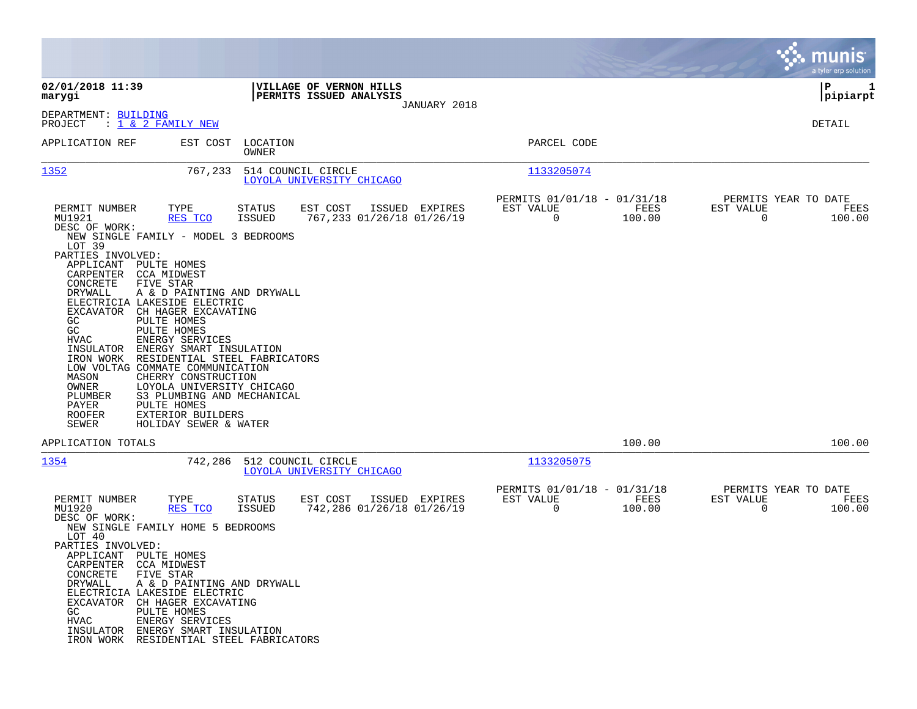|                                                                                                                                                                                                                                                                                                                                                                                                                                                                                                                                                                                                                                                                                                                                          |                                                                                    |                                                                 | munis<br>a tyler erp solution                                      |
|------------------------------------------------------------------------------------------------------------------------------------------------------------------------------------------------------------------------------------------------------------------------------------------------------------------------------------------------------------------------------------------------------------------------------------------------------------------------------------------------------------------------------------------------------------------------------------------------------------------------------------------------------------------------------------------------------------------------------------------|------------------------------------------------------------------------------------|-----------------------------------------------------------------|--------------------------------------------------------------------|
| 02/01/2018 11:39<br>marygi                                                                                                                                                                                                                                                                                                                                                                                                                                                                                                                                                                                                                                                                                                               | VILLAGE OF VERNON HILLS<br>PERMITS ISSUED ANALYSIS                                 |                                                                 | P<br>1<br> pipiarpt                                                |
| DEPARTMENT: BUILDING<br>PROJECT<br>$: 1 \& 2$ FAMILY NEW                                                                                                                                                                                                                                                                                                                                                                                                                                                                                                                                                                                                                                                                                 | JANUARY 2018                                                                       |                                                                 | DETAIL                                                             |
| APPLICATION REF<br>EST COST                                                                                                                                                                                                                                                                                                                                                                                                                                                                                                                                                                                                                                                                                                              | LOCATION<br>OWNER                                                                  | PARCEL CODE                                                     |                                                                    |
| 1352<br>767,233                                                                                                                                                                                                                                                                                                                                                                                                                                                                                                                                                                                                                                                                                                                          | 514 COUNCIL CIRCLE<br>LOYOLA UNIVERSITY CHICAGO                                    | 1133205074                                                      |                                                                    |
| PERMIT NUMBER<br>TYPE<br>MU1921<br>RES TCO<br>DESC OF WORK:<br>NEW SINGLE FAMILY - MODEL 3 BEDROOMS<br>LOT 39<br>PARTIES INVOLVED:<br>APPLICANT PULTE HOMES<br>CARPENTER<br>CCA MIDWEST<br>CONCRETE<br>FIVE STAR<br>DRYWALL<br>A & D PAINTING AND DRYWALL<br>ELECTRICIA LAKESIDE ELECTRIC<br>EXCAVATOR CH HAGER EXCAVATING<br>GC<br>PULTE HOMES<br>GC<br>PULTE HOMES<br>HVAC<br>ENERGY SERVICES<br>INSULATOR<br>ENERGY SMART INSULATION<br>IRON WORK<br>RESIDENTIAL STEEL FABRICATORS<br>LOW VOLTAG COMMATE COMMUNICATION<br>MASON<br>CHERRY CONSTRUCTION<br>OWNER<br>LOYOLA UNIVERSITY CHICAGO<br>PLUMBER<br>S3 PLUMBING AND MECHANICAL<br>PAYER<br>PULTE HOMES<br><b>ROOFER</b><br>EXTERIOR BUILDERS<br>SEWER<br>HOLIDAY SEWER & WATER | STATUS<br>EST COST<br>ISSUED EXPIRES<br>767,233 01/26/18 01/26/19<br>ISSUED        | PERMITS 01/01/18 - 01/31/18<br>EST VALUE<br>FEES<br>0<br>100.00 | PERMITS YEAR TO DATE<br>EST VALUE<br>FEES<br>$\mathbf 0$<br>100.00 |
| APPLICATION TOTALS                                                                                                                                                                                                                                                                                                                                                                                                                                                                                                                                                                                                                                                                                                                       |                                                                                    | 100.00                                                          | 100.00                                                             |
| 1354<br>742,286                                                                                                                                                                                                                                                                                                                                                                                                                                                                                                                                                                                                                                                                                                                          | 512 COUNCIL CIRCLE<br>LOYOLA UNIVERSITY CHICAGO                                    | 1133205075                                                      |                                                                    |
| PERMIT NUMBER<br>TYPE<br>MU1920<br>RES TCO<br>DESC OF WORK:<br>NEW SINGLE FAMILY HOME 5 BEDROOMS<br>LOT 40<br>PARTIES INVOLVED:<br>APPLICANT PULTE HOMES<br>CARPENTER CCA MIDWEST<br>CONCRETE<br>FIVE STAR<br>DRYWALL<br>A & D PAINTING AND DRYWALL<br>ELECTRICIA LAKESIDE ELECTRIC<br>EXCAVATOR CH HAGER EXCAVATING<br>GC<br>PULTE HOMES<br>ENERGY SERVICES<br>HVAC<br>INSULATOR ENERGY SMART INSULATION<br>IRON WORK RESIDENTIAL STEEL FABRICATORS                                                                                                                                                                                                                                                                                     | STATUS<br>EST COST<br>ISSUED EXPIRES<br><b>ISSUED</b><br>742,286 01/26/18 01/26/19 | PERMITS 01/01/18 - 01/31/18<br>FEES<br>EST VALUE<br>100.00<br>0 | PERMITS YEAR TO DATE<br>EST VALUE<br>FEES<br>100.00<br>$\Omega$    |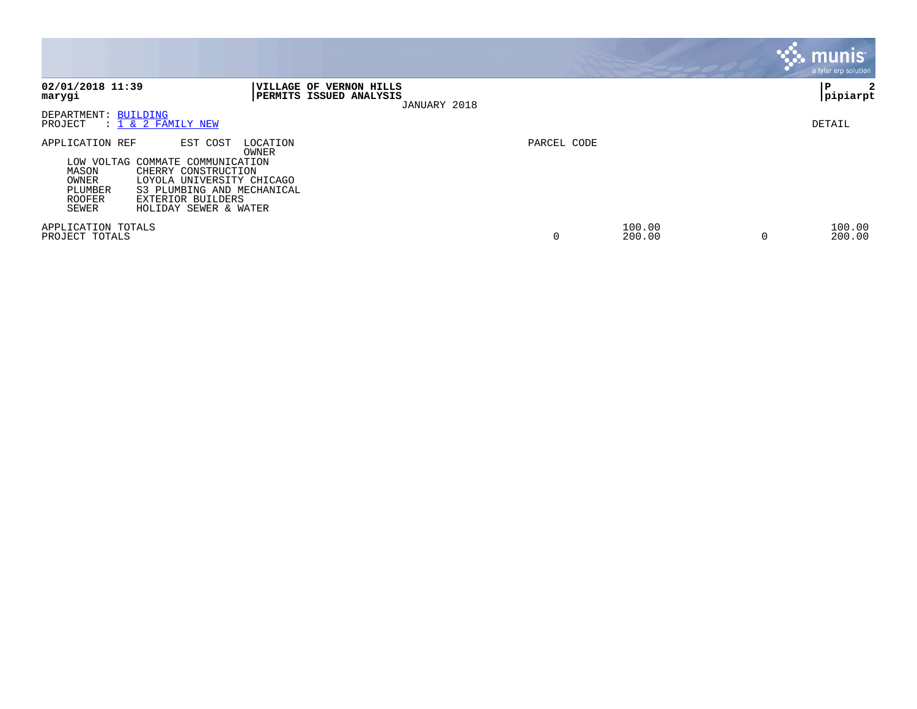|                                                                                                                                                                                                                                                        |                                                                           |             |                       | munis <sup>®</sup><br>a tyler erp solution |
|--------------------------------------------------------------------------------------------------------------------------------------------------------------------------------------------------------------------------------------------------------|---------------------------------------------------------------------------|-------------|-----------------------|--------------------------------------------|
| 02/01/2018 11:39<br>marygi                                                                                                                                                                                                                             | <b>VILLAGE OF VERNON HILLS</b><br>PERMITS ISSUED ANALYSIS<br>JANUARY 2018 |             |                       | 2<br>ΙP<br> pipiarpt                       |
| DEPARTMENT: BUILDING<br>$: 1 \& 2$ FAMILY NEW<br>PROJECT                                                                                                                                                                                               |                                                                           |             |                       | DETAIL                                     |
| EST COST<br>APPLICATION REF<br>LOW VOLTAG COMMATE COMMUNICATION<br>MASON<br>CHERRY CONSTRUCTION<br>OWNER<br>LOYOLA UNIVERSITY CHICAGO<br>PLUMBER<br>S3 PLUMBING AND MECHANICAL<br>EXTERIOR BUILDERS<br><b>ROOFER</b><br>HOLIDAY SEWER & WATER<br>SEWER | LOCATION<br>OWNER                                                         | PARCEL CODE |                       |                                            |
| APPLICATION TOTALS<br>PROJECT TOTALS                                                                                                                                                                                                                   |                                                                           | 0           | 100.00<br>200.00<br>C | 100.00<br>200.00                           |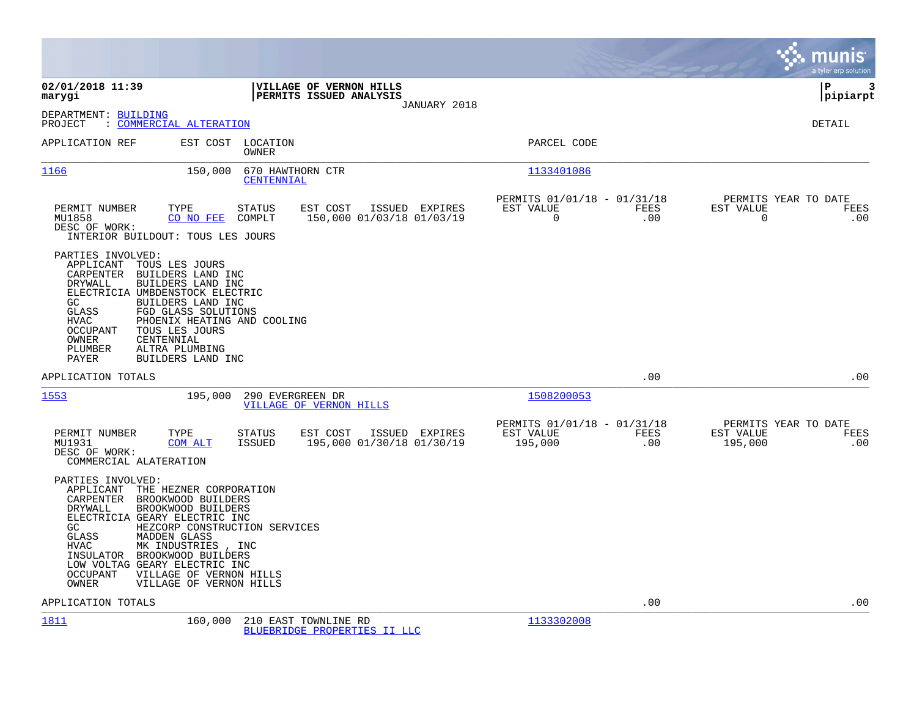|                                                                                                                                                                                                                                                                                                                                                                                                                    |                                                                        | munis<br>a tyler erp solution                                       |
|--------------------------------------------------------------------------------------------------------------------------------------------------------------------------------------------------------------------------------------------------------------------------------------------------------------------------------------------------------------------------------------------------------------------|------------------------------------------------------------------------|---------------------------------------------------------------------|
| 02/01/2018 11:39<br>VILLAGE OF VERNON HILLS<br>marygi<br>PERMITS ISSUED ANALYSIS<br>JANUARY 2018                                                                                                                                                                                                                                                                                                                   |                                                                        | lР<br>3<br> pipiarpt                                                |
| DEPARTMENT: BUILDING<br>: COMMERCIAL ALTERATION<br>PROJECT                                                                                                                                                                                                                                                                                                                                                         |                                                                        | DETAIL                                                              |
| APPLICATION REF<br>EST COST LOCATION<br>OWNER                                                                                                                                                                                                                                                                                                                                                                      | PARCEL CODE                                                            |                                                                     |
| 1166<br>150,000<br>670 HAWTHORN CTR<br><b>CENTENNIAL</b>                                                                                                                                                                                                                                                                                                                                                           | 1133401086                                                             |                                                                     |
| PERMIT NUMBER<br>TYPE<br><b>STATUS</b><br>EST COST<br>ISSUED EXPIRES<br>150,000 01/03/18 01/03/19<br>MU1858<br>CO NO FEE<br>COMPLT<br>DESC OF WORK:<br>INTERIOR BUILDOUT: TOUS LES JOURS                                                                                                                                                                                                                           | PERMITS 01/01/18 - 01/31/18<br>FEES<br>EST VALUE<br>$\mathbf 0$<br>.00 | PERMITS YEAR TO DATE<br>EST VALUE<br><b>FEES</b><br>$\Omega$<br>.00 |
| PARTIES INVOLVED:<br>APPLICANT<br>TOUS LES JOURS<br>BUILDERS LAND INC<br>CARPENTER<br>DRYWALL<br>BUILDERS LAND INC<br>ELECTRICIA UMBDENSTOCK ELECTRIC<br>BUILDERS LAND INC<br>GC<br>GLASS<br>FGD GLASS SOLUTIONS<br>HVAC<br>PHOENIX HEATING AND COOLING<br>OCCUPANT<br>TOUS LES JOURS<br>OWNER<br>CENTENNIAL<br>PLUMBER<br>ALTRA PLUMBING<br><b>PAYER</b><br>BUILDERS LAND INC                                     |                                                                        |                                                                     |
| APPLICATION TOTALS                                                                                                                                                                                                                                                                                                                                                                                                 | .00                                                                    | .00                                                                 |
| 1553<br>195,000<br>290 EVERGREEN DR<br>VILLAGE OF VERNON HILLS                                                                                                                                                                                                                                                                                                                                                     | 1508200053                                                             |                                                                     |
| PERMIT NUMBER<br>TYPE<br>STATUS<br>EST COST<br>ISSUED EXPIRES<br>MU1931<br><b>COM ALT</b><br>ISSUED<br>195,000 01/30/18 01/30/19<br>DESC OF WORK:<br>COMMERCIAL ALATERATION                                                                                                                                                                                                                                        | PERMITS 01/01/18 - 01/31/18<br>EST VALUE<br>FEES<br>195,000<br>.00     | PERMITS YEAR TO DATE<br>EST VALUE<br>FEES<br>195,000<br>.00         |
| PARTIES INVOLVED:<br>APPLICANT<br>THE HEZNER CORPORATION<br>CARPENTER BROOKWOOD BUILDERS<br>BROOKWOOD BUILDERS<br>DRYWALL<br>ELECTRICIA GEARY ELECTRIC INC<br>GC<br>HEZCORP CONSTRUCTION SERVICES<br>GLASS<br><b>MADDEN GLASS</b><br><b>HVAC</b><br>MK INDUSTRIES, INC<br>INSULATOR BROOKWOOD BUILDERS<br>LOW VOLTAG GEARY ELECTRIC INC<br>OCCUPANT<br>VILLAGE OF VERNON HILLS<br>OWNER<br>VILLAGE OF VERNON HILLS |                                                                        |                                                                     |
| APPLICATION TOTALS                                                                                                                                                                                                                                                                                                                                                                                                 | .00                                                                    | .00                                                                 |
| 1811<br>160,000<br>210 EAST TOWNLINE RD                                                                                                                                                                                                                                                                                                                                                                            | 1133302008                                                             |                                                                     |

[BLUEBRIDGE PROPERTIES II LLC](http://vvh-munis1:55000/views/PassThru.aspx?-E=vs0kc1XQdVA%2BXGsXJ0dVwm6HyCGLdzq1ofLa4MU7d2E=&)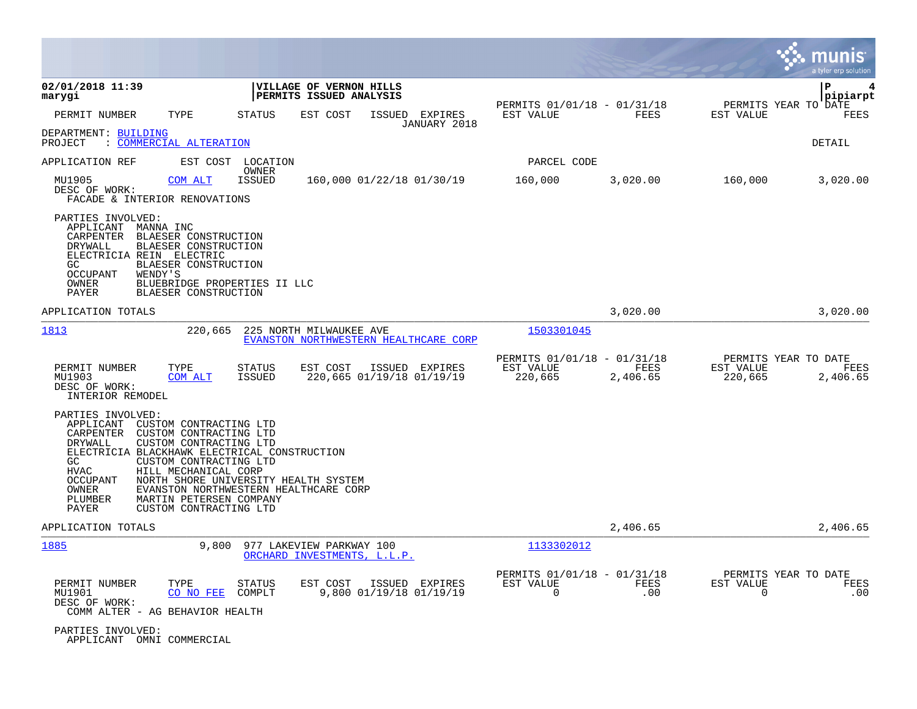|                                                                                                                                                                                                                                                                                                                                                                   |                                                                                    |                                                                         | munis<br>a tyler erp solution                                    |
|-------------------------------------------------------------------------------------------------------------------------------------------------------------------------------------------------------------------------------------------------------------------------------------------------------------------------------------------------------------------|------------------------------------------------------------------------------------|-------------------------------------------------------------------------|------------------------------------------------------------------|
| 02/01/2018 11:39<br>marygi                                                                                                                                                                                                                                                                                                                                        | VILLAGE OF VERNON HILLS<br>PERMITS ISSUED ANALYSIS                                 | PERMITS 01/01/18 - 01/31/18                                             | l P<br>4<br> pipiarpt<br>PERMITS YEAR TO DATE                    |
| PERMIT NUMBER<br>TYPE                                                                                                                                                                                                                                                                                                                                             | <b>STATUS</b><br>EST COST<br>ISSUED EXPIRES<br>JANUARY 2018                        | EST VALUE<br>FEES                                                       | EST VALUE<br>FEES                                                |
| DEPARTMENT: BUILDING<br>: COMMERCIAL ALTERATION<br>PROJECT                                                                                                                                                                                                                                                                                                        |                                                                                    |                                                                         | <b>DETAIL</b>                                                    |
| APPLICATION REF<br>EST COST                                                                                                                                                                                                                                                                                                                                       | LOCATION<br>OWNER                                                                  | PARCEL CODE                                                             |                                                                  |
| MU1905<br>COM ALT<br>DESC OF WORK:<br>FACADE & INTERIOR RENOVATIONS                                                                                                                                                                                                                                                                                               | 160,000 01/22/18 01/30/19<br>ISSUED                                                | 160,000<br>3,020.00                                                     | 160,000<br>3,020.00                                              |
| PARTIES INVOLVED:<br>APPLICANT MANNA INC<br>CARPENTER BLAESER CONSTRUCTION<br>DRYWALL<br>BLAESER CONSTRUCTION<br>ELECTRICIA REIN ELECTRIC<br>GC.<br>BLAESER CONSTRUCTION<br><b>OCCUPANT</b><br>WENDY'S<br>OWNER<br>PAYER<br>BLAESER CONSTRUCTION                                                                                                                  | BLUEBRIDGE PROPERTIES II LLC                                                       |                                                                         |                                                                  |
| APPLICATION TOTALS                                                                                                                                                                                                                                                                                                                                                |                                                                                    | 3,020.00                                                                | 3,020.00                                                         |
| 1813<br>220,665                                                                                                                                                                                                                                                                                                                                                   | 225 NORTH MILWAUKEE AVE<br>EVANSTON NORTHWESTERN HEALTHCARE CORP                   | 1503301045                                                              |                                                                  |
| PERMIT NUMBER<br>TYPE<br>MU1903<br>COM ALT<br>DESC OF WORK:<br>INTERIOR REMODEL                                                                                                                                                                                                                                                                                   | <b>STATUS</b><br>EST COST<br>ISSUED EXPIRES<br>220,665 01/19/18 01/19/19<br>ISSUED | PERMITS 01/01/18 - 01/31/18<br>EST VALUE<br>FEES<br>220,665<br>2,406.65 | PERMITS YEAR TO DATE<br>EST VALUE<br>FEES<br>220,665<br>2,406.65 |
| PARTIES INVOLVED:<br>APPLICANT<br>CUSTOM CONTRACTING LTD<br>CARPENTER<br>CUSTOM CONTRACTING LTD<br><b>DRYWALL</b><br>CUSTOM CONTRACTING LTD<br>ELECTRICIA BLACKHAWK ELECTRICAL CONSTRUCTION<br>GC.<br>CUSTOM CONTRACTING LTD<br>HILL MECHANICAL CORP<br><b>HVAC</b><br>OCCUPANT<br>OWNER<br>PLUMBER<br>MARTIN PETERSEN COMPANY<br>PAYER<br>CUSTOM CONTRACTING LTD | NORTH SHORE UNIVERSITY HEALTH SYSTEM<br>EVANSTON NORTHWESTERN HEALTHCARE CORP      |                                                                         |                                                                  |
| APPLICATION TOTALS                                                                                                                                                                                                                                                                                                                                                |                                                                                    | 2,406.65                                                                | 2,406.65                                                         |
| 1885                                                                                                                                                                                                                                                                                                                                                              | 9,800<br>977 LAKEVIEW PARKWAY 100<br>ORCHARD INVESTMENTS, L.L.P.                   | 1133302012                                                              |                                                                  |
| PERMIT NUMBER<br>TYPE<br>MU1901<br>CO NO FEE<br>DESC OF WORK:<br>COMM ALTER - AG BEHAVIOR HEALTH                                                                                                                                                                                                                                                                  | STATUS<br>EST COST<br>ISSUED EXPIRES<br>9,800 01/19/18 01/19/19<br>COMPLT          | PERMITS 01/01/18 - 01/31/18<br>FEES<br>EST VALUE<br>$\Omega$<br>.00     | PERMITS YEAR TO DATE<br>EST VALUE<br>FEES<br>$\mathbf 0$<br>.00  |
| PARTIES INVOLVED:<br>APPLICANT OMNI COMMERCIAL                                                                                                                                                                                                                                                                                                                    |                                                                                    |                                                                         |                                                                  |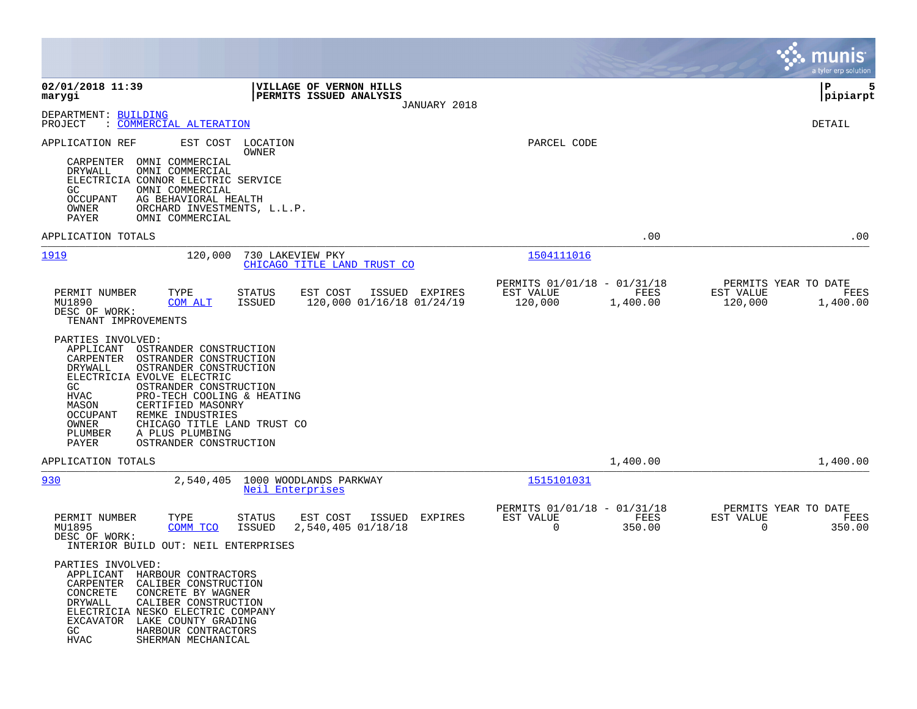|                                                                                                                                                                                                                                                                                                                                                                                                                  |                                                                                              |                                                     |                                          | munis<br>a tyler erp solution            |
|------------------------------------------------------------------------------------------------------------------------------------------------------------------------------------------------------------------------------------------------------------------------------------------------------------------------------------------------------------------------------------------------------------------|----------------------------------------------------------------------------------------------|-----------------------------------------------------|------------------------------------------|------------------------------------------|
| 02/01/2018 11:39<br>marygi                                                                                                                                                                                                                                                                                                                                                                                       | <b>VILLAGE OF VERNON HILLS</b><br>PERMITS ISSUED ANALYSIS<br>JANUARY 2018                    |                                                     |                                          | ∣P<br>5<br> pipiarpt                     |
| DEPARTMENT: BUILDING<br>: COMMERCIAL ALTERATION<br>PROJECT                                                                                                                                                                                                                                                                                                                                                       |                                                                                              |                                                     |                                          | DETAIL                                   |
| APPLICATION REF<br>EST COST<br>OMNI COMMERCIAL<br>CARPENTER<br>DRYWALL<br>OMNI COMMERCIAL<br>ELECTRICIA CONNOR ELECTRIC SERVICE<br>OMNI COMMERCIAL<br>GC.<br>OCCUPANT<br>AG BEHAVIORAL HEALTH<br>OWNER<br>ORCHARD INVESTMENTS, L.L.P.<br>PAYER<br>OMNI COMMERCIAL                                                                                                                                                | LOCATION<br>OWNER                                                                            | PARCEL CODE                                         |                                          |                                          |
| APPLICATION TOTALS                                                                                                                                                                                                                                                                                                                                                                                               |                                                                                              |                                                     | .00                                      | .00                                      |
| 1919<br>120,000                                                                                                                                                                                                                                                                                                                                                                                                  | 730 LAKEVIEW PKY<br>CHICAGO TITLE LAND TRUST CO                                              | 1504111016                                          |                                          |                                          |
| PERMIT NUMBER<br>TYPE<br>MU1890<br>COM ALT<br>DESC OF WORK:<br>TENANT IMPROVEMENTS                                                                                                                                                                                                                                                                                                                               | <b>STATUS</b><br>EST COST<br>ISSUED EXPIRES<br>120,000 01/16/18 01/24/19<br><b>ISSUED</b>    | PERMITS 01/01/18 - 01/31/18<br>EST VALUE<br>120,000 | FEES<br>EST VALUE<br>120,000<br>1,400.00 | PERMITS YEAR TO DATE<br>FEES<br>1,400.00 |
| PARTIES INVOLVED:<br>APPLICANT<br>OSTRANDER CONSTRUCTION<br>CARPENTER<br>OSTRANDER CONSTRUCTION<br>DRYWALL<br>OSTRANDER CONSTRUCTION<br>ELECTRICIA EVOLVE ELECTRIC<br>GC.<br>OSTRANDER CONSTRUCTION<br>HVAC<br>PRO-TECH COOLING & HEATING<br>CERTIFIED MASONRY<br>MASON<br>REMKE INDUSTRIES<br>OCCUPANT<br>CHICAGO TITLE LAND TRUST CO<br>OWNER<br>A PLUS PLUMBING<br>PLUMBER<br>PAYER<br>OSTRANDER CONSTRUCTION |                                                                                              |                                                     |                                          |                                          |
| APPLICATION TOTALS                                                                                                                                                                                                                                                                                                                                                                                               |                                                                                              |                                                     | 1,400.00                                 | 1,400.00                                 |
| 930<br>2,540,405                                                                                                                                                                                                                                                                                                                                                                                                 | 1000 WOODLANDS PARKWAY<br>Neil Enterprises                                                   | <u>1515101031</u>                                   |                                          |                                          |
| PERMIT NUMBER<br>TYPE<br>MU1895<br>COMM TCO<br>DESC OF WORK:<br>INTERIOR BUILD OUT: NEIL ENTERPRISES                                                                                                                                                                                                                                                                                                             | <b>STATUS</b><br>EST COST<br><b>ISSUED</b><br>EXPIRES<br><b>ISSUED</b><br>2,540,405 01/18/18 | PERMITS 01/01/18 - 01/31/18<br>EST VALUE<br>0       | FEES<br>EST VALUE<br>350.00<br>0         | PERMITS YEAR TO DATE<br>FEES<br>350.00   |
| PARTIES INVOLVED:<br>APPLICANT<br>HARBOUR CONTRACTORS<br>CARPENTER<br>CALIBER CONSTRUCTION<br>CONCRETE<br>CONCRETE BY WAGNER<br>DRYWALL<br>CALIBER CONSTRUCTION<br>ELECTRICIA NESKO ELECTRIC COMPANY<br><b>EXCAVATOR</b><br>LAKE COUNTY GRADING<br>GC<br>HARBOUR CONTRACTORS<br><b>HVAC</b><br>SHERMAN MECHANICAL                                                                                                |                                                                                              |                                                     |                                          |                                          |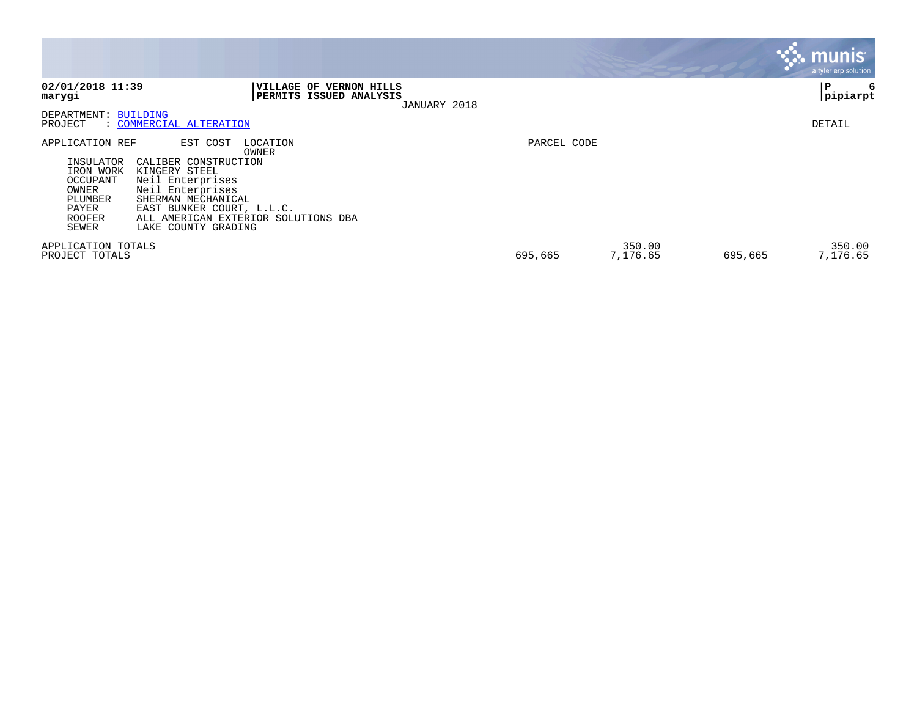|                                                                                                                                                                                                                                                                                                                                                 |             |                    |         | <b>munis</b><br>a tyler erp solution |
|-------------------------------------------------------------------------------------------------------------------------------------------------------------------------------------------------------------------------------------------------------------------------------------------------------------------------------------------------|-------------|--------------------|---------|--------------------------------------|
| 02/01/2018 11:39<br>VILLAGE OF VERNON HILLS<br>PERMITS ISSUED ANALYSIS<br>marygi<br>JANUARY 2018                                                                                                                                                                                                                                                |             |                    |         | IΡ<br>6<br>pipiarpt                  |
| DEPARTMENT: BUILDING<br>: COMMERCIAL ALTERATION<br>PROJECT                                                                                                                                                                                                                                                                                      |             |                    |         | DETAIL                               |
| APPLICATION REF<br>EST COST<br>LOCATION<br>OWNER<br>INSULATOR<br>CALIBER CONSTRUCTION<br>IRON WORK<br>KINGERY STEEL<br>Neil Enterprises<br>OCCUPANT<br>Neil Enterprises<br>OWNER<br>PLUMBER<br>SHERMAN MECHANICAL<br>EAST BUNKER COURT, L.L.C.<br>PAYER<br><b>ROOFER</b><br>ALL AMERICAN EXTERIOR SOLUTIONS DBA<br>SEWER<br>LAKE COUNTY GRADING | PARCEL CODE |                    |         |                                      |
| APPLICATION TOTALS<br>PROJECT TOTALS                                                                                                                                                                                                                                                                                                            | 695,665     | 350.00<br>7,176.65 | 695,665 | 350.00<br>7,176.65                   |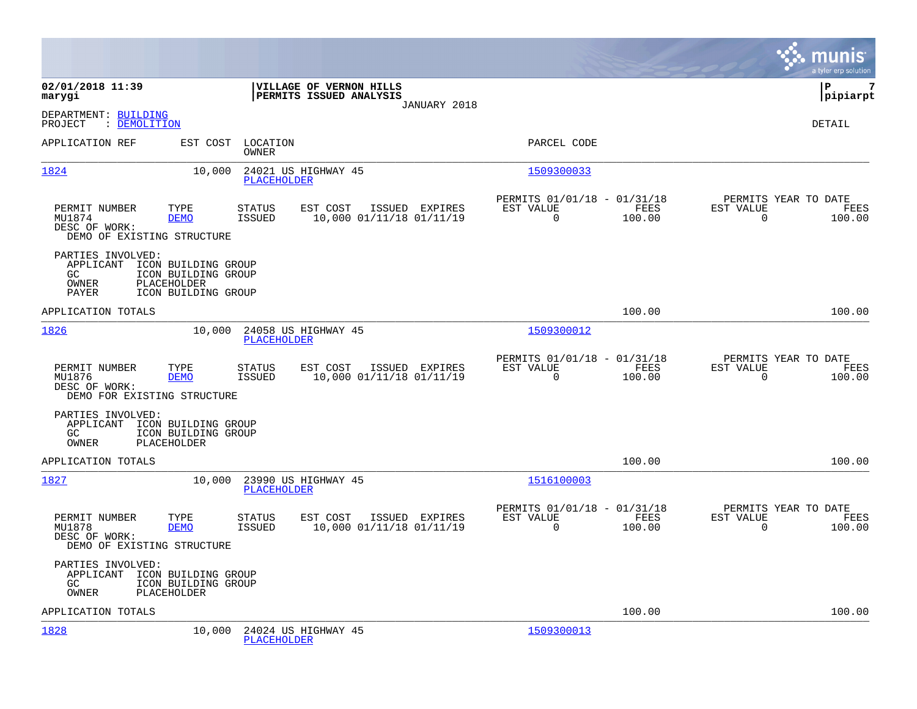|                                                                         |                                                                                  |                                |                                                        |              |                                                         |                       |                                                     | munis<br>a tyler erp solution |
|-------------------------------------------------------------------------|----------------------------------------------------------------------------------|--------------------------------|--------------------------------------------------------|--------------|---------------------------------------------------------|-----------------------|-----------------------------------------------------|-------------------------------|
| 02/01/2018 11:39<br>marygi                                              |                                                                                  |                                | VILLAGE OF VERNON HILLS<br>PERMITS ISSUED ANALYSIS     | JANUARY 2018 |                                                         |                       |                                                     | lР<br>7<br> pipiarpt          |
| DEPARTMENT: BUILDING<br>: DEMOLITION<br>PROJECT                         |                                                                                  |                                |                                                        |              |                                                         |                       |                                                     | <b>DETAIL</b>                 |
| APPLICATION REF                                                         | EST COST                                                                         | LOCATION<br>OWNER              |                                                        |              | PARCEL CODE                                             |                       |                                                     |                               |
| 1824                                                                    | 10,000                                                                           | PLACEHOLDER                    | 24021 US HIGHWAY 45                                    |              | 1509300033                                              |                       |                                                     |                               |
| PERMIT NUMBER<br>MU1874<br>DESC OF WORK:<br>DEMO OF EXISTING STRUCTURE  | TYPE<br><b>DEMO</b>                                                              | <b>STATUS</b><br><b>ISSUED</b> | EST COST<br>ISSUED EXPIRES<br>10,000 01/11/18 01/11/19 |              | PERMITS 01/01/18 - 01/31/18<br>EST VALUE<br>$\mathbf 0$ | FEES<br>100.00        | PERMITS YEAR TO DATE<br>EST VALUE<br>$\mathbf 0$    | FEES<br>100.00                |
| PARTIES INVOLVED:<br>APPLICANT<br>GC<br>OWNER<br><b>PAYER</b>           | ICON BUILDING GROUP<br>ICON BUILDING GROUP<br>PLACEHOLDER<br>ICON BUILDING GROUP |                                |                                                        |              |                                                         |                       |                                                     |                               |
| APPLICATION TOTALS                                                      |                                                                                  |                                |                                                        |              |                                                         | 100.00                |                                                     | 100.00                        |
| 1826                                                                    | 10,000                                                                           | PLACEHOLDER                    | 24058 US HIGHWAY 45                                    |              | 1509300012                                              |                       |                                                     |                               |
| PERMIT NUMBER<br>MU1876<br>DESC OF WORK:<br>DEMO FOR EXISTING STRUCTURE | TYPE<br><b>DEMO</b>                                                              | <b>STATUS</b><br><b>ISSUED</b> | EST COST<br>ISSUED EXPIRES<br>10,000 01/11/18 01/11/19 |              | PERMITS 01/01/18 - 01/31/18<br>EST VALUE<br>$\Omega$    | FEES<br>100.00        | PERMITS YEAR TO DATE<br>EST VALUE<br>$\Omega$       | FEES<br>100.00                |
| PARTIES INVOLVED:<br>APPLICANT ICON BUILDING GROUP<br>GC.<br>OWNER      | ICON BUILDING GROUP<br>PLACEHOLDER                                               |                                |                                                        |              |                                                         |                       |                                                     |                               |
| APPLICATION TOTALS                                                      |                                                                                  |                                |                                                        |              |                                                         | 100.00                |                                                     | 100.00                        |
| 1827                                                                    | 10,000                                                                           | <b>PLACEHOLDER</b>             | 23990 US HIGHWAY 45                                    |              | 1516100003                                              |                       |                                                     |                               |
| PERMIT NUMBER<br>MU1878<br>DESC OF WORK:<br>DEMO OF EXISTING STRUCTURE  | TYPE<br><b>DEMO</b>                                                              | <b>STATUS</b><br><b>ISSUED</b> | ISSUED EXPIRES<br>EST COST<br>10,000 01/11/18 01/11/19 |              | PERMITS 01/01/18 - 01/31/18<br>EST VALUE<br>$\mathbf 0$ | <b>FEES</b><br>100.00 | PERMITS YEAR TO DATE<br>EST VALUE<br>$\overline{0}$ | FEES<br>100.00                |
| PARTIES INVOLVED:<br>APPLICANT<br>GC<br>OWNER                           | ICON BUILDING GROUP<br>ICON BUILDING GROUP<br>PLACEHOLDER                        |                                |                                                        |              |                                                         |                       |                                                     |                               |
| APPLICATION TOTALS                                                      |                                                                                  |                                |                                                        |              |                                                         | 100.00                |                                                     | 100.00                        |
| 1828                                                                    | 10,000                                                                           | PLACEHOLDER                    | 24024 US HIGHWAY 45                                    |              | 1509300013                                              |                       |                                                     |                               |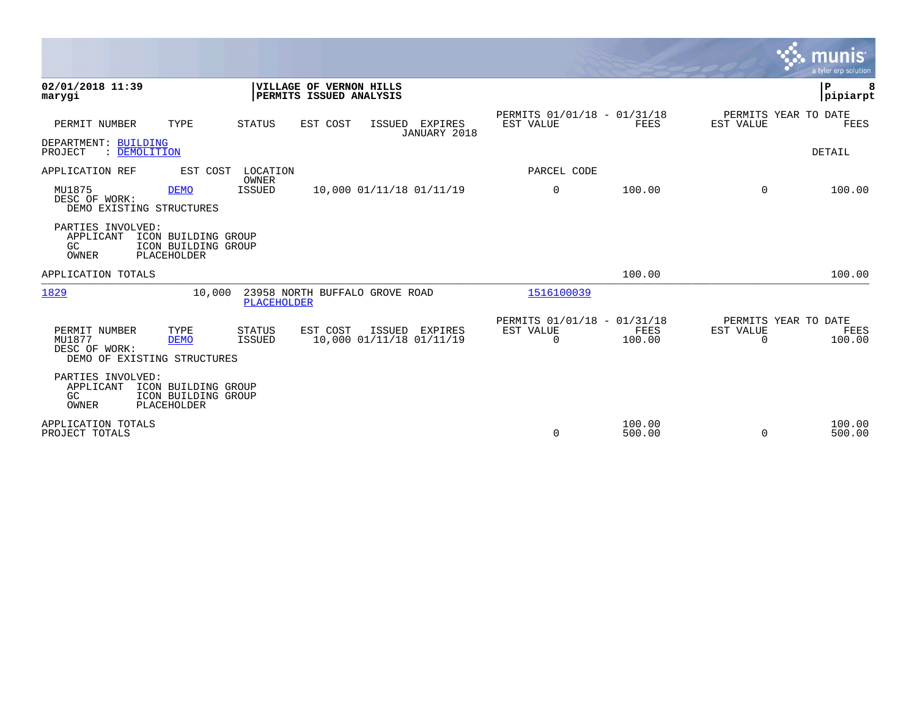|                                                                         |                                                           |                    |                                                    |        |                                            |                                               |                  |                                               | ९: munis<br>a tyler erp solution |
|-------------------------------------------------------------------------|-----------------------------------------------------------|--------------------|----------------------------------------------------|--------|--------------------------------------------|-----------------------------------------------|------------------|-----------------------------------------------|----------------------------------|
| 02/01/2018 11:39<br>marygi                                              |                                                           |                    | VILLAGE OF VERNON HILLS<br>PERMITS ISSUED ANALYSIS |        |                                            |                                               |                  |                                               | P<br> pipiarpt                   |
| PERMIT NUMBER                                                           | TYPE                                                      | STATUS             | EST COST                                           | ISSUED | EXPIRES<br>JANUARY 2018                    | PERMITS 01/01/18 - 01/31/18<br>EST VALUE      | FEES             | PERMITS YEAR TO DATE<br>EST VALUE             | FEES                             |
| DEPARTMENT: BUILDING<br>PROJECT<br>: DEMOLITION                         |                                                           |                    |                                                    |        |                                            |                                               |                  |                                               | DETAIL                           |
| APPLICATION REF                                                         | EST COST                                                  | LOCATION<br>OWNER  |                                                    |        |                                            | PARCEL CODE                                   |                  |                                               |                                  |
| MU1875<br>DESC OF WORK:<br>DEMO EXISTING STRUCTURES                     | <b>DEMO</b>                                               | <b>ISSUED</b>      |                                                    |        | 10,000 01/11/18 01/11/19                   | $\mathbf 0$                                   | 100.00           | $\Omega$                                      | 100.00                           |
| PARTIES INVOLVED:<br>APPLICANT<br>GC<br>OWNER                           | ICON BUILDING GROUP<br>ICON BUILDING GROUP<br>PLACEHOLDER |                    |                                                    |        |                                            |                                               |                  |                                               |                                  |
| APPLICATION TOTALS                                                      |                                                           |                    |                                                    |        |                                            |                                               | 100.00           |                                               | 100.00                           |
| 1829                                                                    | 10,000                                                    | <b>PLACEHOLDER</b> | 23958 NORTH BUFFALO GROVE ROAD                     |        |                                            | 1516100039                                    |                  |                                               |                                  |
| PERMIT NUMBER<br>MU1877<br>DESC OF WORK:<br>DEMO OF EXISTING STRUCTURES | TYPE<br><b>DEMO</b>                                       | STATUS<br>ISSUED   | EST COST                                           |        | ISSUED EXPIRES<br>10,000 01/11/18 01/11/19 | PERMITS 01/01/18 - 01/31/18<br>EST VALUE<br>0 | FEES<br>100.00   | PERMITS YEAR TO DATE<br>EST VALUE<br>$\Omega$ | FEES<br>100.00                   |
| PARTIES INVOLVED:<br>APPLICANT<br>GC<br>OWNER                           | ICON BUILDING GROUP<br>ICON BUILDING GROUP<br>PLACEHOLDER |                    |                                                    |        |                                            |                                               |                  |                                               |                                  |
| APPLICATION TOTALS<br>PROJECT TOTALS                                    |                                                           |                    |                                                    |        |                                            | 0                                             | 100.00<br>500.00 | $\Omega$                                      | 100.00<br>500.00                 |

 $\mathcal{L}$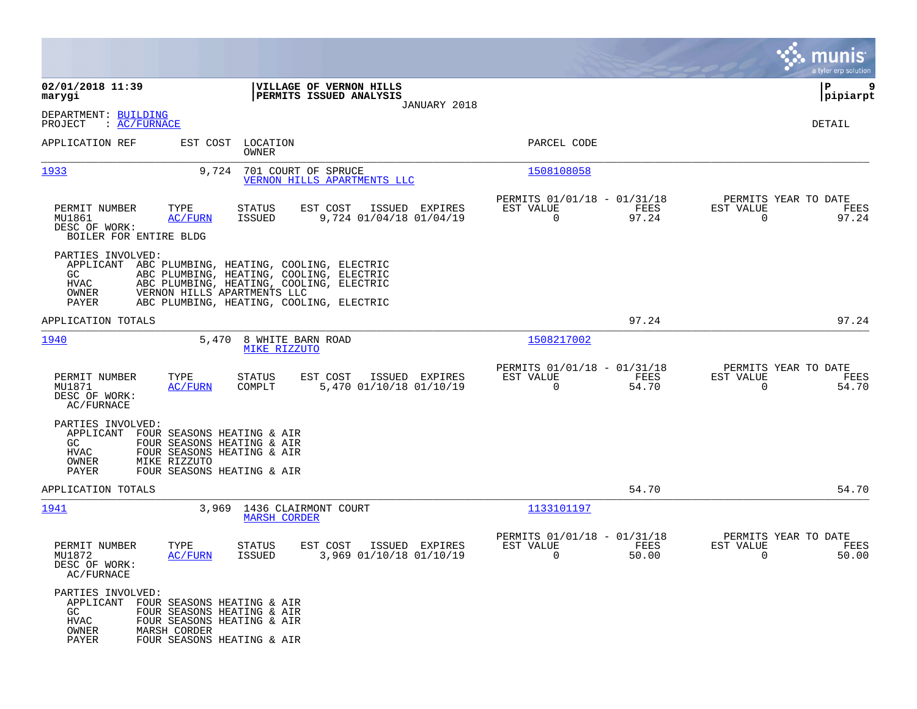|                                                                                                                  |                                                                                                                                                                                                                       |                                                                             | munis<br>a tyler erp solution                                     |
|------------------------------------------------------------------------------------------------------------------|-----------------------------------------------------------------------------------------------------------------------------------------------------------------------------------------------------------------------|-----------------------------------------------------------------------------|-------------------------------------------------------------------|
| 02/01/2018 11:39<br>marygi                                                                                       | VILLAGE OF VERNON HILLS<br>PERMITS ISSUED ANALYSIS                                                                                                                                                                    |                                                                             | P<br>9<br> pipiarpt                                               |
| DEPARTMENT: BUILDING<br>PROJECT<br>: <u>AC/FURNACE</u>                                                           | JANUARY 2018                                                                                                                                                                                                          |                                                                             | DETAIL                                                            |
| APPLICATION REF                                                                                                  | EST COST LOCATION<br>OWNER                                                                                                                                                                                            | PARCEL CODE                                                                 |                                                                   |
| 1933                                                                                                             | 9,724<br>701 COURT OF SPRUCE<br>VERNON HILLS APARTMENTS LLC                                                                                                                                                           | 1508108058                                                                  |                                                                   |
| PERMIT NUMBER<br>TYPE<br>MU1861<br>AC/FURN<br>DESC OF WORK:<br>BOILER FOR ENTIRE BLDG                            | STATUS<br>EST COST<br>ISSUED EXPIRES<br>ISSUED<br>9,724 01/04/18 01/04/19                                                                                                                                             | PERMITS 01/01/18 - 01/31/18<br>FEES<br>EST VALUE<br>$\overline{0}$<br>97.24 | PERMITS YEAR TO DATE<br>EST VALUE<br>FEES<br>$\mathbf 0$<br>97.24 |
| PARTIES INVOLVED:<br>GC.<br>HVAC<br>OWNER<br>PAYER                                                               | APPLICANT ABC PLUMBING, HEATING, COOLING, ELECTRIC<br>ABC PLUMBING, HEATING, COOLING, ELECTRIC<br>ABC PLUMBING, HEATING, COOLING, ELECTRIC<br>VERNON HILLS APARTMENTS LLC<br>ABC PLUMBING, HEATING, COOLING, ELECTRIC |                                                                             |                                                                   |
| APPLICATION TOTALS                                                                                               |                                                                                                                                                                                                                       | 97.24                                                                       | 97.24                                                             |
| 1940                                                                                                             | 8 WHITE BARN ROAD<br>5,470<br>MIKE RIZZUTO                                                                                                                                                                            | 1508217002                                                                  |                                                                   |
| PERMIT NUMBER<br>TYPE<br>MU1871<br>AC/FURN<br>DESC OF WORK:<br>AC/FURNACE                                        | <b>STATUS</b><br>EST COST<br>ISSUED EXPIRES<br>COMPLT<br>5,470 01/10/18 01/10/19                                                                                                                                      | PERMITS 01/01/18 - 01/31/18<br>EST VALUE<br>FEES<br>$\Omega$<br>54.70       | PERMITS YEAR TO DATE<br>EST VALUE<br>FEES<br>$\Omega$<br>54.70    |
| PARTIES INVOLVED:<br>APPLICANT FOUR SEASONS HEATING & AIR<br>GC.<br>HVAC<br>OWNER<br>MIKE RIZZUTO<br>PAYER       | FOUR SEASONS HEATING & AIR<br>FOUR SEASONS HEATING & AIR<br>FOUR SEASONS HEATING & AIR                                                                                                                                |                                                                             |                                                                   |
| APPLICATION TOTALS                                                                                               |                                                                                                                                                                                                                       | 54.70                                                                       | 54.70                                                             |
| 1941                                                                                                             | 3,969 1436 CLAIRMONT COURT<br><b>MARSH CORDER</b>                                                                                                                                                                     | 1133101197                                                                  |                                                                   |
| PERMIT NUMBER<br>TYPE<br>MU1872<br>AC/FURN<br>DESC OF WORK:<br>AC/FURNACE                                        | EST COST<br>ISSUED EXPIRES<br>STATUS<br>3,969 01/10/18 01/10/19<br>ISSUED                                                                                                                                             | PERMITS 01/01/18 - 01/31/18<br>EST VALUE<br>FEES<br>0<br>50.00              | PERMITS YEAR TO DATE<br>EST VALUE<br>FEES<br>0<br>50.00           |
| PARTIES INVOLVED:<br>APPLICANT FOUR SEASONS HEATING & AIR<br>GC<br><b>HVAC</b><br>OWNER<br>MARSH CORDER<br>PAYER | FOUR SEASONS HEATING & AIR<br>FOUR SEASONS HEATING & AIR<br>FOUR SEASONS HEATING & AIR                                                                                                                                |                                                                             |                                                                   |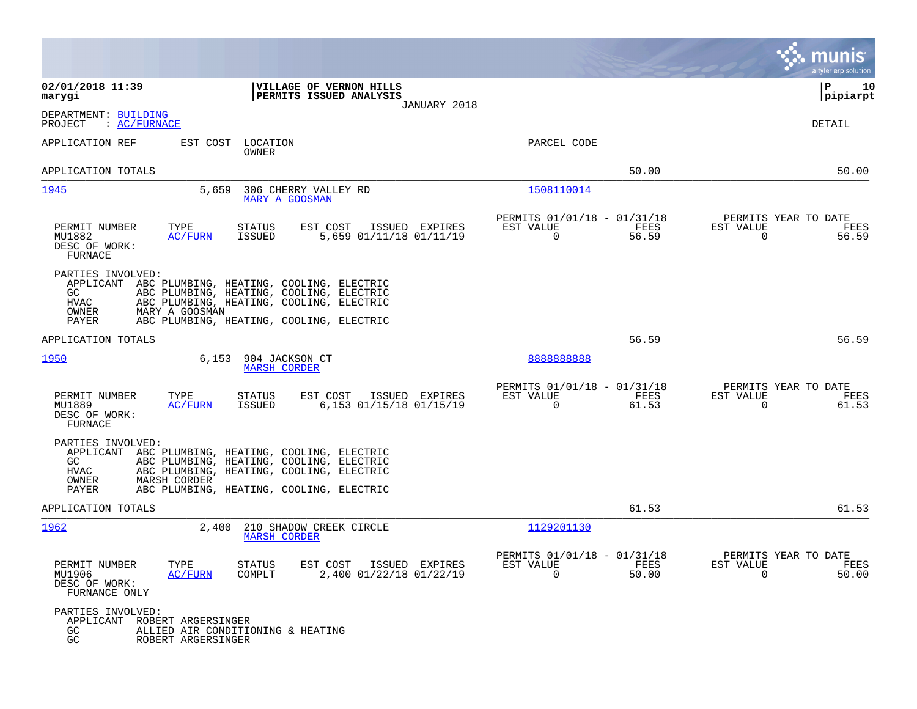|                                                                                                                                                                                                                                                                       | munis<br>a tyler erp solution                                                                                                         |      |
|-----------------------------------------------------------------------------------------------------------------------------------------------------------------------------------------------------------------------------------------------------------------------|---------------------------------------------------------------------------------------------------------------------------------------|------|
| 02/01/2018 11:39<br>VILLAGE OF VERNON HILLS<br>PERMITS ISSUED ANALYSIS<br>marygi<br>JANUARY 2018                                                                                                                                                                      | ΙP<br> pipiarpt                                                                                                                       | 10   |
| DEPARTMENT: BUILDING<br>: AC/FURNACE<br>PROJECT                                                                                                                                                                                                                       | DETAIL                                                                                                                                |      |
| EST COST<br>LOCATION<br>APPLICATION REF<br>OWNER                                                                                                                                                                                                                      | PARCEL CODE                                                                                                                           |      |
| APPLICATION TOTALS                                                                                                                                                                                                                                                    | 50.00<br>50.00                                                                                                                        |      |
| 1945<br>306 CHERRY VALLEY RD<br>5,659<br><b>MARY A GOOSMAN</b>                                                                                                                                                                                                        | 1508110014                                                                                                                            |      |
| TYPE<br>EST COST<br>PERMIT NUMBER<br><b>STATUS</b><br>ISSUED EXPIRES<br><b>ISSUED</b><br>5,659 01/11/18 01/11/19<br>MU1882<br><b>AC/FURN</b><br>DESC OF WORK:<br>FURNACE                                                                                              | PERMITS 01/01/18 - 01/31/18<br>PERMITS YEAR TO DATE<br>EST VALUE<br>FEES<br>EST VALUE<br>$\Omega$<br>56.59<br>$\Omega$<br>56.59       | FEES |
| PARTIES INVOLVED:<br>APPLICANT ABC PLUMBING, HEATING, COOLING, ELECTRIC<br>ABC PLUMBING, HEATING, COOLING, ELECTRIC<br>GC.<br><b>HVAC</b><br>ABC PLUMBING, HEATING, COOLING, ELECTRIC<br>OWNER<br>MARY A GOOSMAN<br>PAYER<br>ABC PLUMBING, HEATING, COOLING, ELECTRIC |                                                                                                                                       |      |
| APPLICATION TOTALS                                                                                                                                                                                                                                                    | 56.59<br>56.59                                                                                                                        |      |
| 1950<br>6,153<br>904 JACKSON CT<br><b>MARSH CORDER</b>                                                                                                                                                                                                                | 8888888888                                                                                                                            |      |
| PERMIT NUMBER<br>TYPE<br><b>STATUS</b><br>EST COST<br>ISSUED EXPIRES<br>6,153 01/15/18 01/15/19<br>MU1889<br>AC/FURN<br><b>ISSUED</b><br>DESC OF WORK:<br>FURNACE                                                                                                     | PERMITS 01/01/18 - 01/31/18<br>PERMITS YEAR TO DATE<br>EST VALUE<br>FEES<br>EST VALUE<br>$\Omega$<br>61.53<br>$\Omega$<br>61.53       | FEES |
| PARTIES INVOLVED:<br>APPLICANT<br>ABC PLUMBING, HEATING, COOLING, ELECTRIC<br>ABC PLUMBING, HEATING, COOLING, ELECTRIC<br>GC<br><b>HVAC</b><br>ABC PLUMBING, HEATING, COOLING, ELECTRIC<br>OWNER<br>MARSH CORDER<br>PAYER<br>ABC PLUMBING, HEATING, COOLING, ELECTRIC |                                                                                                                                       |      |
| APPLICATION TOTALS                                                                                                                                                                                                                                                    | 61.53<br>61.53                                                                                                                        |      |
| 1962<br>210 SHADOW CREEK CIRCLE<br>2,400<br><b>MARSH CORDER</b>                                                                                                                                                                                                       | 1129201130                                                                                                                            |      |
| PERMIT NUMBER<br>TYPE<br><b>STATUS</b><br>EST COST<br>ISSUED EXPIRES<br>2,400 01/22/18 01/22/19<br>MU1906<br>AC/FURN<br>COMPLT<br>DESC OF WORK:<br>FURNANCE ONLY                                                                                                      | PERMITS 01/01/18 - 01/31/18<br>PERMITS YEAR TO DATE<br>EST VALUE<br>EST VALUE<br>FEES<br>50.00<br>$\mathbf 0$<br>50.00<br>$\mathbf 0$ | FEES |
| PARTIES INVOLVED:<br>APPLICANT<br>ROBERT ARGERSINGER<br>GC.<br>ALLIED AIR CONDITIONING & HEATING<br>GC<br>ROBERT ARGERSINGER                                                                                                                                          |                                                                                                                                       |      |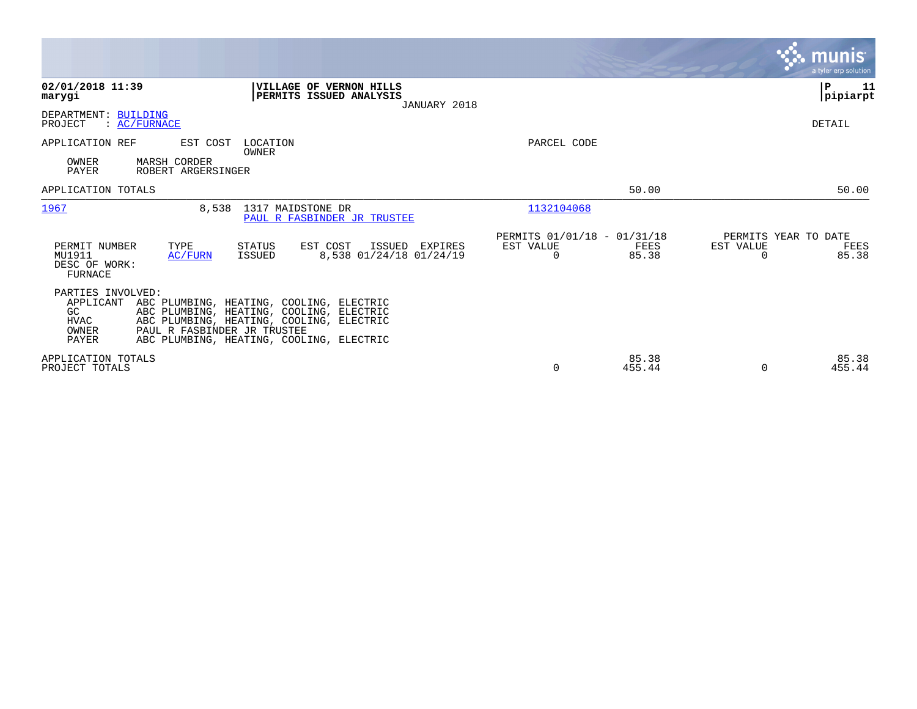|                                                                                                                                                                                                                                                                                              |                                               | munis <sup>®</sup><br>a tyler erp solution                          |
|----------------------------------------------------------------------------------------------------------------------------------------------------------------------------------------------------------------------------------------------------------------------------------------------|-----------------------------------------------|---------------------------------------------------------------------|
| 02/01/2018 11:39<br><b>VILLAGE OF VERNON HILLS</b><br>PERMITS ISSUED ANALYSIS<br>marygi<br>JANUARY 2018                                                                                                                                                                                      |                                               | lР<br>11<br> pipiarpt                                               |
| DEPARTMENT: BUILDING<br>PROJECT<br>: AC/FURNACE                                                                                                                                                                                                                                              |                                               | DETAIL                                                              |
| APPLICATION REF<br>EST COST<br>LOCATION<br>OWNER<br>OWNER<br><b>MARSH CORDER</b><br><b>PAYER</b><br>ROBERT ARGERSINGER                                                                                                                                                                       | PARCEL CODE                                   |                                                                     |
| APPLICATION TOTALS                                                                                                                                                                                                                                                                           |                                               | 50.00<br>50.00                                                      |
| 1967<br>8,538 1317 MAIDSTONE DR<br>PAUL R FASBINDER JR TRUSTEE                                                                                                                                                                                                                               | 1132104068                                    |                                                                     |
| EST COST<br>PERMIT NUMBER<br>TYPE<br>STATUS<br>ISSUED EXPIRES<br>8,538 01/24/18 01/24/19<br>MU1911<br>AC/FURN<br>ISSUED<br>DESC OF WORK:<br><b>FURNACE</b>                                                                                                                                   | PERMITS 01/01/18 - 01/31/18<br>EST VALUE<br>0 | PERMITS YEAR TO DATE<br>EST VALUE<br>FEES<br>FEES<br>85.38<br>85.38 |
| PARTIES INVOLVED:<br>ABC PLUMBING, HEATING, COOLING, ELECTRIC<br>APPLICANT<br>ABC PLUMBING, HEATING, COOLING, ELECTRIC<br>GC.<br><b>HVAC</b><br>ABC PLUMBING, HEATING, COOLING, ELECTRIC<br>OWNER<br>PAUL R FASBINDER JR TRUSTEE<br><b>PAYER</b><br>ABC PLUMBING, HEATING, COOLING, ELECTRIC |                                               |                                                                     |
| APPLICATION TOTALS<br>PROJECT TOTALS                                                                                                                                                                                                                                                         | 0                                             | 85.38<br>85.38<br>455.44<br>455.44<br>$\Omega$                      |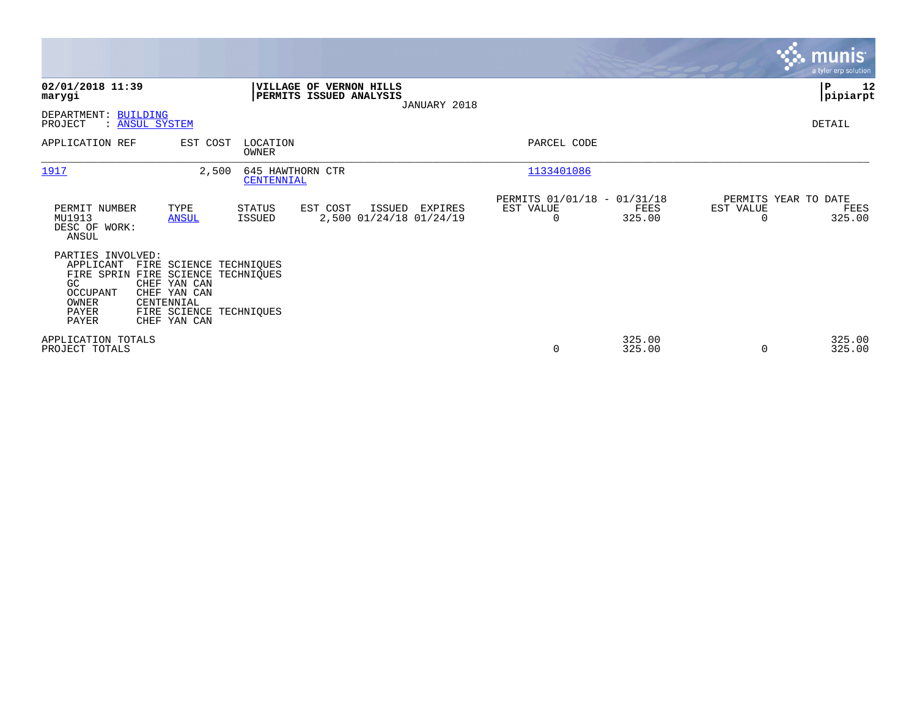|                                                                                                                                 |                                                                                                                  |                                |                                                           |              |                                               |                  |                       | <b>munis</b><br>a tyler erp solution   |
|---------------------------------------------------------------------------------------------------------------------------------|------------------------------------------------------------------------------------------------------------------|--------------------------------|-----------------------------------------------------------|--------------|-----------------------------------------------|------------------|-----------------------|----------------------------------------|
| 02/01/2018 11:39<br>marygi                                                                                                      |                                                                                                                  |                                | <b>VILLAGE OF VERNON HILLS</b><br>PERMITS ISSUED ANALYSIS | JANUARY 2018 |                                               |                  |                       | ∣P<br>12<br> pipiarpt                  |
| DEPARTMENT: BUILDING<br>PROJECT<br>: ANSUL SYSTEM                                                                               |                                                                                                                  |                                |                                                           |              |                                               |                  |                       | DETAIL                                 |
| APPLICATION REF                                                                                                                 | EST COST                                                                                                         | LOCATION<br>OWNER              |                                                           |              | PARCEL CODE                                   |                  |                       |                                        |
| 1917                                                                                                                            | 2,500                                                                                                            | 645 HAWTHORN CTR<br>CENTENNIAL |                                                           |              | 1133401086                                    |                  |                       |                                        |
| PERMIT NUMBER<br>MU1913<br>DESC OF WORK:<br>ANSUL                                                                               | TYPE<br><b>ANSUL</b>                                                                                             | STATUS<br>ISSUED               | EST COST<br>ISSUED<br>2,500 01/24/18 01/24/19             | EXPIRES      | PERMITS 01/01/18 - 01/31/18<br>EST VALUE<br>0 | FEES<br>325.00   | EST VALUE<br>$\Omega$ | PERMITS YEAR TO DATE<br>FEES<br>325.00 |
| PARTIES INVOLVED:<br>APPLICANT<br>FIRE SPRIN FIRE SCIENCE TECHNIQUES<br>GC<br>OCCUPANT<br>OWNER<br><b>PAYER</b><br><b>PAYER</b> | FIRE SCIENCE TECHNIQUES<br>CHEF YAN CAN<br>CHEF YAN CAN<br>CENTENNIAL<br>FIRE SCIENCE TECHNIQUES<br>CHEF YAN CAN |                                |                                                           |              |                                               |                  |                       |                                        |
| APPLICATION TOTALS<br>PROJECT TOTALS                                                                                            |                                                                                                                  |                                |                                                           |              | 0                                             | 325.00<br>325.00 | $\Omega$              | 325.00<br>325.00                       |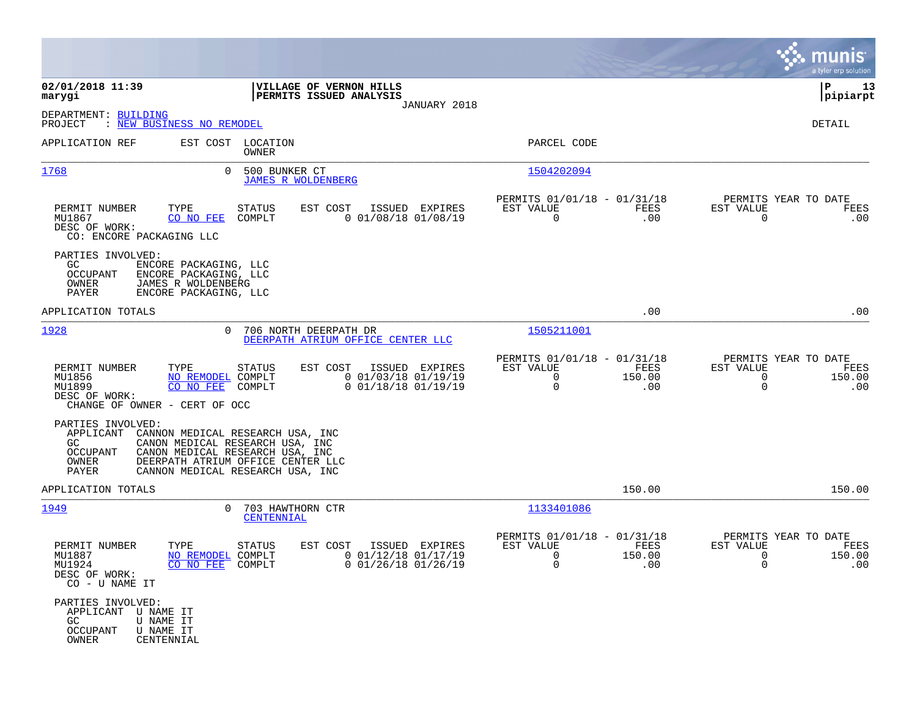|                                                                                                                                                         |                                                                                                                                                                                 |                                                                                              | munis<br>a tyler erp solution                                                            |
|---------------------------------------------------------------------------------------------------------------------------------------------------------|---------------------------------------------------------------------------------------------------------------------------------------------------------------------------------|----------------------------------------------------------------------------------------------|------------------------------------------------------------------------------------------|
| 02/01/2018 11:39<br>marygi                                                                                                                              | VILLAGE OF VERNON HILLS<br>PERMITS ISSUED ANALYSIS<br>JANUARY 2018                                                                                                              |                                                                                              | ΙP<br>13<br> pipiarpt                                                                    |
| DEPARTMENT: BUILDING<br>: NEW BUSINESS NO REMODEL<br>PROJECT                                                                                            |                                                                                                                                                                                 |                                                                                              | DETAIL                                                                                   |
| APPLICATION REF                                                                                                                                         | EST COST LOCATION<br>OWNER                                                                                                                                                      | PARCEL CODE                                                                                  |                                                                                          |
| 1768                                                                                                                                                    | $\Omega$<br>500 BUNKER CT<br><b>JAMES R WOLDENBERG</b>                                                                                                                          | 1504202094                                                                                   |                                                                                          |
| PERMIT NUMBER<br>TYPE<br>MU1867<br>CO NO FEE<br>DESC OF WORK:<br>CO: ENCORE PACKAGING LLC                                                               | <b>STATUS</b><br>ISSUED EXPIRES<br>EST COST<br>$0$ 01/08/18 01/08/19<br>COMPLT                                                                                                  | PERMITS 01/01/18 - 01/31/18<br>EST VALUE<br>FEES<br>$\overline{0}$<br>.00                    | PERMITS YEAR TO DATE<br>EST VALUE<br>FEES<br>$\mathbf 0$<br>.00                          |
| PARTIES INVOLVED:<br>GC.<br>ENCORE PACKAGING, LLC<br>OCCUPANT<br>ENCORE PACKAGING, LLC<br>OWNER<br>JAMES R WOLDENBERG<br>PAYER<br>ENCORE PACKAGING, LLC |                                                                                                                                                                                 |                                                                                              |                                                                                          |
| APPLICATION TOTALS                                                                                                                                      |                                                                                                                                                                                 | .00                                                                                          | .00                                                                                      |
| 1928                                                                                                                                                    | 0 706 NORTH DEERPATH DR<br>DEERPATH ATRIUM OFFICE CENTER LLC                                                                                                                    | 1505211001                                                                                   |                                                                                          |
| TYPE<br>PERMIT NUMBER<br>MU1856<br>MU1899<br>CO NO FEE<br>DESC OF WORK:<br>CHANGE OF OWNER - CERT OF OCC                                                | STATUS<br>EST COST<br>ISSUED EXPIRES<br>NO REMODEL COMPLT<br>$0$ 01/03/18 01/19/19<br>$0$ 01/18/18 01/19/19<br>COMPLT                                                           | PERMITS 01/01/18 - 01/31/18<br>EST VALUE<br>FEES<br>150.00<br>$\Omega$<br>$\mathbf 0$<br>.00 | PERMITS YEAR TO DATE<br>EST VALUE<br>FEES<br>$\mathbf 0$<br>150.00<br>$\mathbf 0$<br>.00 |
| PARTIES INVOLVED:<br>APPLICANT<br>GC.<br><b>OCCUPANT</b><br>OWNER<br>PAYER                                                                              | CANNON MEDICAL RESEARCH USA, INC<br>CANON MEDICAL RESEARCH USA, INC<br>CANON MEDICAL RESEARCH USA, INC<br>DEERPATH ATRIUM OFFICE CENTER LLC<br>CANNON MEDICAL RESEARCH USA, INC |                                                                                              |                                                                                          |
| APPLICATION TOTALS                                                                                                                                      |                                                                                                                                                                                 | 150.00                                                                                       | 150.00                                                                                   |
| 1949                                                                                                                                                    | $\Omega$<br>703 HAWTHORN CTR<br>CENTENNIAL                                                                                                                                      | 1133401086                                                                                   |                                                                                          |
| PERMIT NUMBER<br>TYPE<br>MU1887<br>MU1924<br>DESC OF WORK:<br>CO - U NAME IT                                                                            | STATUS<br>EST COST<br>ISSUED EXPIRES<br>NO REMODEL COMPLT<br>$0$ 01/12/18 01/17/19<br>CO NO FEE COMPLT<br>$0$ 01/26/18 01/26/19                                                 | PERMITS 01/01/18 - 01/31/18<br>EST VALUE<br>FEES<br>0<br>150.00<br>0<br>.00                  | PERMITS YEAR TO DATE<br>EST VALUE<br>FEES<br>0<br>150.00<br>0<br>.00                     |
| PARTIES INVOLVED:<br>APPLICANT<br>U NAME IT<br>GC<br>U NAME IT<br>U NAME IT<br>OCCUPANT<br>OWNER<br>CENTENNIAL                                          |                                                                                                                                                                                 |                                                                                              |                                                                                          |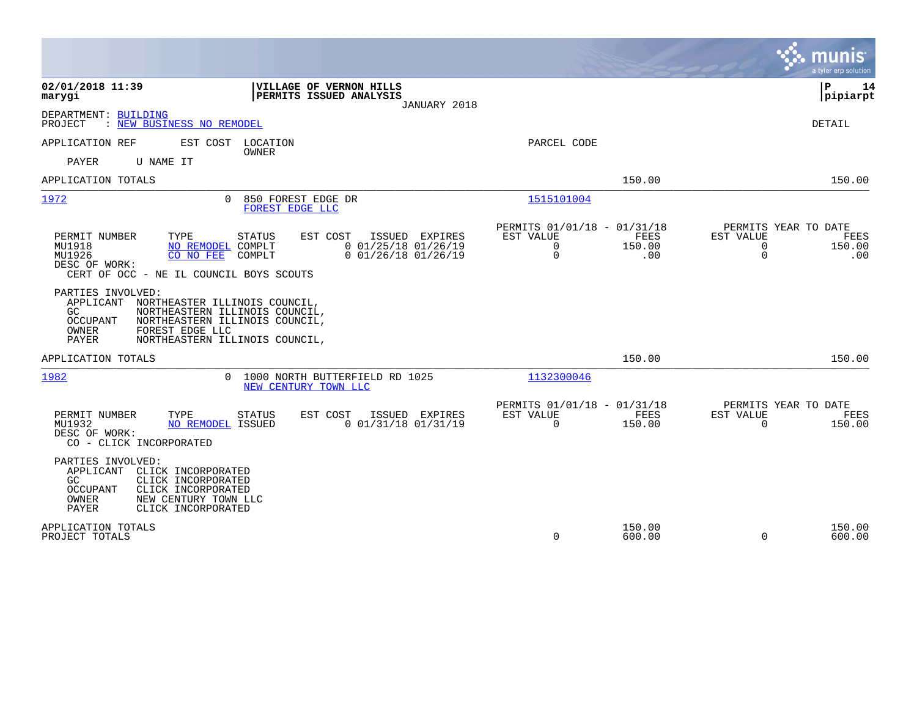|                                                                                                                                                                                                                                                       |                                                                                    | munis<br>a tyler erp solution                                                         |
|-------------------------------------------------------------------------------------------------------------------------------------------------------------------------------------------------------------------------------------------------------|------------------------------------------------------------------------------------|---------------------------------------------------------------------------------------|
| 02/01/2018 11:39<br>VILLAGE OF VERNON HILLS<br>PERMITS ISSUED ANALYSIS<br>marygi<br>JANUARY 2018                                                                                                                                                      |                                                                                    | ΙP<br>14<br> pipiarpt                                                                 |
| DEPARTMENT: BUILDING<br>PROJECT<br>: NEW BUSINESS NO REMODEL                                                                                                                                                                                          |                                                                                    | DETAIL                                                                                |
| APPLICATION REF<br>EST COST<br>LOCATION<br><b>OWNER</b>                                                                                                                                                                                               | PARCEL CODE                                                                        |                                                                                       |
| U NAME IT<br><b>PAYER</b><br>APPLICATION TOTALS                                                                                                                                                                                                       | 150.00                                                                             | 150.00                                                                                |
| 850 FOREST EDGE DR<br>1972<br>$\Omega$<br>FOREST EDGE LLC                                                                                                                                                                                             | 1515101004                                                                         |                                                                                       |
| TYPE<br>EST COST<br>ISSUED<br>PERMIT NUMBER<br><b>STATUS</b><br>EXPIRES<br>MU1918<br>NO REMODEL COMPLT<br>$0$ 01/25/18 01/26/19<br>$0$ 01/26/18 01/26/19<br>MU1926<br>CO NO FEE<br>COMPLT<br>DESC OF WORK:<br>CERT OF OCC - NE IL COUNCIL BOYS SCOUTS | PERMITS 01/01/18 - 01/31/18<br>EST VALUE<br><b>FEES</b><br>0<br>150.00<br>0<br>.00 | PERMITS YEAR TO DATE<br>EST VALUE<br>FEES<br>$\mathbf 0$<br>150.00<br>$\Omega$<br>.00 |
| PARTIES INVOLVED:<br>APPLICANT<br>NORTHEASTER ILLINOIS COUNCIL,<br>GC<br>NORTHEASTERN ILLINOIS COUNCIL,<br><b>OCCUPANT</b><br>NORTHEASTERN ILLINOIS COUNCIL,<br>OWNER<br>FOREST EDGE LLC<br>NORTHEASTERN ILLINOIS COUNCIL,<br>PAYER                   |                                                                                    |                                                                                       |
| APPLICATION TOTALS                                                                                                                                                                                                                                    | 150.00                                                                             | 150.00                                                                                |
| 1982<br>1000 NORTH BUTTERFIELD RD 1025<br>$\Omega$<br>NEW CENTURY TOWN LLC                                                                                                                                                                            | 1132300046                                                                         |                                                                                       |
| PERMIT NUMBER<br>TYPE<br>EST COST<br>ISSUED<br><b>STATUS</b><br>EXPIRES<br>$0$ $01/31/18$ $01/31/19$<br>MU1932<br>NO REMODEL ISSUED<br>DESC OF WORK:<br>CO - CLICK INCORPORATED                                                                       | PERMITS 01/01/18 - 01/31/18<br>EST VALUE<br>FEES<br>$\Omega$<br>150.00             | PERMITS YEAR TO DATE<br>EST VALUE<br>FEES<br>$\Omega$<br>150.00                       |
| PARTIES INVOLVED:<br>APPLICANT<br>CLICK INCORPORATED<br>CLICK INCORPORATED<br>GC.<br>CLICK INCORPORATED<br>OCCUPANT<br>OWNER<br>NEW CENTURY TOWN LLC<br>PAYER<br>CLICK INCORPORATED                                                                   |                                                                                    |                                                                                       |
| APPLICATION TOTALS<br>PROJECT TOTALS                                                                                                                                                                                                                  | 150.00<br>0<br>600.00                                                              | 150.00<br>$\Omega$<br>600.00                                                          |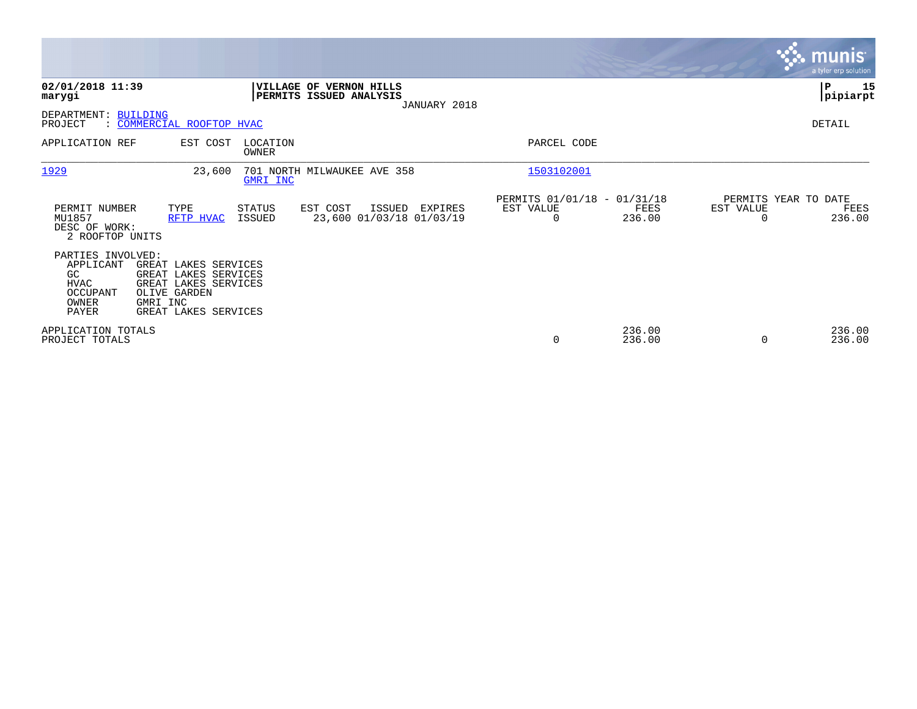|                                                                                    |                                                                                                                          |                          |                                                                    |                                                      |                  |                       | <b>munis</b><br>a tyler erp solution   |
|------------------------------------------------------------------------------------|--------------------------------------------------------------------------------------------------------------------------|--------------------------|--------------------------------------------------------------------|------------------------------------------------------|------------------|-----------------------|----------------------------------------|
| 02/01/2018 11:39<br>marygi                                                         |                                                                                                                          |                          | VILLAGE OF VERNON HILLS<br>PERMITS ISSUED ANALYSIS<br>JANUARY 2018 |                                                      |                  |                       | P<br>15<br> pipiarpt                   |
| DEPARTMENT: BUILDING<br>PROJECT                                                    | : COMMERCIAL ROOFTOP HVAC                                                                                                |                          |                                                                    |                                                      |                  |                       | DETAIL                                 |
| APPLICATION REF                                                                    | EST COST                                                                                                                 | LOCATION<br><b>OWNER</b> |                                                                    | PARCEL CODE                                          |                  |                       |                                        |
| 1929                                                                               | 23,600                                                                                                                   | GMRI INC                 | 701 NORTH MILWAUKEE AVE 358                                        | 1503102001                                           |                  |                       |                                        |
| PERMIT NUMBER<br>MU1857<br>DESC OF WORK:<br>2 ROOFTOP UNITS                        | TYPE<br>RFTP HVAC                                                                                                        | STATUS<br>ISSUED         | EST COST<br>ISSUED<br>EXPIRES<br>23,600 01/03/18 01/03/19          | PERMITS 01/01/18 - 01/31/18<br>EST VALUE<br>$\Omega$ | FEES<br>236.00   | EST VALUE<br>$\Omega$ | PERMITS YEAR TO DATE<br>FEES<br>236.00 |
| PARTIES INVOLVED:<br>APPLICANT<br>GC.<br><b>HVAC</b><br>OCCUPANT<br>OWNER<br>PAYER | GREAT LAKES SERVICES<br>GREAT LAKES SERVICES<br>GREAT LAKES SERVICES<br>OLIVE GARDEN<br>GMRI INC<br>GREAT LAKES SERVICES |                          |                                                                    |                                                      |                  |                       |                                        |
| APPLICATION TOTALS<br>PROJECT TOTALS                                               |                                                                                                                          |                          |                                                                    | 0                                                    | 236.00<br>236.00 | 0                     | 236.00<br>236.00                       |

**Contract**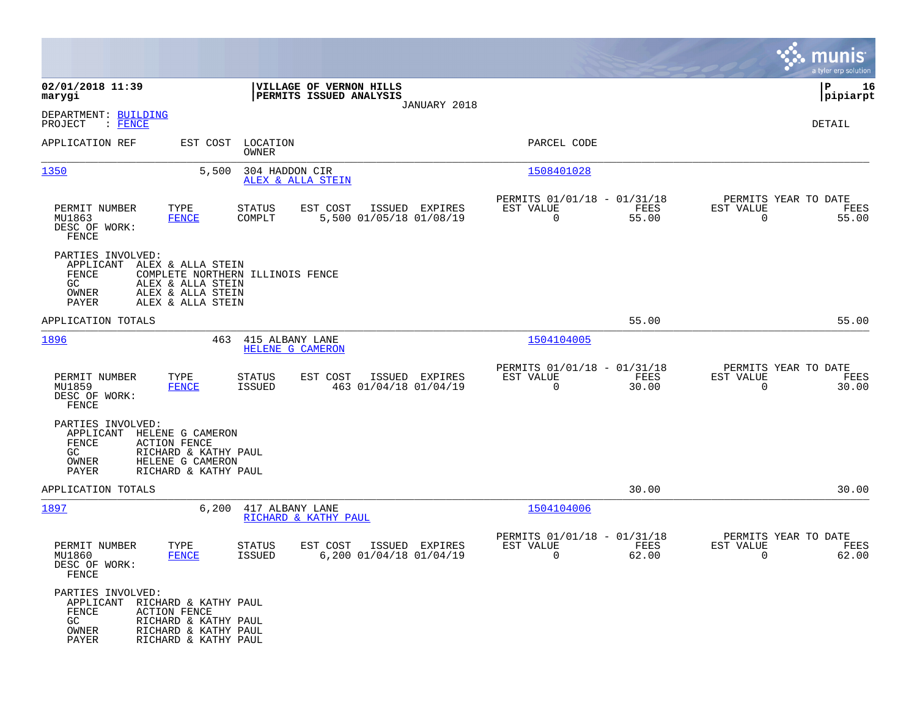|                                                                 |                                                                                                                     |                                                    |                         |                |                                                         |                      |                                                  | munis<br>a tyler erp solution |
|-----------------------------------------------------------------|---------------------------------------------------------------------------------------------------------------------|----------------------------------------------------|-------------------------|----------------|---------------------------------------------------------|----------------------|--------------------------------------------------|-------------------------------|
| 02/01/2018 11:39<br>marygi                                      |                                                                                                                     | VILLAGE OF VERNON HILLS<br>PERMITS ISSUED ANALYSIS |                         |                |                                                         |                      |                                                  | 16<br>IΡ<br> pipiarpt         |
| DEPARTMENT: BUILDING<br>$:$ FENCE<br>PROJECT                    |                                                                                                                     |                                                    |                         | JANUARY 2018   |                                                         |                      |                                                  | DETAIL                        |
| APPLICATION REF                                                 |                                                                                                                     | EST COST LOCATION<br>OWNER                         |                         |                | PARCEL CODE                                             |                      |                                                  |                               |
| 1350                                                            | 5,500                                                                                                               | 304 HADDON CIR<br>ALEX & ALLA STEIN                |                         |                | 1508401028                                              |                      |                                                  |                               |
| PERMIT NUMBER<br>MU1863<br>DESC OF WORK:<br>FENCE               | TYPE<br><b>FENCE</b>                                                                                                | <b>STATUS</b><br>EST COST<br>COMPLT                | 5,500 01/05/18 01/08/19 | ISSUED EXPIRES | PERMITS 01/01/18 - 01/31/18<br>EST VALUE<br>$\mathbf 0$ | FEES<br>55.00        | PERMITS YEAR TO DATE<br>EST VALUE<br>$\mathbf 0$ | FEES<br>55.00                 |
| PARTIES INVOLVED:<br>APPLICANT<br>FENCE<br>GC<br>OWNER<br>PAYER | ALEX & ALLA STEIN<br>ALEX & ALLA STEIN<br>ALEX & ALLA STEIN<br>ALEX & ALLA STEIN                                    | COMPLETE NORTHERN ILLINOIS FENCE                   |                         |                |                                                         |                      |                                                  |                               |
| APPLICATION TOTALS                                              |                                                                                                                     |                                                    |                         |                |                                                         | 55.00                |                                                  | 55.00                         |
| 1896                                                            | 463                                                                                                                 | 415 ALBANY LANE<br>HELENE G CAMERON                |                         |                | 1504104005                                              |                      |                                                  |                               |
| PERMIT NUMBER<br>MU1859<br>DESC OF WORK:<br>FENCE               | TYPE<br>FENCE                                                                                                       | STATUS<br>EST COST<br><b>ISSUED</b>                | 463 01/04/18 01/04/19   | ISSUED EXPIRES | PERMITS 01/01/18 - 01/31/18<br>EST VALUE<br>$\Omega$    | FEES<br>30.00        | PERMITS YEAR TO DATE<br>EST VALUE<br>$\Omega$    | FEES<br>30.00                 |
| PARTIES INVOLVED:<br>APPLICANT<br>FENCE<br>GC<br>OWNER<br>PAYER | HELENE G CAMERON<br><b>ACTION FENCE</b><br>RICHARD & KATHY PAUL<br>HELENE G CAMERON<br>RICHARD & KATHY PAUL         |                                                    |                         |                |                                                         |                      |                                                  |                               |
| APPLICATION TOTALS                                              |                                                                                                                     |                                                    |                         |                |                                                         | 30.00                |                                                  | 30.00                         |
| 1897                                                            | 6,200                                                                                                               | 417 ALBANY LANE<br>RICHARD & KATHY PAUL            |                         |                | 1504104006                                              |                      |                                                  |                               |
| PERMIT NUMBER<br>MU1860<br>DESC OF WORK:<br>FENCE               | TYPE<br><b>FENCE</b>                                                                                                | STATUS<br>EST COST<br><b>ISSUED</b>                | 6,200 01/04/18 01/04/19 | ISSUED EXPIRES | PERMITS 01/01/18 - 01/31/18<br>EST VALUE<br>$\mathbf 0$ | <b>FEES</b><br>62.00 | PERMITS YEAR TO DATE<br>EST VALUE<br>0           | FEES<br>62.00                 |
| PARTIES INVOLVED:<br>APPLICANT<br>FENCE<br>GC<br>OWNER<br>PAYER | RICHARD & KATHY PAUL<br><b>ACTION FENCE</b><br>RICHARD & KATHY PAUL<br>RICHARD & KATHY PAUL<br>RICHARD & KATHY PAUL |                                                    |                         |                |                                                         |                      |                                                  |                               |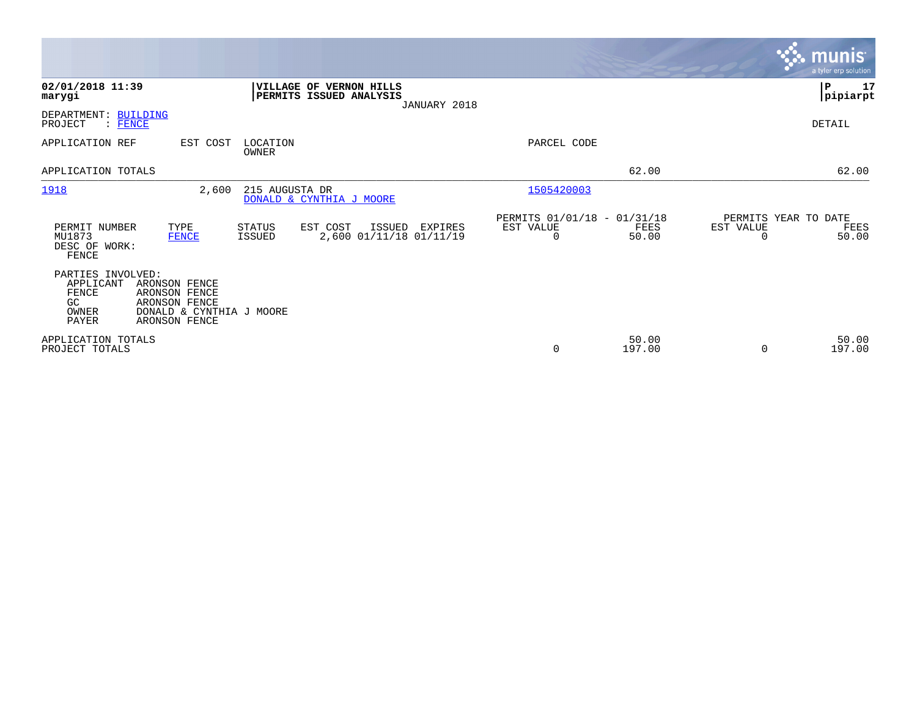|                                                                 |                                                                                              |                   |                                                    |              |                                                         |                 |                                               | <b>munis</b><br>a tyler erp solution |
|-----------------------------------------------------------------|----------------------------------------------------------------------------------------------|-------------------|----------------------------------------------------|--------------|---------------------------------------------------------|-----------------|-----------------------------------------------|--------------------------------------|
| 02/01/2018 11:39<br>marygi                                      |                                                                                              |                   | VILLAGE OF VERNON HILLS<br>PERMITS ISSUED ANALYSIS | JANUARY 2018 |                                                         |                 |                                               | 17<br>P<br> pipiarpt                 |
| DEPARTMENT: BUILDING<br>PROJECT<br>: FENCE                      |                                                                                              |                   |                                                    |              |                                                         |                 |                                               | DETAIL                               |
| APPLICATION REF                                                 | EST COST                                                                                     | LOCATION<br>OWNER |                                                    |              | PARCEL CODE                                             |                 |                                               |                                      |
| APPLICATION TOTALS                                              |                                                                                              |                   |                                                    |              |                                                         | 62.00           |                                               | 62.00                                |
| 1918                                                            | 2,600                                                                                        | 215 AUGUSTA DR    | DONALD & CYNTHIA J MOORE                           |              | 1505420003                                              |                 |                                               |                                      |
| PERMIT NUMBER<br>MU1873<br>DESC OF WORK:<br>FENCE               | TYPE<br><b>FENCE</b>                                                                         | STATUS<br>ISSUED  | EST COST<br>ISSUED<br>2,600 01/11/18 01/11/19      | EXPIRES      | PERMITS 01/01/18 - 01/31/18<br>EST VALUE<br>$\mathbf 0$ | FEES<br>50.00   | PERMITS YEAR TO DATE<br>EST VALUE<br>$\Omega$ | FEES<br>50.00                        |
| PARTIES INVOLVED:<br>APPLICANT<br>FENCE<br>GC<br>OWNER<br>PAYER | ARONSON FENCE<br>ARONSON FENCE<br>ARONSON FENCE<br>DONALD & CYNTHIA J MOORE<br>ARONSON FENCE |                   |                                                    |              |                                                         |                 |                                               |                                      |
| APPLICATION TOTALS<br>PROJECT TOTALS                            |                                                                                              |                   |                                                    |              | 0                                                       | 50.00<br>197.00 | $\Omega$                                      | 50.00<br>197.00                      |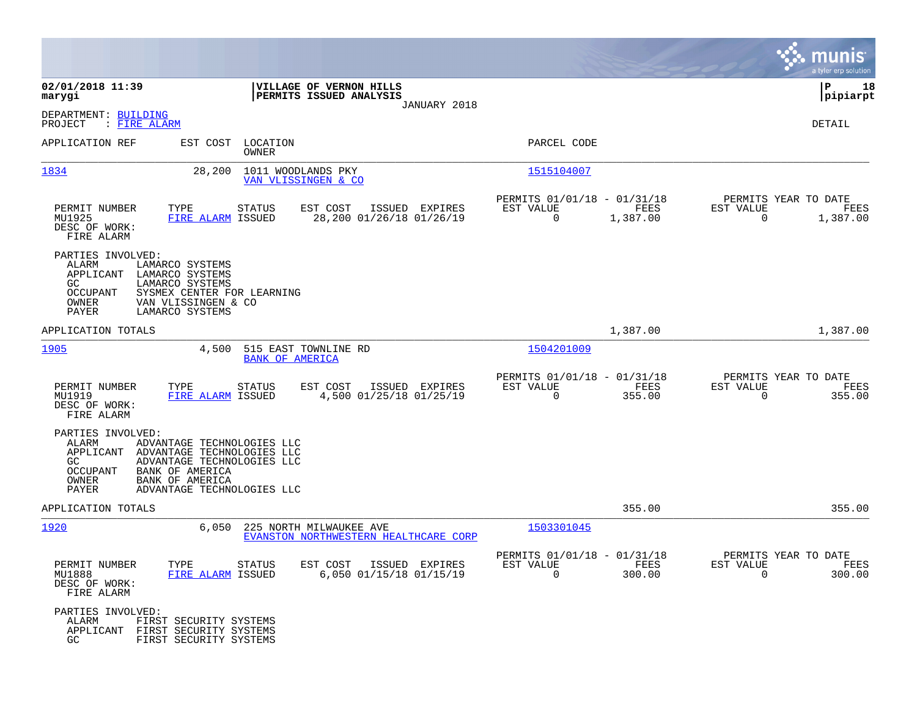|                                                                                                                                                                                                                                                  |                                               |                                               |                  |                                                  | munis<br>a tyler erp solution |
|--------------------------------------------------------------------------------------------------------------------------------------------------------------------------------------------------------------------------------------------------|-----------------------------------------------|-----------------------------------------------|------------------|--------------------------------------------------|-------------------------------|
| VILLAGE OF VERNON HILLS<br>02/01/2018 11:39<br>marygi<br>PERMITS ISSUED ANALYSIS                                                                                                                                                                 |                                               |                                               |                  |                                                  | ΙP<br>18<br> pipiarpt         |
| DEPARTMENT: BUILDING<br>PROJECT<br>: FIRE ALARM                                                                                                                                                                                                  | JANUARY 2018                                  |                                               |                  |                                                  | DETAIL                        |
| APPLICATION REF<br>EST COST<br>LOCATION<br>OWNER                                                                                                                                                                                                 |                                               | PARCEL CODE                                   |                  |                                                  |                               |
| 1834<br>28,200<br>1011 WOODLANDS PKY<br>VAN VLISSINGEN & CO                                                                                                                                                                                      |                                               | 1515104007                                    |                  |                                                  |                               |
| EST COST<br>PERMIT NUMBER<br>TYPE<br><b>STATUS</b><br>MU1925<br>FIRE ALARM ISSUED<br>DESC OF WORK:<br>FIRE ALARM                                                                                                                                 | ISSUED<br>EXPIRES<br>28,200 01/26/18 01/26/19 | PERMITS 01/01/18 - 01/31/18<br>EST VALUE<br>0 | FEES<br>1,387.00 | PERMITS YEAR TO DATE<br>EST VALUE<br>$\mathbf 0$ | FEES<br>1,387.00              |
| PARTIES INVOLVED:<br>LAMARCO SYSTEMS<br>ALARM<br>APPLICANT<br>LAMARCO SYSTEMS<br>GC<br>LAMARCO SYSTEMS<br>OCCUPANT<br>SYSMEX CENTER FOR LEARNING<br>OWNER<br>VAN VLISSINGEN & CO<br>PAYER<br>LAMARCO SYSTEMS                                     |                                               |                                               |                  |                                                  |                               |
| APPLICATION TOTALS                                                                                                                                                                                                                               |                                               |                                               | 1,387.00         |                                                  | 1,387.00                      |
| 1905<br>515 EAST TOWNLINE RD<br>4,500<br><b>BANK OF AMERICA</b>                                                                                                                                                                                  |                                               | 1504201009                                    |                  |                                                  |                               |
| EST COST<br>PERMIT NUMBER<br>TYPE<br><b>STATUS</b><br>MU1919<br>FIRE ALARM ISSUED<br>DESC OF WORK:<br>FIRE ALARM                                                                                                                                 | ISSUED EXPIRES<br>4,500 01/25/18 01/25/19     | PERMITS 01/01/18 - 01/31/18<br>EST VALUE<br>0 | FEES<br>355.00   | PERMITS YEAR TO DATE<br>EST VALUE<br>0           | FEES<br>355.00                |
| PARTIES INVOLVED:<br>ADVANTAGE TECHNOLOGIES LLC<br>ALARM<br>APPLICANT<br>ADVANTAGE TECHNOLOGIES LLC<br><b>GC</b><br>ADVANTAGE TECHNOLOGIES LLC<br>OCCUPANT<br>BANK OF AMERICA<br>BANK OF AMERICA<br>OWNER<br>PAYER<br>ADVANTAGE TECHNOLOGIES LLC |                                               |                                               |                  |                                                  |                               |
| APPLICATION TOTALS                                                                                                                                                                                                                               |                                               |                                               | 355.00           |                                                  | 355.00                        |
| 1920<br>6,050<br>225 NORTH MILWAUKEE AVE<br>EVANSTON NORTHWESTERN HEALTHCARE CORP                                                                                                                                                                |                                               | 1503301045                                    |                  |                                                  |                               |
| EST COST<br>PERMIT NUMBER<br>TYPE<br><b>STATUS</b><br>MU1888<br>FIRE ALARM ISSUED<br>DESC OF WORK:<br>FIRE ALARM                                                                                                                                 | ISSUED EXPIRES<br>6,050 01/15/18 01/15/19     | PERMITS 01/01/18 - 01/31/18<br>EST VALUE<br>0 | FEES<br>300.00   | PERMITS YEAR TO DATE<br>EST VALUE<br>0           | FEES<br>300.00                |
| PARTIES INVOLVED:<br>ALARM<br>FIRST SECURITY SYSTEMS<br>APPLICANT<br>FIRST SECURITY SYSTEMS<br>GC<br>FIRST SECURITY SYSTEMS                                                                                                                      |                                               |                                               |                  |                                                  |                               |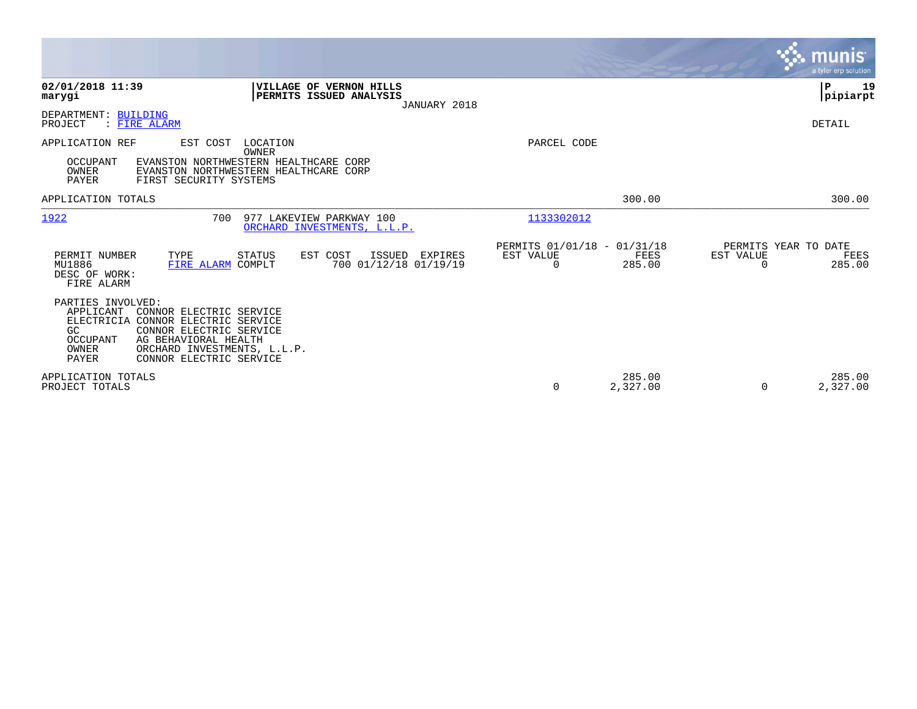|                                                                                                                                                                                                                                                         |                                                      |                    |                                               | munis<br>a tyler erp solution |
|---------------------------------------------------------------------------------------------------------------------------------------------------------------------------------------------------------------------------------------------------------|------------------------------------------------------|--------------------|-----------------------------------------------|-------------------------------|
| 02/01/2018 11:39<br>VILLAGE OF VERNON HILLS<br>PERMITS ISSUED ANALYSIS<br>marygi<br>JANUARY 2018                                                                                                                                                        |                                                      |                    | l P                                           | 19<br> pipiarpt               |
| DEPARTMENT: BUILDING<br>PROJECT<br>: FIRE ALARM                                                                                                                                                                                                         |                                                      |                    | DETAIL                                        |                               |
| APPLICATION REF<br>EST COST<br>LOCATION<br>OWNER<br>OCCUPANT<br>EVANSTON NORTHWESTERN HEALTHCARE CORP<br>OWNER<br>EVANSTON NORTHWESTERN HEALTHCARE CORP<br>PAYER<br>FIRST SECURITY SYSTEMS                                                              | PARCEL CODE                                          |                    |                                               |                               |
| APPLICATION TOTALS                                                                                                                                                                                                                                      |                                                      | 300.00             |                                               | 300.00                        |
| 1922<br>977 LAKEVIEW PARKWAY 100<br>700<br>ORCHARD INVESTMENTS, L.L.P.                                                                                                                                                                                  | 1133302012                                           |                    |                                               |                               |
| PERMIT NUMBER<br>TYPE<br>STATUS<br>EST COST<br>ISSUED<br>EXPIRES<br>MU1886<br>700 01/12/18 01/19/19<br>FIRE ALARM COMPLT<br>DESC OF WORK:<br>FIRE ALARM                                                                                                 | PERMITS 01/01/18 - 01/31/18<br>EST VALUE<br>$\Omega$ | FEES<br>285.00     | PERMITS YEAR TO DATE<br>EST VALUE<br>$\Omega$ | FEES<br>285.00                |
| PARTIES INVOLVED:<br>APPLICANT<br>CONNOR ELECTRIC SERVICE<br>ELECTRICIA CONNOR ELECTRIC SERVICE<br>GC<br>CONNOR ELECTRIC SERVICE<br>OCCUPANT<br>AG BEHAVIORAL HEALTH<br>OWNER<br>ORCHARD INVESTMENTS, L.L.P.<br><b>PAYER</b><br>CONNOR ELECTRIC SERVICE |                                                      |                    |                                               |                               |
| APPLICATION TOTALS<br>PROJECT TOTALS                                                                                                                                                                                                                    | 0                                                    | 285.00<br>2,327.00 | 0                                             | 285.00<br>2,327.00            |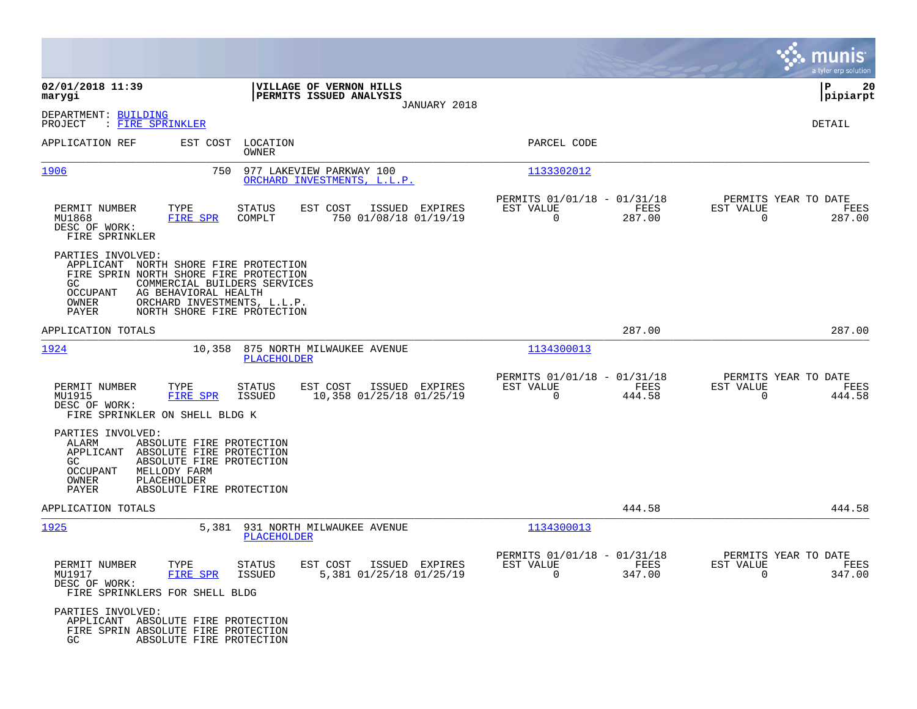|                                                                                                                                                                                                                                                                |                                                                                   |                                                                           | munis<br>a tyler erp solution                                   |
|----------------------------------------------------------------------------------------------------------------------------------------------------------------------------------------------------------------------------------------------------------------|-----------------------------------------------------------------------------------|---------------------------------------------------------------------------|-----------------------------------------------------------------|
| 02/01/2018 11:39<br>marygi                                                                                                                                                                                                                                     | VILLAGE OF VERNON HILLS<br>PERMITS ISSUED ANALYSIS                                |                                                                           | 20<br>ΙP<br> pipiarpt                                           |
| DEPARTMENT: BUILDING<br>PROJECT<br>: FIRE SPRINKLER                                                                                                                                                                                                            | JANUARY 2018                                                                      |                                                                           | DETAIL                                                          |
| APPLICATION REF                                                                                                                                                                                                                                                | EST COST LOCATION<br><b>OWNER</b>                                                 | PARCEL CODE                                                               |                                                                 |
| 1906<br>750                                                                                                                                                                                                                                                    | 977 LAKEVIEW PARKWAY 100<br>ORCHARD INVESTMENTS, L.L.P.                           | 1133302012                                                                |                                                                 |
| PERMIT NUMBER<br>TYPE<br>MU1868<br>FIRE SPR<br>DESC OF WORK:<br>FIRE SPRINKLER                                                                                                                                                                                 | ISSUED EXPIRES<br><b>STATUS</b><br>EST COST<br>750 01/08/18 01/19/19<br>COMPLT    | PERMITS 01/01/18 - 01/31/18<br>FEES<br>EST VALUE<br>$\mathbf 0$<br>287.00 | PERMITS YEAR TO DATE<br>EST VALUE<br>FEES<br>$\Omega$<br>287.00 |
| PARTIES INVOLVED:<br>APPLICANT NORTH SHORE FIRE PROTECTION<br>FIRE SPRIN NORTH SHORE FIRE PROTECTION<br>GC<br>COMMERCIAL BUILDERS SERVICES<br>AG BEHAVIORAL HEALTH<br>OCCUPANT<br>OWNER<br>ORCHARD INVESTMENTS, L.L.P.<br>NORTH SHORE FIRE PROTECTION<br>PAYER |                                                                                   |                                                                           |                                                                 |
| APPLICATION TOTALS                                                                                                                                                                                                                                             |                                                                                   | 287.00                                                                    | 287.00                                                          |
| 1924                                                                                                                                                                                                                                                           | 10,358 875 NORTH MILWAUKEE AVENUE<br>PLACEHOLDER                                  | 1134300013                                                                |                                                                 |
| PERMIT NUMBER<br>TYPE<br>MU1915<br>FIRE SPR<br>DESC OF WORK:<br>FIRE SPRINKLER ON SHELL BLDG K                                                                                                                                                                 | <b>STATUS</b><br>EST COST<br>ISSUED EXPIRES<br>10,358 01/25/18 01/25/19<br>ISSUED | PERMITS 01/01/18 - 01/31/18<br>EST VALUE<br>FEES<br>$\Omega$<br>444.58    | PERMITS YEAR TO DATE<br>EST VALUE<br>FEES<br>444.58<br>$\Omega$ |
| PARTIES INVOLVED:<br>ALARM<br>ABSOLUTE FIRE PROTECTION<br>APPLICANT ABSOLUTE FIRE PROTECTION<br>GC<br>ABSOLUTE FIRE PROTECTION<br>OCCUPANT<br>MELLODY FARM<br>PLACEHOLDER<br>OWNER<br>PAYER<br>ABSOLUTE FIRE PROTECTION                                        |                                                                                   |                                                                           |                                                                 |
| APPLICATION TOTALS                                                                                                                                                                                                                                             |                                                                                   | 444.58                                                                    | 444.58                                                          |
| 1925<br>5,381                                                                                                                                                                                                                                                  | 931 NORTH MILWAUKEE AVENUE<br>PLACEHOLDER                                         | 1134300013                                                                |                                                                 |
| PERMIT NUMBER<br>TYPE<br>MU1917<br>FIRE SPR<br>DESC OF WORK:<br>FIRE SPRINKLERS FOR SHELL BLDG                                                                                                                                                                 | STATUS EST COST ISSUED EXPIRES<br>ISSUED<br>5,381 01/25/18 01/25/19               | PERMITS 01/01/18 - 01/31/18<br>EST VALUE<br>FEES<br>$\Omega$<br>347.00    | PERMITS YEAR TO DATE<br>EST VALUE<br>FEES<br>$\Omega$<br>347.00 |
| PARTIES INVOLVED:<br>APPLICANT ABSOLUTE FIRE PROTECTION<br>FIRE SPRIN ABSOLUTE FIRE PROTECTION<br>ABSOLUTE FIRE PROTECTION<br>GC.                                                                                                                              |                                                                                   |                                                                           |                                                                 |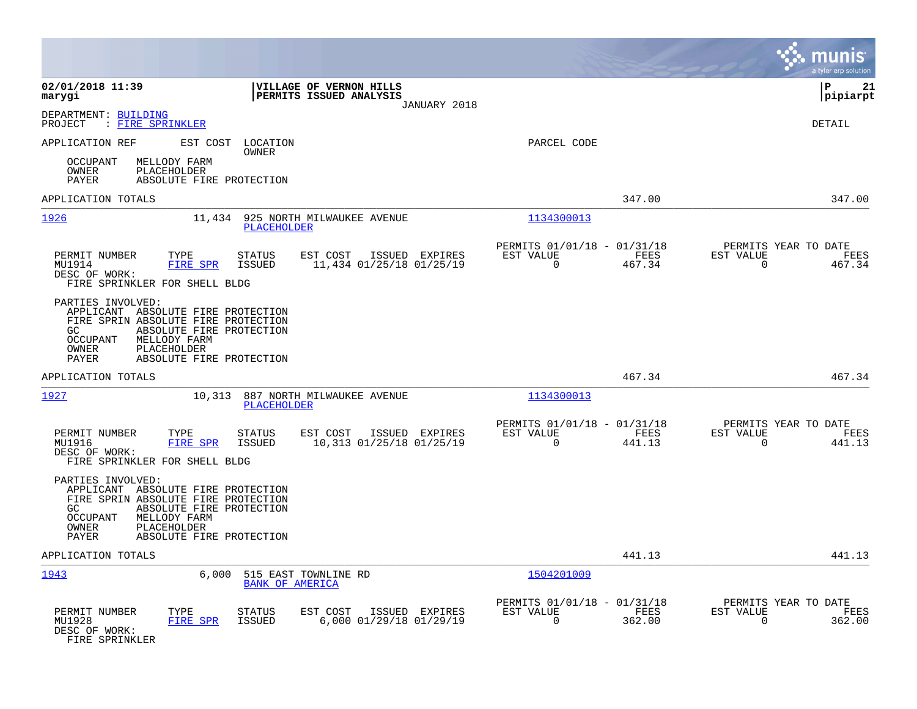|                                                                                                                                                                                                                                  |                                                                    |                                                                           | munis<br>a tyler erp solution                                      |
|----------------------------------------------------------------------------------------------------------------------------------------------------------------------------------------------------------------------------------|--------------------------------------------------------------------|---------------------------------------------------------------------------|--------------------------------------------------------------------|
| 02/01/2018 11:39<br>marygi                                                                                                                                                                                                       | VILLAGE OF VERNON HILLS<br>PERMITS ISSUED ANALYSIS<br>JANUARY 2018 |                                                                           | lР<br>21<br> pipiarpt                                              |
| DEPARTMENT: BUILDING<br>PROJECT<br>: FIRE SPRINKLER                                                                                                                                                                              |                                                                    |                                                                           | <b>DETAIL</b>                                                      |
| APPLICATION REF<br>EST COST LOCATION<br>OWNER                                                                                                                                                                                    |                                                                    | PARCEL CODE                                                               |                                                                    |
| OCCUPANT<br>MELLODY FARM<br>OWNER<br>PLACEHOLDER<br><b>PAYER</b><br>ABSOLUTE FIRE PROTECTION                                                                                                                                     |                                                                    |                                                                           |                                                                    |
| APPLICATION TOTALS                                                                                                                                                                                                               |                                                                    | 347.00                                                                    | 347.00                                                             |
| 1926                                                                                                                                                                                                                             | 11,434 925 NORTH MILWAUKEE AVENUE<br>PLACEHOLDER                   | 1134300013                                                                |                                                                    |
| PERMIT NUMBER<br>TYPE<br><b>STATUS</b><br>MU1914<br>FIRE SPR<br>ISSUED<br>DESC OF WORK:<br>FIRE SPRINKLER FOR SHELL BLDG                                                                                                         | EST COST<br>ISSUED EXPIRES<br>11,434 01/25/18 01/25/19             | PERMITS 01/01/18 - 01/31/18<br>EST VALUE<br>FEES<br>$\mathbf 0$<br>467.34 | PERMITS YEAR TO DATE<br>EST VALUE<br>FEES<br>$\mathbf 0$<br>467.34 |
| PARTIES INVOLVED:<br>APPLICANT ABSOLUTE FIRE PROTECTION<br>FIRE SPRIN ABSOLUTE FIRE PROTECTION<br>GC<br>ABSOLUTE FIRE PROTECTION<br><b>OCCUPANT</b><br>MELLODY FARM<br>OWNER<br>PLACEHOLDER<br>PAYER<br>ABSOLUTE FIRE PROTECTION |                                                                    |                                                                           |                                                                    |
| APPLICATION TOTALS                                                                                                                                                                                                               |                                                                    | 467.34                                                                    | 467.34                                                             |
| <u> 1927</u>                                                                                                                                                                                                                     | 10,313 887 NORTH MILWAUKEE AVENUE<br>PLACEHOLDER                   | 1134300013                                                                |                                                                    |
| PERMIT NUMBER<br>TYPE<br><b>STATUS</b><br><b>FIRE SPR</b><br>MU1916<br>ISSUED<br>DESC OF WORK:<br>FIRE SPRINKLER FOR SHELL BLDG                                                                                                  | EST COST<br>ISSUED EXPIRES<br>10,313 01/25/18 01/25/19             | PERMITS 01/01/18 - 01/31/18<br>EST VALUE<br>FEES<br>0<br>441.13           | PERMITS YEAR TO DATE<br>EST VALUE<br>FEES<br>441.13<br>0           |
| PARTIES INVOLVED:<br>APPLICANT ABSOLUTE FIRE PROTECTION<br>FIRE SPRIN ABSOLUTE FIRE PROTECTION<br>ABSOLUTE FIRE PROTECTION<br>GC<br>OCCUPANT<br>MELLODY FARM<br>OWNER<br>PLACEHOLDER<br>PAYER<br>ABSOLUTE FIRE PROTECTION        |                                                                    |                                                                           |                                                                    |
| APPLICATION TOTALS                                                                                                                                                                                                               |                                                                    | 441.13                                                                    | 441.13                                                             |
| 1943<br>6,000                                                                                                                                                                                                                    | 515 EAST TOWNLINE RD<br><b>BANK OF AMERICA</b>                     | 1504201009                                                                |                                                                    |
| PERMIT NUMBER<br>TYPE<br>STATUS<br>MU1928<br>FIRE SPR<br>ISSUED<br>DESC OF WORK:<br>FIRE SPRINKLER                                                                                                                               | EST COST<br>ISSUED EXPIRES<br>6,000 01/29/18 01/29/19              | PERMITS 01/01/18 - 01/31/18<br>EST VALUE<br>FEES<br>$\mathbf 0$<br>362.00 | PERMITS YEAR TO DATE<br>EST VALUE<br>FEES<br>$\mathbf 0$<br>362.00 |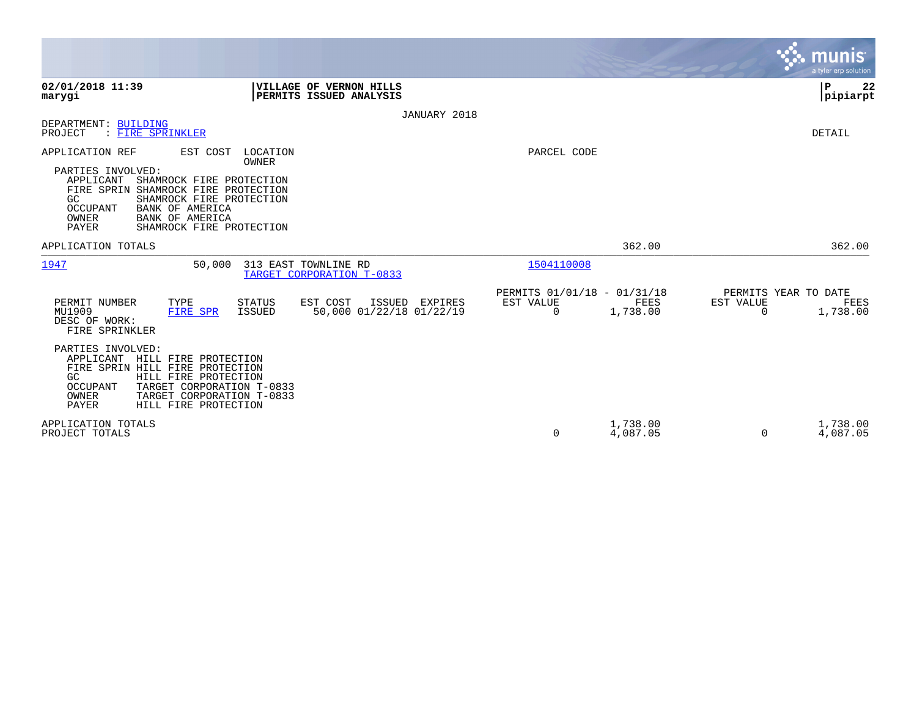|                                                                                                                                                                                                                                                                    |                                                                                   |                                                         |                      |                                               | munis<br>a tyler erp solution   |
|--------------------------------------------------------------------------------------------------------------------------------------------------------------------------------------------------------------------------------------------------------------------|-----------------------------------------------------------------------------------|---------------------------------------------------------|----------------------|-----------------------------------------------|---------------------------------|
| 02/01/2018 11:39<br>marygi                                                                                                                                                                                                                                         | VILLAGE OF VERNON HILLS<br>PERMITS ISSUED ANALYSIS                                |                                                         |                      |                                               | $\mathbf{P}$<br>22<br> pipiarpt |
|                                                                                                                                                                                                                                                                    | <b>JANUARY 2018</b>                                                               |                                                         |                      |                                               |                                 |
| DEPARTMENT: BUILDING<br>: FIRE SPRINKLER<br>PROJECT                                                                                                                                                                                                                |                                                                                   |                                                         |                      |                                               | DETAIL                          |
| APPLICATION REF<br>EST COST<br>PARTIES INVOLVED:<br>APPLICANT<br>SHAMROCK FIRE PROTECTION<br>FIRE SPRIN SHAMROCK FIRE PROTECTION<br>SHAMROCK FIRE PROTECTION<br>GC<br>BANK OF AMERICA<br>OCCUPANT<br>OWNER<br>BANK OF AMERICA<br>PAYER<br>SHAMROCK FIRE PROTECTION | LOCATION<br>OWNER                                                                 | PARCEL CODE                                             |                      |                                               |                                 |
| APPLICATION TOTALS                                                                                                                                                                                                                                                 |                                                                                   |                                                         | 362.00               |                                               | 362.00                          |
| 1947<br>50,000                                                                                                                                                                                                                                                     | 313 EAST TOWNLINE RD<br>TARGET CORPORATION T-0833                                 | 1504110008                                              |                      |                                               |                                 |
| PERMIT NUMBER<br>TYPE<br>MU1909<br><b>FIRE SPR</b><br>DESC OF WORK:<br>FIRE SPRINKLER                                                                                                                                                                              | EST COST<br><b>STATUS</b><br>ISSUED EXPIRES<br>50,000 01/22/18 01/22/19<br>ISSUED | PERMITS 01/01/18 - 01/31/18<br>EST VALUE<br>$\mathbf 0$ | FEES<br>1,738.00     | PERMITS YEAR TO DATE<br>EST VALUE<br>$\Omega$ | FEES<br>1,738.00                |
| PARTIES INVOLVED:<br>APPLICANT<br>HILL FIRE PROTECTION<br>FIRE SPRIN HILL FIRE PROTECTION<br>HILL FIRE PROTECTION<br>GC<br><b>OCCUPANT</b><br>TARGET CORPORATION T-0833<br>OWNER<br>TARGET CORPORATION T-0833<br>PAYER<br>HILL FIRE PROTECTION                     |                                                                                   |                                                         |                      |                                               |                                 |
| APPLICATION TOTALS<br>PROJECT TOTALS                                                                                                                                                                                                                               |                                                                                   | 0                                                       | 1,738.00<br>4,087.05 | $\Omega$                                      | 1,738.00<br>4,087.05            |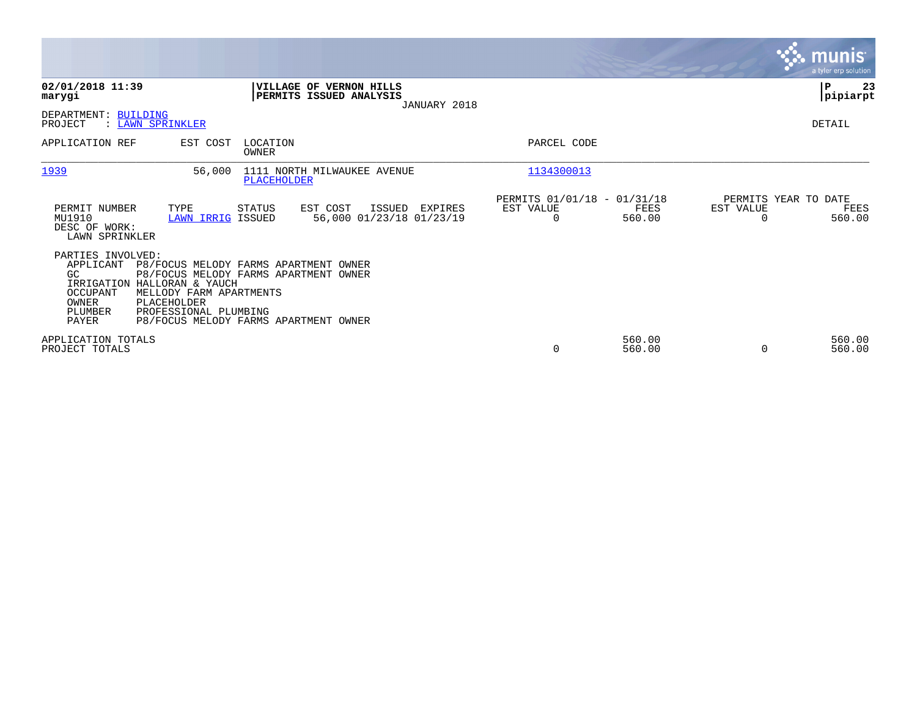|                                                                                                     |                                                                                                                                                                                                                           |                   |                                                                    |                                               |                  |           | munis<br>a tyler erp solution          |
|-----------------------------------------------------------------------------------------------------|---------------------------------------------------------------------------------------------------------------------------------------------------------------------------------------------------------------------------|-------------------|--------------------------------------------------------------------|-----------------------------------------------|------------------|-----------|----------------------------------------|
| 02/01/2018 11:39<br>marygi                                                                          |                                                                                                                                                                                                                           |                   | VILLAGE OF VERNON HILLS<br>PERMITS ISSUED ANALYSIS<br>JANUARY 2018 |                                               |                  |           | ∣P<br>23<br> pipiarpt                  |
| DEPARTMENT: BUILDING<br>PROJECT                                                                     | : LAWN SPRINKLER                                                                                                                                                                                                          |                   |                                                                    |                                               |                  |           | DETAIL                                 |
| APPLICATION REF                                                                                     | EST COST                                                                                                                                                                                                                  | LOCATION<br>OWNER |                                                                    | PARCEL CODE                                   |                  |           |                                        |
| 1939                                                                                                | 56,000                                                                                                                                                                                                                    | PLACEHOLDER       | 1111 NORTH MILWAUKEE AVENUE                                        | 1134300013                                    |                  |           |                                        |
| PERMIT NUMBER<br>MU1910<br>DESC OF WORK:<br>LAWN SPRINKLER                                          | TYPE<br><b>LAWN IRRIG ISSUED</b>                                                                                                                                                                                          | STATUS            | EST COST<br>ISSUED<br>EXPIRES<br>56,000 01/23/18 01/23/19          | PERMITS 01/01/18 - 01/31/18<br>EST VALUE<br>0 | FEES<br>560.00   | EST VALUE | PERMITS YEAR TO DATE<br>FEES<br>560.00 |
| PARTIES INVOLVED:<br>APPLICANT<br>GC.<br><b>OCCUPANT</b><br>OWNER<br><b>PLUMBER</b><br><b>PAYER</b> | P8/FOCUS MELODY FARMS APARTMENT OWNER<br>P8/FOCUS MELODY FARMS APARTMENT OWNER<br>IRRIGATION HALLORAN & YAUCH<br>MELLODY FARM APARTMENTS<br>PLACEHOLDER<br>PROFESSIONAL PLUMBING<br>P8/FOCUS MELODY FARMS APARTMENT OWNER |                   |                                                                    |                                               |                  |           |                                        |
| APPLICATION TOTALS<br>PROJECT TOTALS                                                                |                                                                                                                                                                                                                           |                   |                                                                    | 0                                             | 560.00<br>560.00 |           | 560.00<br>560.00                       |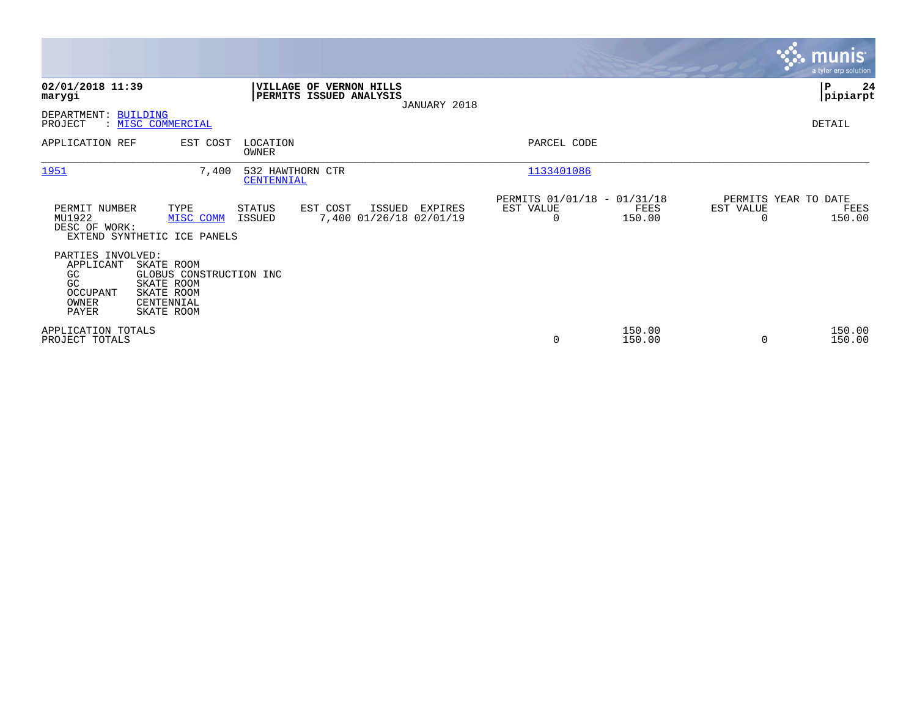|                                                                                 |                                                                                               |                                |                                                           |              |                                                      |                  |           | munis'<br>a tyler erp solution         |
|---------------------------------------------------------------------------------|-----------------------------------------------------------------------------------------------|--------------------------------|-----------------------------------------------------------|--------------|------------------------------------------------------|------------------|-----------|----------------------------------------|
| 02/01/2018 11:39<br>marygi                                                      |                                                                                               |                                | <b>VILLAGE OF VERNON HILLS</b><br>PERMITS ISSUED ANALYSIS | JANUARY 2018 |                                                      |                  |           | 24<br>  P<br> pipiarpt                 |
| DEPARTMENT: BUILDING<br>PROJECT                                                 | : MISC COMMERCIAL                                                                             |                                |                                                           |              |                                                      |                  |           | DETAIL                                 |
| APPLICATION REF                                                                 | EST COST                                                                                      | LOCATION<br>OWNER              |                                                           |              | PARCEL CODE                                          |                  |           |                                        |
| 1951                                                                            | 7,400                                                                                         | 532 HAWTHORN CTR<br>CENTENNIAL |                                                           |              | 1133401086                                           |                  |           |                                        |
| PERMIT NUMBER<br>MU1922<br>DESC OF WORK:                                        | TYPE<br>MISC COMM<br>EXTEND SYNTHETIC ICE PANELS                                              | <b>STATUS</b><br>ISSUED        | EST COST<br>ISSUED<br>7,400 01/26/18 02/01/19             | EXPIRES      | PERMITS 01/01/18 - 01/31/18<br>EST VALUE<br>$\Omega$ | FEES<br>150.00   | EST VALUE | PERMITS YEAR TO DATE<br>FEES<br>150.00 |
| PARTIES INVOLVED:<br>APPLICANT<br>GC<br>GC<br>OCCUPANT<br>OWNER<br><b>PAYER</b> | SKATE ROOM<br>GLOBUS CONSTRUCTION INC<br>SKATE ROOM<br>SKATE ROOM<br>CENTENNIAL<br>SKATE ROOM |                                |                                                           |              |                                                      |                  |           |                                        |
| APPLICATION TOTALS<br>PROJECT TOTALS                                            |                                                                                               |                                |                                                           |              | 0                                                    | 150.00<br>150.00 |           | 150.00<br>150.00                       |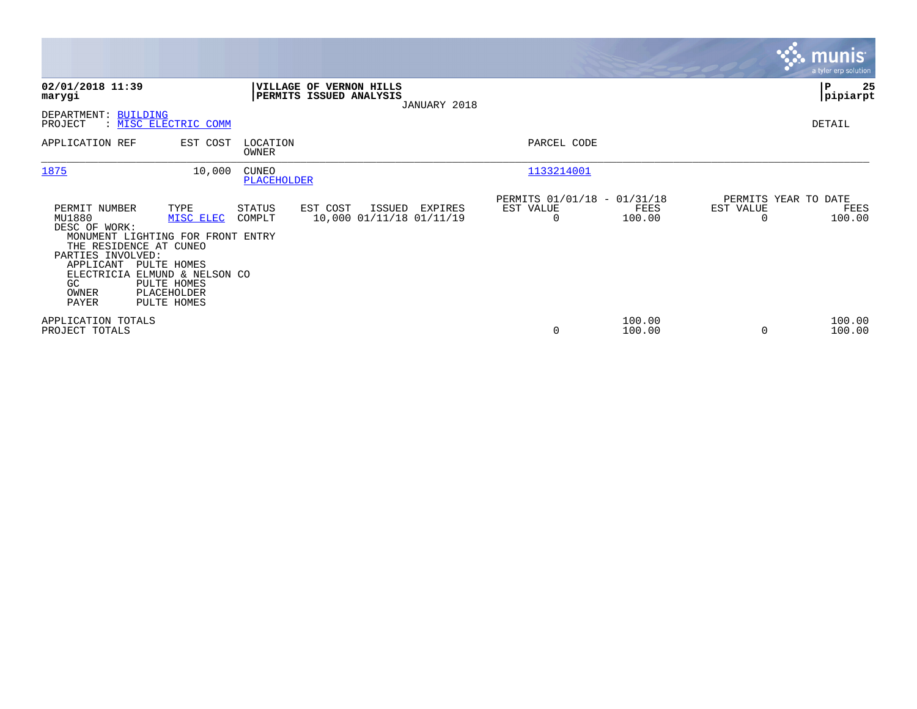|                                                                                                                                                                                 |                                                                                                     |                                    |                                                    |              |                                                      |                  |                                   | <b>munis</b><br>a tyler erp solution |
|---------------------------------------------------------------------------------------------------------------------------------------------------------------------------------|-----------------------------------------------------------------------------------------------------|------------------------------------|----------------------------------------------------|--------------|------------------------------------------------------|------------------|-----------------------------------|--------------------------------------|
| 02/01/2018 11:39<br>marygi                                                                                                                                                      |                                                                                                     |                                    | VILLAGE OF VERNON HILLS<br>PERMITS ISSUED ANALYSIS | JANUARY 2018 |                                                      |                  |                                   | ∣P<br>25<br> pipiarpt                |
| DEPARTMENT: BUILDING<br>PROJECT                                                                                                                                                 | : MISC ELECTRIC COMM                                                                                |                                    |                                                    |              |                                                      |                  |                                   | DETAIL                               |
| APPLICATION REF                                                                                                                                                                 | EST COST                                                                                            | LOCATION<br>OWNER                  |                                                    |              | PARCEL CODE                                          |                  |                                   |                                      |
| 1875                                                                                                                                                                            | 10,000                                                                                              | <b>CUNEO</b><br><b>PLACEHOLDER</b> |                                                    |              | 1133214001                                           |                  |                                   |                                      |
| PERMIT NUMBER<br>MU1880<br>DESC OF WORK:<br>MONUMENT LIGHTING FOR FRONT ENTRY<br>THE RESIDENCE AT CUNEO<br>PARTIES INVOLVED:<br>APPLICANT<br>ELECTRICIA<br>GC<br>OWNER<br>PAYER | TYPE<br>MISC ELEC<br>PULTE HOMES<br>ELMUND & NELSON CO<br>PULTE HOMES<br>PLACEHOLDER<br>PULTE HOMES | STATUS<br>COMPLT                   | EST COST<br>ISSUED<br>10,000 01/11/18 01/11/19     | EXPIRES      | PERMITS 01/01/18 - 01/31/18<br>EST VALUE<br>$\Omega$ | FEES<br>100.00   | PERMITS YEAR TO DATE<br>EST VALUE | FEES<br>100.00                       |
| APPLICATION TOTALS<br>PROJECT TOTALS                                                                                                                                            |                                                                                                     |                                    |                                                    |              | 0                                                    | 100.00<br>100.00 |                                   | 100.00<br>100.00                     |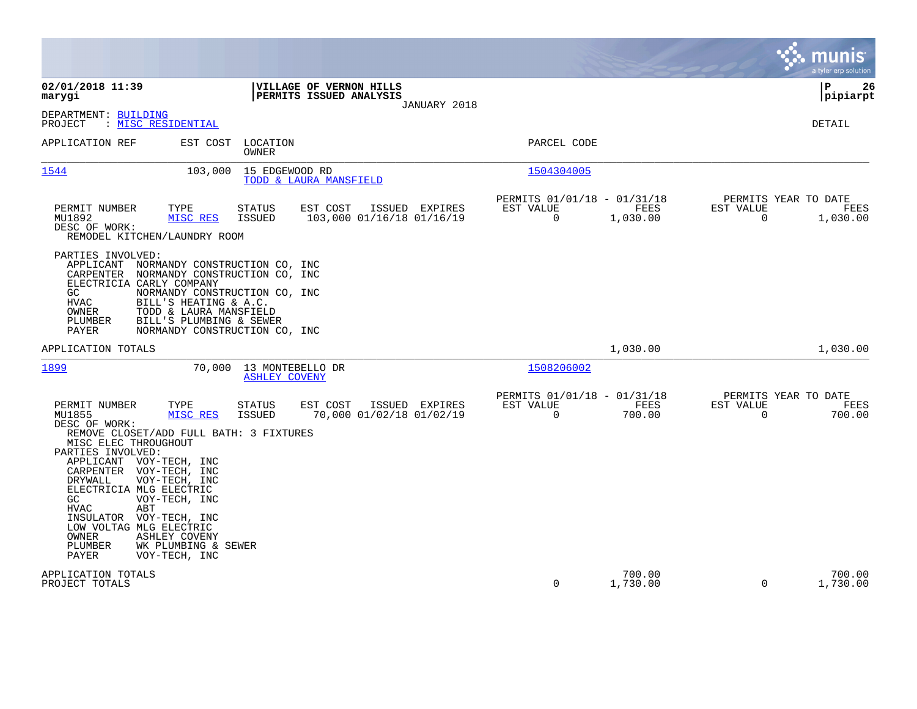|                                                                                                                                                                                                                                                                                                                                                                                                                                                                                                                                                               |                                                                     | munis<br>a tyler erp solution                                              |
|---------------------------------------------------------------------------------------------------------------------------------------------------------------------------------------------------------------------------------------------------------------------------------------------------------------------------------------------------------------------------------------------------------------------------------------------------------------------------------------------------------------------------------------------------------------|---------------------------------------------------------------------|----------------------------------------------------------------------------|
| 02/01/2018 11:39<br>VILLAGE OF VERNON HILLS<br>PERMITS ISSUED ANALYSIS<br>marygi<br>JANUARY 2018                                                                                                                                                                                                                                                                                                                                                                                                                                                              |                                                                     | ΙP<br>26<br>pipiarpt                                                       |
| DEPARTMENT: BUILDING<br>: MISC RESIDENTIAL<br>PROJECT                                                                                                                                                                                                                                                                                                                                                                                                                                                                                                         |                                                                     | DETAIL                                                                     |
| EST COST<br>APPLICATION REF<br>LOCATION<br>OWNER                                                                                                                                                                                                                                                                                                                                                                                                                                                                                                              | PARCEL CODE                                                         |                                                                            |
| 1544<br>103,000<br>15 EDGEWOOD RD<br>TODD & LAURA MANSFIELD                                                                                                                                                                                                                                                                                                                                                                                                                                                                                                   | 1504304005                                                          |                                                                            |
| PERMIT NUMBER<br>TYPE<br><b>STATUS</b><br>EST COST<br>ISSUED EXPIRES<br>MISC RES<br><b>ISSUED</b><br>103,000 01/16/18 01/16/19<br>MU1892<br>DESC OF WORK:<br>REMODEL KITCHEN/LAUNDRY ROOM                                                                                                                                                                                                                                                                                                                                                                     | PERMITS 01/01/18 - 01/31/18<br>EST VALUE<br>$\mathbf 0$<br>1,030.00 | PERMITS YEAR TO DATE<br>FEES<br>EST VALUE<br>FEES<br>$\Omega$<br>1,030.00  |
| PARTIES INVOLVED:<br>APPLICANT NORMANDY CONSTRUCTION CO, INC<br>CARPENTER NORMANDY CONSTRUCTION CO, INC<br>ELECTRICIA CARLY COMPANY<br>NORMANDY CONSTRUCTION CO, INC<br>GC<br>HVAC<br>BILL'S HEATING & A.C.<br>TODD & LAURA MANSFIELD<br>OWNER<br>BILL'S PLUMBING & SEWER<br>PLUMBER<br>PAYER<br>NORMANDY CONSTRUCTION CO, INC                                                                                                                                                                                                                                |                                                                     |                                                                            |
| APPLICATION TOTALS                                                                                                                                                                                                                                                                                                                                                                                                                                                                                                                                            | 1,030.00                                                            | 1,030.00                                                                   |
| 1899<br>13 MONTEBELLO DR<br>70,000<br><b>ASHLEY COVENY</b>                                                                                                                                                                                                                                                                                                                                                                                                                                                                                                    | 1508206002                                                          |                                                                            |
| PERMIT NUMBER<br>TYPE<br><b>STATUS</b><br>EST COST<br>ISSUED EXPIRES<br>MU1855<br>MISC RES<br><b>ISSUED</b><br>70,000 01/02/18 01/02/19<br>DESC OF WORK:<br>REMOVE CLOSET/ADD FULL BATH: 3 FIXTURES<br>MISC ELEC THROUGHOUT<br>PARTIES INVOLVED:<br>APPLICANT VOY-TECH, INC<br>VOY-TECH, INC<br>CARPENTER<br><b>DRYWALL</b><br>VOY-TECH, INC<br>ELECTRICIA MLG ELECTRIC<br>GC.<br>VOY-TECH, INC<br>ABT<br>HVAC<br>INSULATOR<br>VOY-TECH, INC<br>LOW VOLTAG MLG ELECTRIC<br>OWNER<br>ASHLEY COVENY<br>PLUMBER<br>WK PLUMBING & SEWER<br>PAYER<br>VOY-TECH, INC | PERMITS 01/01/18 - 01/31/18<br>EST VALUE<br>$\mathbf 0$<br>700.00   | PERMITS YEAR TO DATE<br>FEES<br>EST VALUE<br>FEES<br>$\mathbf 0$<br>700.00 |
| APPLICATION TOTALS<br>PROJECT TOTALS                                                                                                                                                                                                                                                                                                                                                                                                                                                                                                                          | 700.00<br>$\mathbf 0$<br>1,730.00                                   | 700.00<br>$\Omega$<br>1,730.00                                             |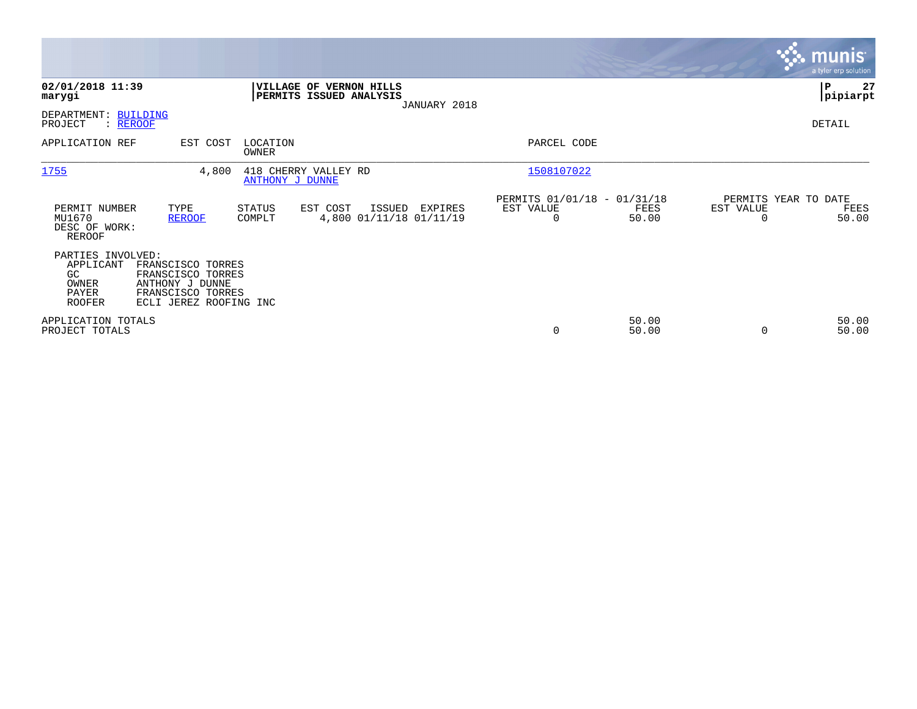|                                                                          |                                                                                                          |                   |                                                    |              |                                                      |                |                                               | <b>munis</b><br>a tyler erp solution |
|--------------------------------------------------------------------------|----------------------------------------------------------------------------------------------------------|-------------------|----------------------------------------------------|--------------|------------------------------------------------------|----------------|-----------------------------------------------|--------------------------------------|
| 02/01/2018 11:39<br>marygi                                               |                                                                                                          |                   | VILLAGE OF VERNON HILLS<br>PERMITS ISSUED ANALYSIS | JANUARY 2018 |                                                      |                |                                               | $\mathbf P$<br>27<br> pipiarpt       |
| DEPARTMENT: BUILDING<br>PROJECT<br>: REROOF                              |                                                                                                          |                   |                                                    |              |                                                      |                |                                               | DETAIL                               |
| APPLICATION REF                                                          | EST COST                                                                                                 | LOCATION<br>OWNER |                                                    |              | PARCEL CODE                                          |                |                                               |                                      |
| 1755                                                                     | 4,800                                                                                                    | ANTHONY J DUNNE   | 418 CHERRY VALLEY RD                               |              | 1508107022                                           |                |                                               |                                      |
| PERMIT NUMBER<br>MU1670<br>DESC OF WORK:<br><b>REROOF</b>                | TYPE<br><b>REROOF</b>                                                                                    | STATUS<br>COMPLT  | EST COST<br>ISSUED<br>4,800 01/11/18 01/11/19      | EXPIRES      | PERMITS 01/01/18 - 01/31/18<br>EST VALUE<br>$\Omega$ | FEES<br>50.00  | PERMITS YEAR TO DATE<br>EST VALUE<br>$\Omega$ | FEES<br>50.00                        |
| PARTIES INVOLVED:<br>APPLICANT<br>GC.<br>OWNER<br>PAYER<br><b>ROOFER</b> | FRANSCISCO TORRES<br>FRANSCISCO TORRES<br>ANTHONY J DUNNE<br>FRANSCISCO TORRES<br>ECLI JEREZ ROOFING INC |                   |                                                    |              |                                                      |                |                                               |                                      |
| APPLICATION TOTALS<br>PROJECT TOTALS                                     |                                                                                                          |                   |                                                    |              | 0                                                    | 50.00<br>50.00 | $\Omega$                                      | 50.00<br>50.00                       |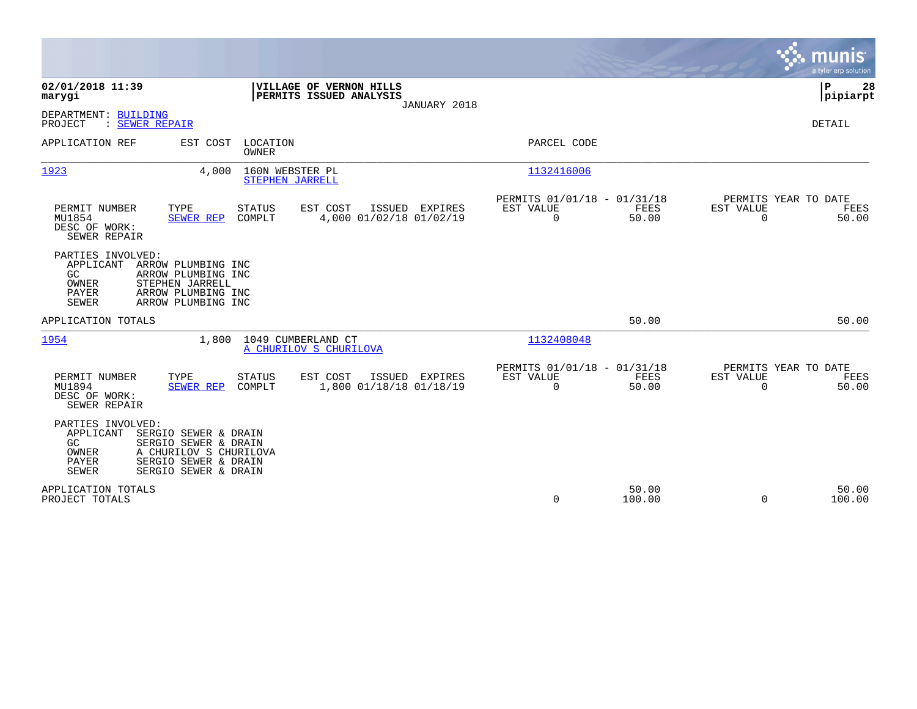|                                                                                                                                                                                                   | munis<br>a tyler erp solution                                                                                                       |               |
|---------------------------------------------------------------------------------------------------------------------------------------------------------------------------------------------------|-------------------------------------------------------------------------------------------------------------------------------------|---------------|
| 02/01/2018 11:39<br>VILLAGE OF VERNON HILLS<br>PERMITS ISSUED ANALYSIS<br>marygi                                                                                                                  | P<br> pipiarpt<br>JANUARY 2018                                                                                                      | 28            |
| DEPARTMENT: BUILDING<br>: SEWER REPAIR<br>PROJECT                                                                                                                                                 | DETAIL                                                                                                                              |               |
| APPLICATION REF<br>EST COST<br>LOCATION<br><b>OWNER</b>                                                                                                                                           | PARCEL CODE                                                                                                                         |               |
| 1923<br>4,000<br>160N WEBSTER PL<br>STEPHEN JARRELL                                                                                                                                               | 1132416006                                                                                                                          |               |
| PERMIT NUMBER<br>TYPE<br><b>STATUS</b><br>EST COST<br>ISSUED EXPIRES<br>4,000 01/02/18 01/02/19<br>MU1854<br><b>SEWER REP</b><br>COMPLT<br>DESC OF WORK:<br>SEWER REPAIR                          | PERMITS 01/01/18 - 01/31/18<br>PERMITS YEAR TO DATE<br>EST VALUE<br>FEES<br>EST VALUE<br>$\Omega$<br>50.00<br>$\mathbf 0$           | FEES<br>50.00 |
| PARTIES INVOLVED:<br>APPLICANT<br>ARROW PLUMBING INC<br>GC<br>ARROW PLUMBING INC<br>STEPHEN JARRELL<br>OWNER<br>PAYER<br>ARROW PLUMBING INC<br><b>SEWER</b><br>ARROW PLUMBING INC                 |                                                                                                                                     |               |
| APPLICATION TOTALS                                                                                                                                                                                | 50.00                                                                                                                               | 50.00         |
| 1954<br>1,800<br>1049 CUMBERLAND CT<br>A CHURILOV S CHURILOVA                                                                                                                                     | 1132408048                                                                                                                          |               |
| PERMIT NUMBER<br>TYPE<br><b>STATUS</b><br>EST COST<br>ISSUED EXPIRES<br>MU1894<br>COMPLT<br>1,800 01/18/18 01/18/19<br>SEWER REP<br>DESC OF WORK:<br>SEWER REPAIR                                 | PERMITS YEAR TO DATE<br>PERMITS 01/01/18 - 01/31/18<br>EST VALUE<br>FEES<br><b>EST VALUE</b><br>$\mathbf 0$<br>50.00<br>$\mathbf 0$ | FEES<br>50.00 |
| PARTIES INVOLVED:<br>SERGIO SEWER & DRAIN<br>APPLICANT<br>GC.<br>SERGIO SEWER & DRAIN<br>OWNER<br>A CHURILOV S CHURILOVA<br>SERGIO SEWER & DRAIN<br>PAYER<br><b>SEWER</b><br>SERGIO SEWER & DRAIN |                                                                                                                                     |               |
| APPLICATION TOTALS<br>PROJECT TOTALS                                                                                                                                                              | 50.00<br>0<br>100.00<br>$\Omega$<br>100.00                                                                                          | 50.00         |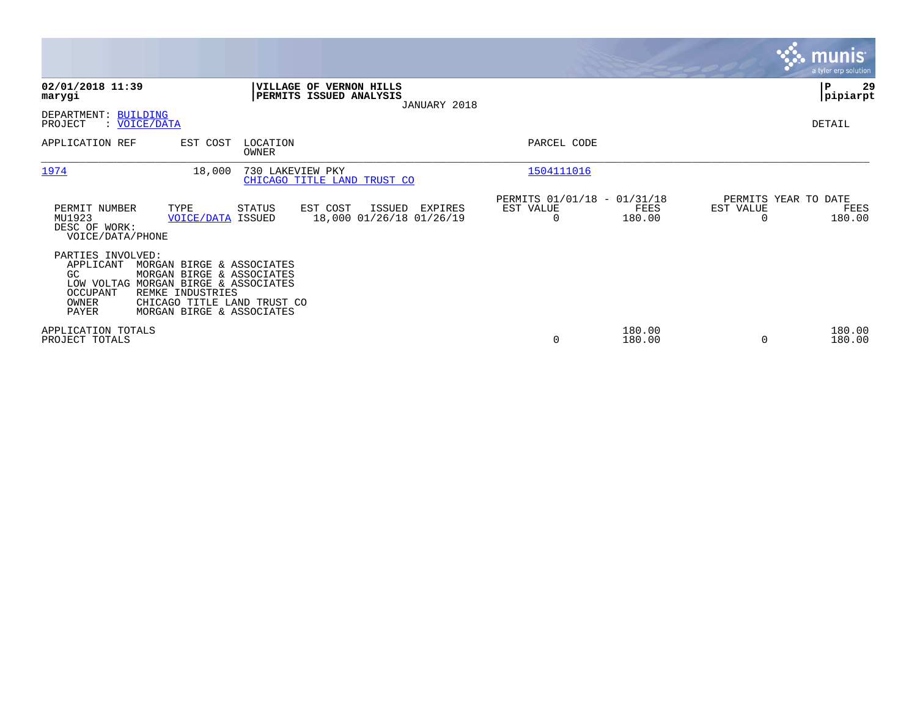|                                                                                                                                                                                                                       |                                                    |                                               |                                                      |                  |                                   | <b>munis</b><br>a tyler erp solution |
|-----------------------------------------------------------------------------------------------------------------------------------------------------------------------------------------------------------------------|----------------------------------------------------|-----------------------------------------------|------------------------------------------------------|------------------|-----------------------------------|--------------------------------------|
| 02/01/2018 11:39<br>marygi                                                                                                                                                                                            | VILLAGE OF VERNON HILLS<br>PERMITS ISSUED ANALYSIS | JANUARY 2018                                  |                                                      |                  |                                   | ∣P<br>29<br> pipiarpt                |
| DEPARTMENT: BUILDING<br>PROJECT<br>: VOICE/DATA                                                                                                                                                                       |                                                    |                                               |                                                      |                  |                                   | DETAIL                               |
| APPLICATION REF<br>EST COST                                                                                                                                                                                           | LOCATION<br>OWNER                                  |                                               | PARCEL CODE                                          |                  |                                   |                                      |
| 1974<br>18,000                                                                                                                                                                                                        | 730 LAKEVIEW PKY<br>CHICAGO TITLE LAND TRUST CO    |                                               | 1504111016                                           |                  |                                   |                                      |
| PERMIT NUMBER<br>TYPE<br>MU1923<br>DESC OF WORK:<br>VOICE/DATA/PHONE                                                                                                                                                  | STATUS<br>EST COST<br><b>VOICE/DATA ISSUED</b>     | ISSUED<br>EXPIRES<br>18,000 01/26/18 01/26/19 | PERMITS 01/01/18 - 01/31/18<br>EST VALUE<br>$\Omega$ | FEES<br>180.00   | PERMITS YEAR TO DATE<br>EST VALUE | FEES<br>180.00                       |
| PARTIES INVOLVED:<br>APPLICANT<br>MORGAN BIRGE & ASSOCIATES<br>GC<br>MORGAN BIRGE & ASSOCIATES<br>LOW VOLTAG MORGAN BIRGE & ASSOCIATES<br>OCCUPANT<br>REMKE INDUSTRIES<br>OWNER<br>PAYER<br>MORGAN BIRGE & ASSOCIATES | CHICAGO TITLE LAND TRUST CO                        |                                               |                                                      |                  |                                   |                                      |
| APPLICATION TOTALS<br>PROJECT TOTALS                                                                                                                                                                                  |                                                    |                                               | 0                                                    | 180.00<br>180.00 | 0                                 | 180.00<br>180.00                     |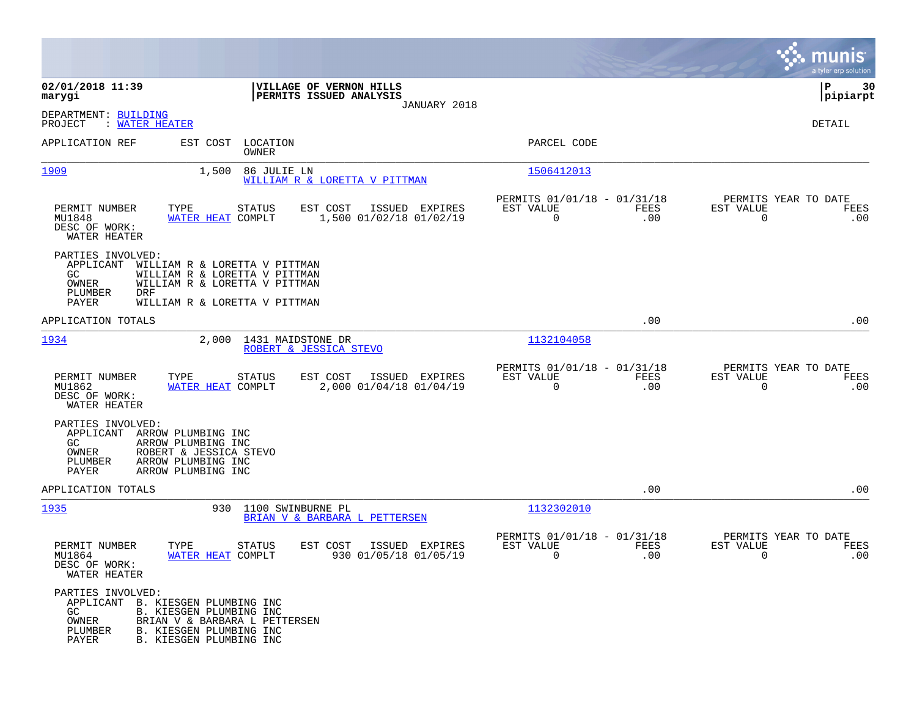|                                                                                  |                                                                                                                                                     |                                                                           | munis<br>a tyler erp solution                                   |
|----------------------------------------------------------------------------------|-----------------------------------------------------------------------------------------------------------------------------------------------------|---------------------------------------------------------------------------|-----------------------------------------------------------------|
| 02/01/2018 11:39<br>marygi                                                       | VILLAGE OF VERNON HILLS<br>PERMITS ISSUED ANALYSIS                                                                                                  | JANUARY 2018                                                              | l P<br>30<br> pipiarpt                                          |
| DEPARTMENT: BUILDING<br>: WATER HEATER<br>PROJECT                                |                                                                                                                                                     |                                                                           | DETAIL                                                          |
| APPLICATION REF                                                                  | EST COST LOCATION<br>OWNER                                                                                                                          | PARCEL CODE                                                               |                                                                 |
| 1909                                                                             | 1,500<br>86 JULIE LN<br>WILLIAM R & LORETTA V PITTMAN                                                                                               | 1506412013                                                                |                                                                 |
| PERMIT NUMBER<br>MU1848<br>DESC OF WORK:<br>WATER HEATER                         | TYPE<br><b>STATUS</b><br>EST COST<br>ISSUED EXPIRES<br>WATER HEAT COMPLT<br>1,500 01/02/18 01/02/19                                                 | PERMITS 01/01/18 - 01/31/18<br>EST VALUE<br>FEES<br>$\overline{0}$<br>.00 | PERMITS YEAR TO DATE<br>EST VALUE<br>FEES<br>$\Omega$<br>.00    |
| PARTIES INVOLVED:<br>APPLICANT<br>GC.<br>OWNER<br>PLUMBER<br><b>DRF</b><br>PAYER | WILLIAM R & LORETTA V PITTMAN<br>WILLIAM R & LORETTA V PITTMAN<br>WILLIAM R & LORETTA V PITTMAN<br>WILLIAM R & LORETTA V PITTMAN                    |                                                                           |                                                                 |
| APPLICATION TOTALS                                                               |                                                                                                                                                     | .00                                                                       | .00                                                             |
| 1934                                                                             | 2,000<br>1431 MAIDSTONE DR<br>ROBERT & JESSICA STEVO                                                                                                | 1132104058                                                                |                                                                 |
| PERMIT NUMBER<br>MU1862<br>DESC OF WORK:<br>WATER HEATER                         | TYPE<br>STATUS<br>EST COST<br>ISSUED EXPIRES<br>2,000 01/04/18 01/04/19<br>WATER HEAT COMPLT                                                        | PERMITS 01/01/18 - 01/31/18<br>EST VALUE<br>FEES<br>$\overline{0}$<br>.00 | PERMITS YEAR TO DATE<br>EST VALUE<br>FEES<br>$\mathbf 0$<br>.00 |
| PARTIES INVOLVED:<br>APPLICANT<br>GC.<br>OWNER<br>PLUMBER<br>PAYER               | ARROW PLUMBING INC<br>ARROW PLUMBING INC<br>ROBERT & JESSICA STEVO<br>ARROW PLUMBING INC<br>ARROW PLUMBING INC                                      |                                                                           |                                                                 |
| APPLICATION TOTALS                                                               |                                                                                                                                                     | .00                                                                       | .00                                                             |
| 1935                                                                             | 930 1100 SWINBURNE PL<br>BRIAN V & BARBARA L PETTERSEN                                                                                              | 1132302010                                                                |                                                                 |
| PERMIT NUMBER<br>MU1864<br>DESC OF WORK:<br>WATER HEATER                         | TYPE<br>STATUS<br>EST COST<br>ISSUED EXPIRES<br>WATER HEAT COMPLT<br>930 01/05/18 01/05/19                                                          | PERMITS 01/01/18 - 01/31/18<br>EST VALUE<br>FEES<br>0<br>.00              | PERMITS YEAR TO DATE<br>EST VALUE<br>FEES<br>0<br>.00           |
| PARTIES INVOLVED:<br>GC<br>OWNER<br>PLUMBER<br>PAYER                             | APPLICANT B. KIESGEN PLUMBING INC<br>B. KIESGEN PLUMBING INC<br>BRIAN V & BARBARA L PETTERSEN<br>B. KIESGEN PLUMBING INC<br>B. KIESGEN PLUMBING INC |                                                                           |                                                                 |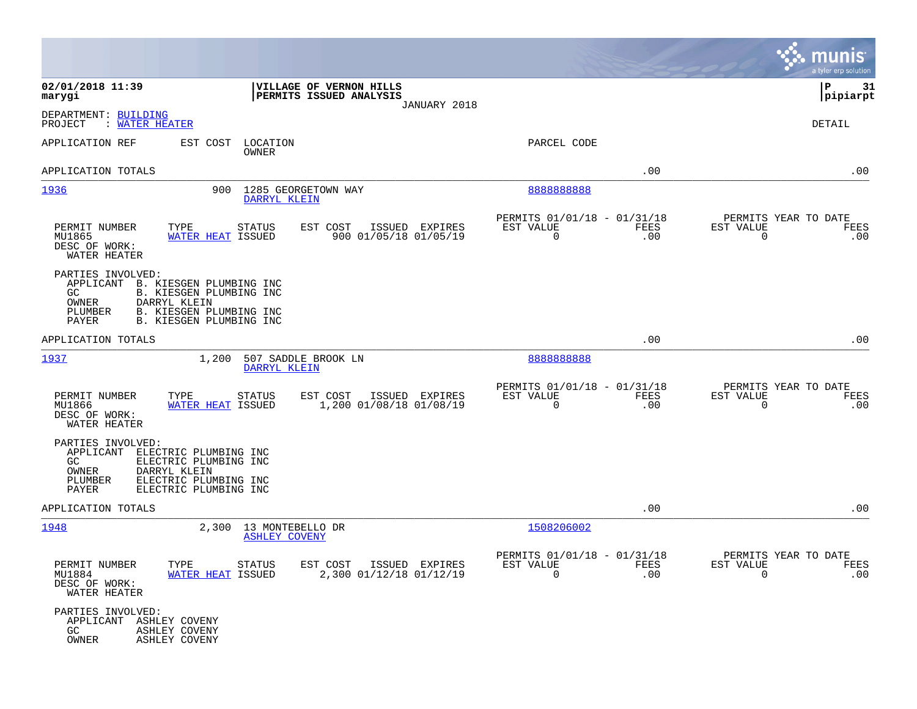|                                                                                                                                                                                               |                                                                        | munis<br>a tyler erp solution                                   |
|-----------------------------------------------------------------------------------------------------------------------------------------------------------------------------------------------|------------------------------------------------------------------------|-----------------------------------------------------------------|
| 02/01/2018 11:39<br>VILLAGE OF VERNON HILLS<br>PERMITS ISSUED ANALYSIS<br>marygi                                                                                                              |                                                                        | l P<br>31<br> pipiarpt                                          |
| JANUARY 2018<br>DEPARTMENT: BUILDING<br>: WATER HEATER<br>PROJECT                                                                                                                             |                                                                        | DETAIL                                                          |
| APPLICATION REF<br>EST COST<br>LOCATION<br>OWNER                                                                                                                                              | PARCEL CODE                                                            |                                                                 |
| APPLICATION TOTALS                                                                                                                                                                            | .00                                                                    | .00                                                             |
| 1936<br>900<br>1285 GEORGETOWN WAY<br>DARRYL KLEIN                                                                                                                                            | 888888888                                                              |                                                                 |
| PERMIT NUMBER<br>TYPE<br>STATUS<br>EST COST<br>ISSUED EXPIRES<br>900 01/05/18 01/05/19<br>MU1865<br>WATER HEAT ISSUED<br>DESC OF WORK:<br>WATER HEATER                                        | PERMITS 01/01/18 - 01/31/18<br>EST VALUE<br>FEES<br>.00<br>0           | PERMITS YEAR TO DATE<br>EST VALUE<br>FEES<br>$\mathbf 0$<br>.00 |
| PARTIES INVOLVED:<br>APPLICANT<br>B. KIESGEN PLUMBING INC<br>GC<br>B. KIESGEN PLUMBING INC<br>DARRYL KLEIN<br>OWNER<br>B. KIESGEN PLUMBING INC<br>PLUMBER<br>B. KIESGEN PLUMBING INC<br>PAYER |                                                                        |                                                                 |
| APPLICATION TOTALS                                                                                                                                                                            | .00                                                                    | .00                                                             |
| <u> 1937</u><br>1,200<br>507 SADDLE BROOK LN<br>DARRYL KLEIN                                                                                                                                  | 8888888888                                                             |                                                                 |
| PERMIT NUMBER<br>TYPE<br>STATUS<br>EST COST<br>ISSUED EXPIRES<br>1,200 01/08/18 01/08/19<br>MU1866<br>WATER HEAT ISSUED<br>DESC OF WORK:<br>WATER HEATER                                      | PERMITS 01/01/18 - 01/31/18<br>EST VALUE<br>FEES<br>$\mathbf 0$<br>.00 | PERMITS YEAR TO DATE<br>EST VALUE<br>FEES<br>$\mathbf 0$<br>.00 |
| PARTIES INVOLVED:<br>APPLICANT<br>ELECTRIC PLUMBING INC<br>GC<br>ELECTRIC PLUMBING INC<br>OWNER<br>DARRYL KLEIN<br>ELECTRIC PLUMBING INC<br>PLUMBER<br>ELECTRIC PLUMBING INC<br>PAYER         |                                                                        |                                                                 |
| APPLICATION TOTALS                                                                                                                                                                            | .00                                                                    | .00                                                             |
| 1948<br>2,300<br>13 MONTEBELLO DR<br><b>ASHLEY COVENY</b>                                                                                                                                     | 1508206002                                                             |                                                                 |
| TYPE STATUS<br>PERMIT NUMBER<br>EST COST ISSUED EXPIRES<br>MU1884<br>WATER HEAT ISSUED<br>2,300 01/12/18 01/12/19<br>DESC OF WORK:<br>WATER HEATER                                            | PERMITS 01/01/18 - 01/31/18<br>EST VALUE<br>FEES<br>$\Omega$<br>.00    | PERMITS YEAR TO DATE<br>EST VALUE<br>FEES<br>.00<br>$\Omega$    |
| PARTIES INVOLVED:<br>APPLICANT ASHLEY COVENY<br>GC<br>ASHLEY COVENY<br>OWNER<br>ASHLEY COVENY                                                                                                 |                                                                        |                                                                 |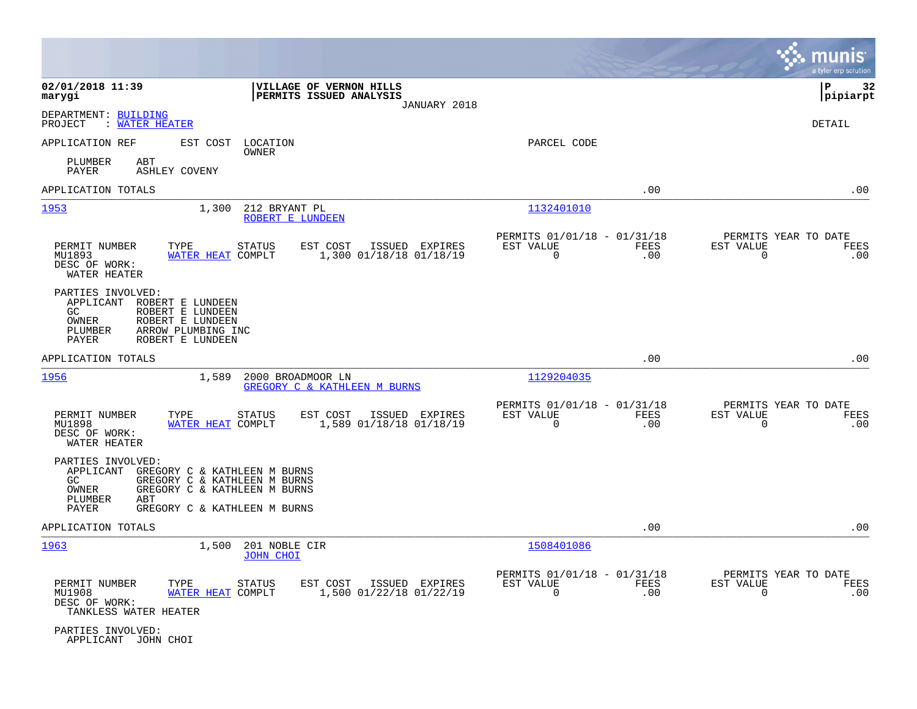|                                                                                                                                                                                                           |                                                                        |                                               |             | munis<br>a tyler erp solution                         |
|-----------------------------------------------------------------------------------------------------------------------------------------------------------------------------------------------------------|------------------------------------------------------------------------|-----------------------------------------------|-------------|-------------------------------------------------------|
| 02/01/2018 11:39<br>marygi                                                                                                                                                                                | VILLAGE OF VERNON HILLS<br>PERMITS ISSUED ANALYSIS<br>JANUARY 2018     |                                               |             | ΙP<br>32<br> pipiarpt                                 |
| DEPARTMENT: BUILDING<br>: WATER HEATER<br>PROJECT                                                                                                                                                         |                                                                        |                                               |             | DETAIL                                                |
| APPLICATION REF<br>EST COST                                                                                                                                                                               | LOCATION<br>OWNER                                                      | PARCEL CODE                                   |             |                                                       |
| PLUMBER<br>ABT<br><b>ASHLEY COVENY</b><br>PAYER                                                                                                                                                           |                                                                        |                                               |             |                                                       |
| APPLICATION TOTALS                                                                                                                                                                                        |                                                                        |                                               | .00         | .00                                                   |
| 1953<br>1,300                                                                                                                                                                                             | 212 BRYANT PL<br>ROBERT E LUNDEEN                                      | 1132401010                                    |             |                                                       |
| PERMIT NUMBER<br>TYPE<br>MU1893<br>WATER HEAT COMPLT<br>DESC OF WORK:<br>WATER HEATER                                                                                                                     | <b>STATUS</b><br>EST COST<br>ISSUED EXPIRES<br>1,300 01/18/18 01/18/19 | PERMITS 01/01/18 - 01/31/18<br>EST VALUE<br>0 | FEES<br>.00 | PERMITS YEAR TO DATE<br>EST VALUE<br>FEES<br>0<br>.00 |
| PARTIES INVOLVED:<br>APPLICANT<br>ROBERT E LUNDEEN<br>GC.<br>ROBERT E LUNDEEN<br>ROBERT E LUNDEEN<br>OWNER<br>PLUMBER<br>ARROW PLUMBING INC<br>PAYER<br>ROBERT E LUNDEEN                                  |                                                                        |                                               |             |                                                       |
| APPLICATION TOTALS                                                                                                                                                                                        |                                                                        |                                               | .00         | .00                                                   |
| 1956<br>1,589                                                                                                                                                                                             | 2000 BROADMOOR LN<br>GREGORY C & KATHLEEN M BURNS                      | 1129204035                                    |             |                                                       |
| PERMIT NUMBER<br>TYPE<br>MU1898<br>WATER HEAT COMPLT<br>DESC OF WORK:<br>WATER HEATER                                                                                                                     | <b>STATUS</b><br>EST COST<br>ISSUED EXPIRES<br>1,589 01/18/18 01/18/19 | PERMITS 01/01/18 - 01/31/18<br>EST VALUE<br>0 | FEES<br>.00 | PERMITS YEAR TO DATE<br>FEES<br>EST VALUE<br>0<br>.00 |
| PARTIES INVOLVED:<br>APPLICANT<br>GREGORY C & KATHLEEN M BURNS<br>GC.<br>GREGORY C & KATHLEEN M BURNS<br>GREGORY C & KATHLEEN M BURNS<br>OWNER<br>PLUMBER<br>ABT<br>PAYER<br>GREGORY C & KATHLEEN M BURNS |                                                                        |                                               |             |                                                       |
| APPLICATION TOTALS                                                                                                                                                                                        |                                                                        |                                               | .00         | .00                                                   |
| 1963<br>1,500                                                                                                                                                                                             | 201 NOBLE CIR<br>JOHN CHOI                                             | 1508401086                                    |             |                                                       |
| PERMIT NUMBER<br>TYPE<br>MU1908<br>WATER HEAT COMPLT                                                                                                                                                      | ISSUED EXPIRES<br><b>STATUS</b><br>EST COST<br>1,500 01/22/18 01/22/19 | PERMITS 01/01/18 - 01/31/18<br>EST VALUE<br>0 | FEES<br>.00 | PERMITS YEAR TO DATE<br>EST VALUE<br>FEES<br>.00<br>0 |
| DESC OF WORK:<br>TANKLESS WATER HEATER                                                                                                                                                                    |                                                                        |                                               |             |                                                       |
| PARTIES INVOLVED:<br>APPLICANT JOHN CHOI                                                                                                                                                                  |                                                                        |                                               |             |                                                       |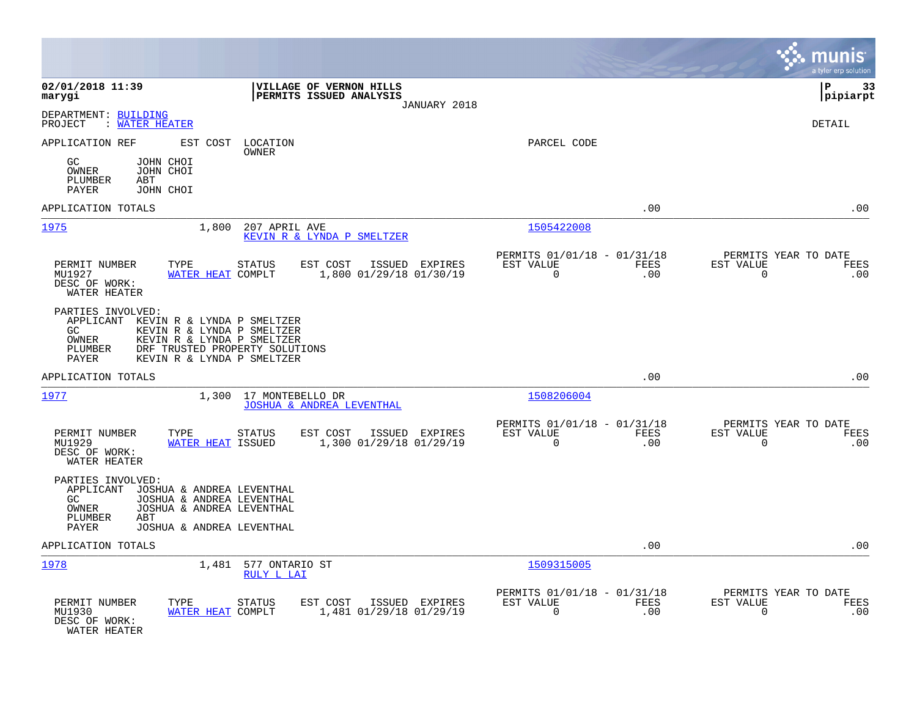|                                                                                                                                                                                         |                                                                                             |                                                                               | munis<br>a tyler erp solution                                   |
|-----------------------------------------------------------------------------------------------------------------------------------------------------------------------------------------|---------------------------------------------------------------------------------------------|-------------------------------------------------------------------------------|-----------------------------------------------------------------|
| 02/01/2018 11:39<br>marygi                                                                                                                                                              | VILLAGE OF VERNON HILLS<br>PERMITS ISSUED ANALYSIS<br>JANUARY 2018                          |                                                                               | l P<br>-33<br> pipiarpt                                         |
| DEPARTMENT: BUILDING<br>: WATER HEATER<br>PROJECT                                                                                                                                       |                                                                                             |                                                                               | <b>DETAIL</b>                                                   |
| APPLICATION REF<br>EST COST<br>GC<br>JOHN CHOI<br>OWNER<br>JOHN CHOI<br>PLUMBER<br>ABT                                                                                                  | LOCATION<br>OWNER                                                                           | PARCEL CODE                                                                   |                                                                 |
| JOHN CHOI<br>PAYER                                                                                                                                                                      |                                                                                             |                                                                               |                                                                 |
| APPLICATION TOTALS                                                                                                                                                                      |                                                                                             | .00                                                                           | .00                                                             |
| 1975<br>1,800                                                                                                                                                                           | 207 APRIL AVE<br>KEVIN R & LYNDA P SMELTZER                                                 | 1505422008                                                                    |                                                                 |
| PERMIT NUMBER<br>TYPE<br>MU1927<br>DESC OF WORK:<br>WATER HEATER                                                                                                                        | STATUS<br>EST COST<br>ISSUED EXPIRES<br>1,800 01/29/18 01/30/19<br>WATER HEAT COMPLT        | PERMITS 01/01/18 - 01/31/18<br>EST VALUE<br><b>FEES</b><br>$\mathbf 0$<br>.00 | PERMITS YEAR TO DATE<br>EST VALUE<br>FEES<br>$\mathbf 0$<br>.00 |
| PARTIES INVOLVED:<br>APPLICANT KEVIN R & LYNDA P SMELTZER<br>KEVIN R & LYNDA P SMELTZER<br>GC.<br>OWNER<br>KEVIN R & LYNDA P SMELTZER<br>PLUMBER<br>PAYER<br>KEVIN R & LYNDA P SMELTZER | DRF TRUSTED PROPERTY SOLUTIONS                                                              |                                                                               |                                                                 |
| APPLICATION TOTALS                                                                                                                                                                      |                                                                                             | .00                                                                           | .00                                                             |
| 1977                                                                                                                                                                                    | 1,300 17 MONTEBELLO DR<br><b>JOSHUA &amp; ANDREA LEVENTHAL</b>                              | 1508206004                                                                    |                                                                 |
| PERMIT NUMBER<br>TYPE<br>MU1929<br>DESC OF WORK:<br>WATER HEATER                                                                                                                        | <b>STATUS</b><br>EST COST<br>ISSUED EXPIRES<br>WATER HEAT ISSUED<br>1,300 01/29/18 01/29/19 | PERMITS 01/01/18 - 01/31/18<br><b>FEES</b><br>EST VALUE<br>$\mathbf 0$<br>.00 | PERMITS YEAR TO DATE<br>EST VALUE<br>FEES<br>$\mathbf 0$<br>.00 |
| PARTIES INVOLVED:<br>APPLICANT<br>JOSHUA & ANDREA LEVENTHAL<br>GC.<br>JOSHUA & ANDREA LEVENTHAL<br>OWNER<br>JOSHUA & ANDREA LEVENTHAL<br>PLUMBER<br>ABT                                 |                                                                                             |                                                                               |                                                                 |
| <b>PAYER</b><br>JOSHUA & ANDREA LEVENTHAL                                                                                                                                               |                                                                                             |                                                                               |                                                                 |
| APPLICATION TOTALS                                                                                                                                                                      |                                                                                             | .00                                                                           | .00                                                             |
| <u> 1978</u><br>1,481                                                                                                                                                                   | 577 ONTARIO ST<br>RULY L LAI                                                                | 1509315005                                                                    |                                                                 |
| PERMIT NUMBER<br>TYPE<br>MU1930<br>DESC OF WORK:<br>WATER HEATER                                                                                                                        | EST COST<br>ISSUED EXPIRES<br>STATUS<br>1,481 01/29/18 01/29/19<br>WATER HEAT COMPLT        | PERMITS 01/01/18 - 01/31/18<br>EST VALUE<br>FEES<br>.00<br>$\Omega$           | PERMITS YEAR TO DATE<br>EST VALUE<br>FEES<br>.00<br>0           |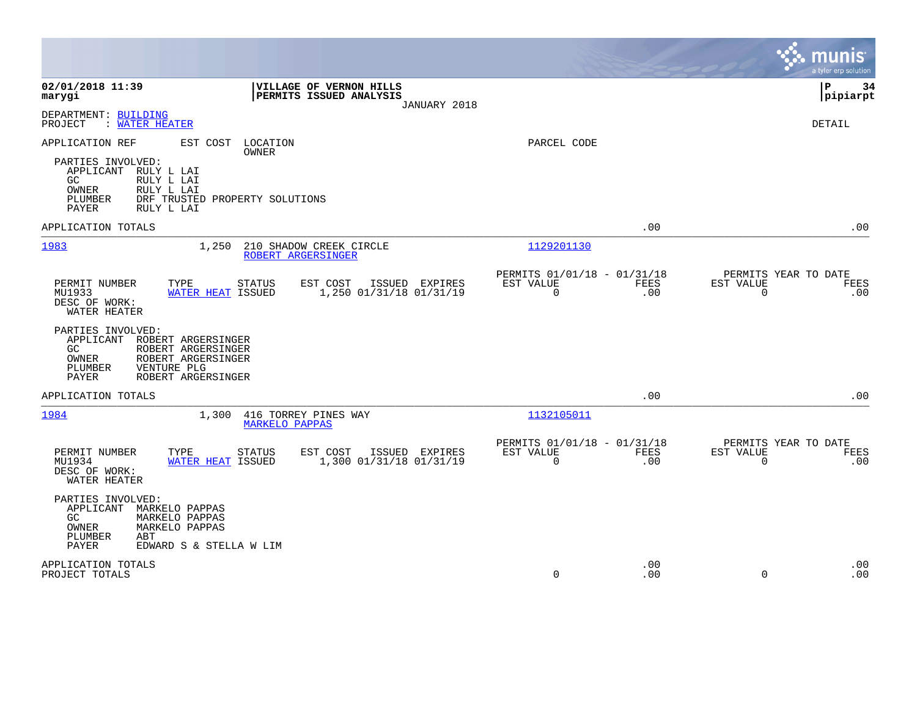|                                                                                                                                                                                                                         |                                                                        | munis<br>a tyler erp solution                                          |
|-------------------------------------------------------------------------------------------------------------------------------------------------------------------------------------------------------------------------|------------------------------------------------------------------------|------------------------------------------------------------------------|
| 02/01/2018 11:39<br><b>VILLAGE OF VERNON HILLS</b><br>PERMITS ISSUED ANALYSIS<br>marygi<br>JANUARY 2018                                                                                                                 |                                                                        | ∣P<br>34<br> pipiarpt                                                  |
| DEPARTMENT: BUILDING<br>: WATER HEATER<br>PROJECT                                                                                                                                                                       |                                                                        | DETAIL                                                                 |
| APPLICATION REF<br>EST COST<br>LOCATION<br><b>OWNER</b><br>PARTIES INVOLVED:<br>APPLICANT<br>RULY L LAI<br>RULY L LAI<br>GC.<br>RULY L LAI<br>OWNER<br>DRF TRUSTED PROPERTY SOLUTIONS<br>PLUMBER<br>PAYER<br>RULY L LAI | PARCEL CODE                                                            |                                                                        |
| APPLICATION TOTALS                                                                                                                                                                                                      | .00                                                                    | .00                                                                    |
| 1983<br>1,250<br>210 SHADOW CREEK CIRCLE<br>ROBERT ARGERSINGER                                                                                                                                                          | 1129201130                                                             |                                                                        |
| TYPE<br>ISSUED EXPIRES<br>PERMIT NUMBER<br><b>STATUS</b><br>EST COST<br>1,250 01/31/18 01/31/19<br>MU1933<br><b>WATER HEAT ISSUED</b><br>DESC OF WORK:<br>WATER HEATER                                                  | PERMITS 01/01/18 - 01/31/18<br>EST VALUE<br>FEES<br>.00<br>0           | PERMITS YEAR TO DATE<br>EST VALUE<br><b>FEES</b><br>$\mathbf 0$<br>.00 |
| PARTIES INVOLVED:<br>APPLICANT ROBERT ARGERSINGER<br>GC.<br>ROBERT ARGERSINGER<br>OWNER<br>ROBERT ARGERSINGER<br>VENTURE PLG<br>PLUMBER<br>PAYER<br>ROBERT ARGERSINGER                                                  |                                                                        |                                                                        |
| APPLICATION TOTALS                                                                                                                                                                                                      | .00                                                                    | .00                                                                    |
| 1984<br>1,300<br>416 TORREY PINES WAY<br><b>MARKELO PAPPAS</b>                                                                                                                                                          | 1132105011                                                             |                                                                        |
| PERMIT NUMBER<br>ISSUED EXPIRES<br>TYPE<br><b>STATUS</b><br>EST COST<br>1,300 01/31/18 01/31/19<br>MU1934<br>WATER HEAT ISSUED<br>DESC OF WORK:<br>WATER HEATER                                                         | PERMITS 01/01/18 - 01/31/18<br>EST VALUE<br>FEES<br>$\mathbf 0$<br>.00 | PERMITS YEAR TO DATE<br>EST VALUE<br>FEES<br>$\mathbf 0$<br>.00        |
| PARTIES INVOLVED:<br>APPLICANT<br>MARKELO PAPPAS<br>MARKELO PAPPAS<br>GC.<br>OWNER<br>MARKELO PAPPAS<br>PLUMBER<br>ABT<br>PAYER<br>EDWARD S & STELLA W LIM                                                              |                                                                        |                                                                        |
| APPLICATION TOTALS<br>PROJECT TOTALS                                                                                                                                                                                    | .00<br>$\Omega$<br>.00                                                 | .00<br>$\Omega$<br>.00                                                 |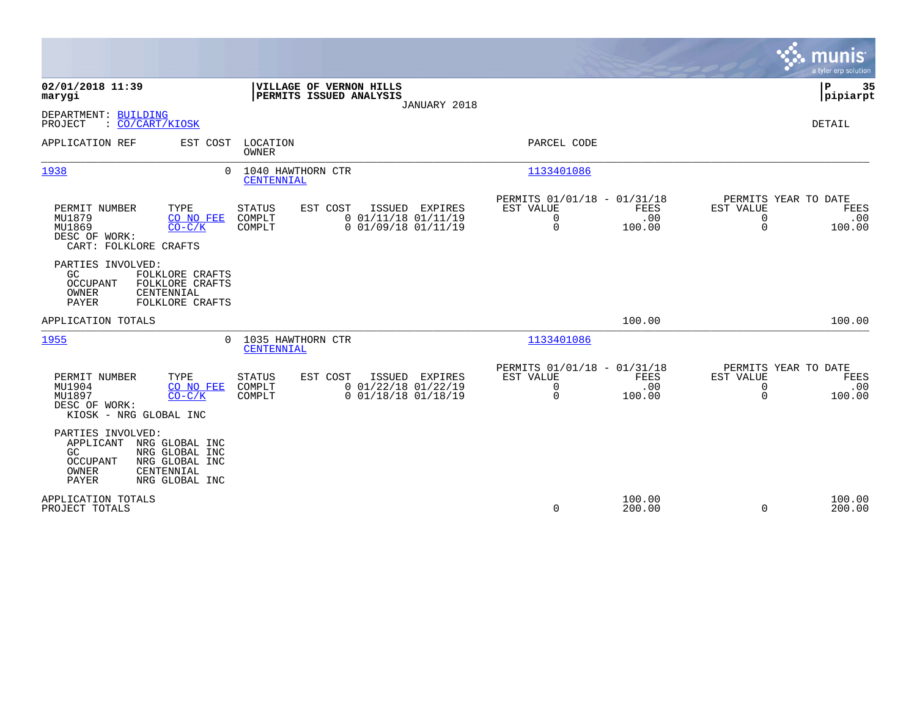|                                                                                                                                                                  |                                                                                                                       |                                                                                                        | munis<br>a tyler erp solution                                                                   |
|------------------------------------------------------------------------------------------------------------------------------------------------------------------|-----------------------------------------------------------------------------------------------------------------------|--------------------------------------------------------------------------------------------------------|-------------------------------------------------------------------------------------------------|
| 02/01/2018 11:39<br>marygi                                                                                                                                       | VILLAGE OF VERNON HILLS<br>PERMITS ISSUED ANALYSIS<br>JANUARY 2018                                                    |                                                                                                        | ΙP<br>35<br> pipiarpt                                                                           |
| DEPARTMENT: BUILDING<br>: CO/CART/KIOSK<br>PROJECT                                                                                                               |                                                                                                                       |                                                                                                        | DETAIL                                                                                          |
| APPLICATION REF<br>EST COST                                                                                                                                      | LOCATION<br><b>OWNER</b>                                                                                              | PARCEL CODE                                                                                            |                                                                                                 |
| 1938                                                                                                                                                             | 1040 HAWTHORN CTR<br>$\Omega$<br><b>CENTENNIAL</b>                                                                    | 1133401086                                                                                             |                                                                                                 |
| TYPE<br>PERMIT NUMBER<br>MU1879<br>CO NO FEE<br>MU1869<br>$CO-C/K$<br>DESC OF WORK:<br>CART: FOLKLORE CRAFTS                                                     | STATUS<br>EST COST<br>ISSUED EXPIRES<br>COMPLT<br>$0$ 01/11/18 01/11/19<br>$0$ 01/09/18 01/11/19<br>COMPLT            | PERMITS 01/01/18 - 01/31/18<br>EST VALUE<br>FEES<br>$\mathbf 0$<br>.00<br>$\mathbf 0$<br>100.00        | PERMITS YEAR TO DATE<br>EST VALUE<br>FEES<br>0<br>.00<br>$\Omega$<br>100.00                     |
| PARTIES INVOLVED:<br>GC.<br>FOLKLORE CRAFTS<br><b>OCCUPANT</b><br>FOLKLORE CRAFTS<br>OWNER<br>CENTENNIAL<br><b>PAYER</b><br>FOLKLORE CRAFTS                      |                                                                                                                       |                                                                                                        |                                                                                                 |
| APPLICATION TOTALS                                                                                                                                               |                                                                                                                       | 100.00                                                                                                 | 100.00                                                                                          |
| 1955                                                                                                                                                             | 1035 HAWTHORN CTR<br>$\Omega$<br>CENTENNIAL                                                                           | 1133401086                                                                                             |                                                                                                 |
| PERMIT NUMBER<br>TYPE<br>MU1904<br>CO NO FEE<br>MU1897<br>$CO-C/K$<br>DESC OF WORK:<br>KIOSK - NRG GLOBAL INC                                                    | <b>STATUS</b><br>EST COST<br>ISSUED EXPIRES<br>$0$ 01/22/18 01/22/19<br>COMPLT<br>$0$ $01/18/18$ $01/18/19$<br>COMPLT | PERMITS 01/01/18 - 01/31/18<br>EST VALUE<br><b>FEES</b><br>$\mathbf 0$<br>.00<br>$\mathbf 0$<br>100.00 | PERMITS YEAR TO DATE<br><b>EST VALUE</b><br>FEES<br>$\mathbf 0$<br>.00<br>$\mathbf 0$<br>100.00 |
| PARTIES INVOLVED:<br>NRG GLOBAL INC<br>APPLICANT<br>NRG GLOBAL INC<br>GC.<br>OCCUPANT<br>NRG GLOBAL INC<br>CENTENNIAL<br>OWNER<br><b>PAYER</b><br>NRG GLOBAL INC |                                                                                                                       |                                                                                                        |                                                                                                 |
| APPLICATION TOTALS<br>PROJECT TOTALS                                                                                                                             |                                                                                                                       | 100.00<br>0<br>200.00                                                                                  | 100.00<br>0<br>200.00                                                                           |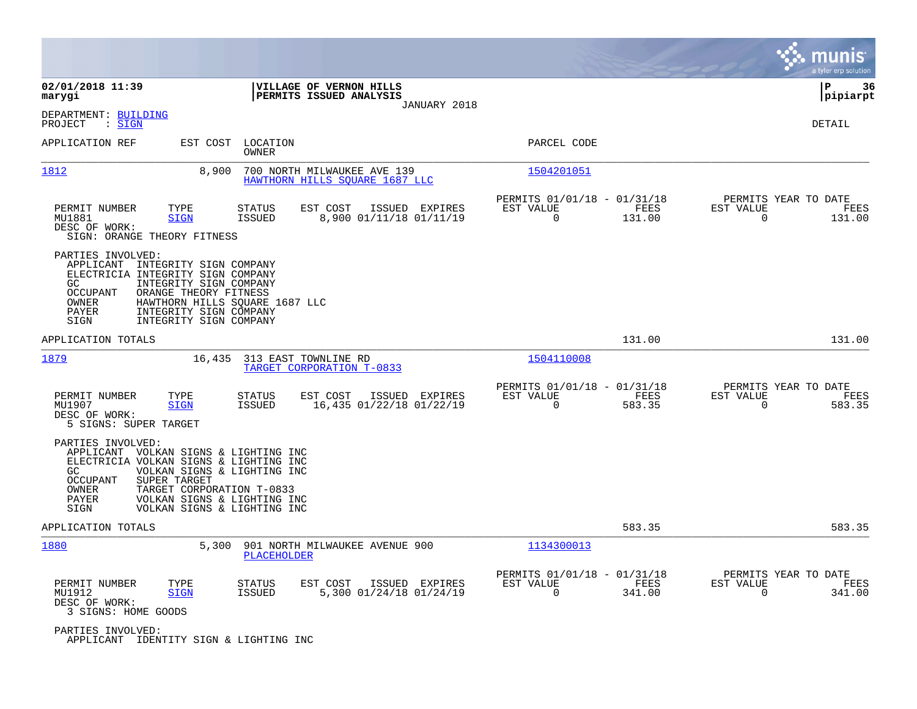|                                                                                                                                                                                                                                                  |                                                                                           |                                                                           | munis<br>a tyler erp solution                                      |
|--------------------------------------------------------------------------------------------------------------------------------------------------------------------------------------------------------------------------------------------------|-------------------------------------------------------------------------------------------|---------------------------------------------------------------------------|--------------------------------------------------------------------|
| 02/01/2018 11:39<br>marygi                                                                                                                                                                                                                       | VILLAGE OF VERNON HILLS<br>PERMITS ISSUED ANALYSIS                                        |                                                                           | l P<br>36<br> pipiarpt                                             |
| DEPARTMENT: BUILDING<br>PROJECT<br>: SIGN                                                                                                                                                                                                        | JANUARY 2018                                                                              |                                                                           | DETAIL                                                             |
| APPLICATION REF<br>EST COST                                                                                                                                                                                                                      | LOCATION<br>OWNER                                                                         | PARCEL CODE                                                               |                                                                    |
| 1812<br>8,900                                                                                                                                                                                                                                    | 700 NORTH MILWAUKEE AVE 139<br>HAWTHORN HILLS SQUARE 1687 LLC                             | 1504201051                                                                |                                                                    |
| PERMIT NUMBER<br>TYPE<br>MU1881<br><b>SIGN</b><br>DESC OF WORK:<br>SIGN: ORANGE THEORY FITNESS                                                                                                                                                   | <b>STATUS</b><br>EST COST<br>ISSUED EXPIRES<br>8,900 01/11/18 01/11/19<br>ISSUED          | PERMITS 01/01/18 - 01/31/18<br>EST VALUE<br>FEES<br>$\mathbf 0$<br>131.00 | PERMITS YEAR TO DATE<br>EST VALUE<br>FEES<br>$\mathbf 0$<br>131.00 |
| PARTIES INVOLVED:<br>APPLICANT<br>INTEGRITY SIGN COMPANY<br>ELECTRICIA INTEGRITY SIGN COMPANY<br>GC<br>INTEGRITY SIGN COMPANY<br>OCCUPANT<br>ORANGE THEORY FITNESS<br>OWNER<br>PAYER<br>INTEGRITY SIGN COMPANY<br>INTEGRITY SIGN COMPANY<br>SIGN | HAWTHORN HILLS SQUARE 1687 LLC                                                            |                                                                           |                                                                    |
| APPLICATION TOTALS                                                                                                                                                                                                                               |                                                                                           | 131.00                                                                    | 131.00                                                             |
| 1879<br>16,435                                                                                                                                                                                                                                   | 313 EAST TOWNLINE RD<br>TARGET CORPORATION T-0833                                         | 1504110008                                                                |                                                                    |
| PERMIT NUMBER<br>TYPE<br>MU1907<br><b>SIGN</b><br>DESC OF WORK:<br>5 SIGNS: SUPER TARGET                                                                                                                                                         | STATUS<br>EST COST<br>ISSUED EXPIRES<br>16,435 01/22/18 01/22/19<br><b>ISSUED</b>         | PERMITS 01/01/18 - 01/31/18<br>EST VALUE<br>FEES<br>$\mathbf 0$<br>583.35 | PERMITS YEAR TO DATE<br>EST VALUE<br>FEES<br>$\mathbf 0$<br>583.35 |
| PARTIES INVOLVED:<br>APPLICANT VOLKAN SIGNS & LIGHTING INC<br>ELECTRICIA VOLKAN SIGNS & LIGHTING INC<br>GC.<br>OCCUPANT<br>SUPER TARGET<br>TARGET CORPORATION T-0833<br>OWNER<br>PAYER<br>SIGN                                                   | VOLKAN SIGNS & LIGHTING INC<br>VOLKAN SIGNS & LIGHTING INC<br>VOLKAN SIGNS & LIGHTING INC |                                                                           |                                                                    |
| APPLICATION TOTALS                                                                                                                                                                                                                               |                                                                                           | 583.35                                                                    | 583.35                                                             |
| 1880<br>5,300                                                                                                                                                                                                                                    | 901 NORTH MILWAUKEE AVENUE 900<br>PLACEHOLDER                                             | 1134300013                                                                |                                                                    |
| PERMIT NUMBER<br>TYPE<br>MU1912<br><b>SIGN</b><br>DESC OF WORK:<br>3 SIGNS: HOME GOODS                                                                                                                                                           | EST COST<br>ISSUED EXPIRES<br>STATUS<br>5,300 01/24/18 01/24/19<br><b>ISSUED</b>          | PERMITS 01/01/18 - 01/31/18<br>EST VALUE<br>FEES<br>$\mathbf 0$<br>341.00 | PERMITS YEAR TO DATE<br>EST VALUE<br>FEES<br>$\mathbf 0$<br>341.00 |
| PARTIES INVOLVED:<br>APPLICANT IDENTITY SIGN & LIGHTING INC                                                                                                                                                                                      |                                                                                           |                                                                           |                                                                    |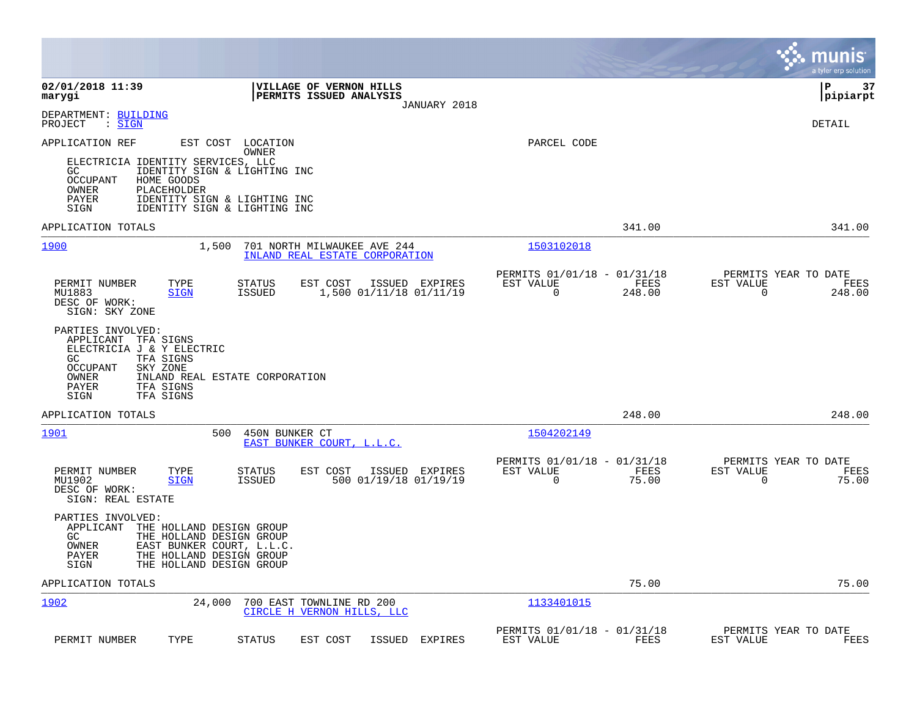|                                                                                                                                                                                                                                                                    |                                                                                                         | munis<br>a tyler erp solution                        |
|--------------------------------------------------------------------------------------------------------------------------------------------------------------------------------------------------------------------------------------------------------------------|---------------------------------------------------------------------------------------------------------|------------------------------------------------------|
| 02/01/2018 11:39<br>VILLAGE OF VERNON HILLS<br>marygi<br>PERMITS ISSUED ANALYSIS                                                                                                                                                                                   | JANUARY 2018                                                                                            | l P<br>37<br> pipiarpt                               |
| DEPARTMENT: BUILDING<br>: SIGN<br>PROJECT                                                                                                                                                                                                                          |                                                                                                         | <b>DETAIL</b>                                        |
| APPLICATION REF<br>EST COST LOCATION<br>OWNER<br>ELECTRICIA IDENTITY SERVICES, LLC<br>GC<br>IDENTITY SIGN & LIGHTING INC<br><b>OCCUPANT</b><br>HOME GOODS<br>OWNER<br>PLACEHOLDER<br>IDENTITY SIGN & LIGHTING INC<br>PAYER<br>SIGN<br>IDENTITY SIGN & LIGHTING INC | PARCEL CODE                                                                                             |                                                      |
| APPLICATION TOTALS                                                                                                                                                                                                                                                 | 341.00                                                                                                  | 341.00                                               |
| 1900<br>1,500<br>701 NORTH MILWAUKEE AVE 244<br>INLAND REAL ESTATE CORPORATION                                                                                                                                                                                     | 1503102018                                                                                              |                                                      |
| PERMIT NUMBER<br>TYPE<br>STATUS<br>EST COST<br>1,500 01/11/18 01/11/19<br>MU1883<br><b>SIGN</b><br><b>ISSUED</b><br>DESC OF WORK:<br>SIGN: SKY ZONE                                                                                                                | PERMITS 01/01/18 - 01/31/18<br>FEES<br>ISSUED EXPIRES<br>EST VALUE<br>EST VALUE<br>$\Omega$<br>248.00   | PERMITS YEAR TO DATE<br>FEES<br>$\Omega$<br>248.00   |
| PARTIES INVOLVED:<br>APPLICANT TFA SIGNS<br>ELECTRICIA J & Y ELECTRIC<br>GC.<br>TFA SIGNS<br><b>OCCUPANT</b><br>SKY ZONE<br>OWNER<br>INLAND REAL ESTATE CORPORATION<br>PAYER<br>TFA SIGNS<br>TFA SIGNS<br>SIGN                                                     |                                                                                                         |                                                      |
| APPLICATION TOTALS                                                                                                                                                                                                                                                 | 248.00                                                                                                  | 248.00                                               |
| 1901<br>500<br>450N BUNKER CT<br>EAST BUNKER COURT, L.L.C.                                                                                                                                                                                                         | 1504202149                                                                                              |                                                      |
| PERMIT NUMBER<br>TYPE<br>EST COST<br>STATUS<br>500 01/19/18 01/19/19<br>MU1902<br><b>SIGN</b><br><b>ISSUED</b><br>DESC OF WORK:<br>SIGN: REAL ESTATE                                                                                                               | PERMITS 01/01/18 - 01/31/18<br>ISSUED EXPIRES<br>EST VALUE<br>FEES<br>EST VALUE<br>$\mathbf 0$<br>75.00 | PERMITS YEAR TO DATE<br>FEES<br>$\mathbf 0$<br>75.00 |
| PARTIES INVOLVED:<br>APPLICANT<br>THE HOLLAND DESIGN GROUP<br>GC.<br>THE HOLLAND DESIGN GROUP<br>OWNER<br>EAST BUNKER COURT, L.L.C.<br>THE HOLLAND DESIGN GROUP<br>PAYER<br>SIGN<br>THE HOLLAND DESIGN GROUP                                                       |                                                                                                         |                                                      |
| APPLICATION TOTALS                                                                                                                                                                                                                                                 | 75.00                                                                                                   | 75.00                                                |
| 1902<br>24,000<br>700 EAST TOWNLINE RD 200<br>CIRCLE H VERNON HILLS, LLC                                                                                                                                                                                           | 1133401015                                                                                              |                                                      |
| PERMIT NUMBER<br>TYPE<br><b>STATUS</b><br>EST COST                                                                                                                                                                                                                 | PERMITS 01/01/18 - 01/31/18<br>ISSUED EXPIRES<br>EST VALUE<br>FEES<br>EST VALUE                         | PERMITS YEAR TO DATE<br>FEES                         |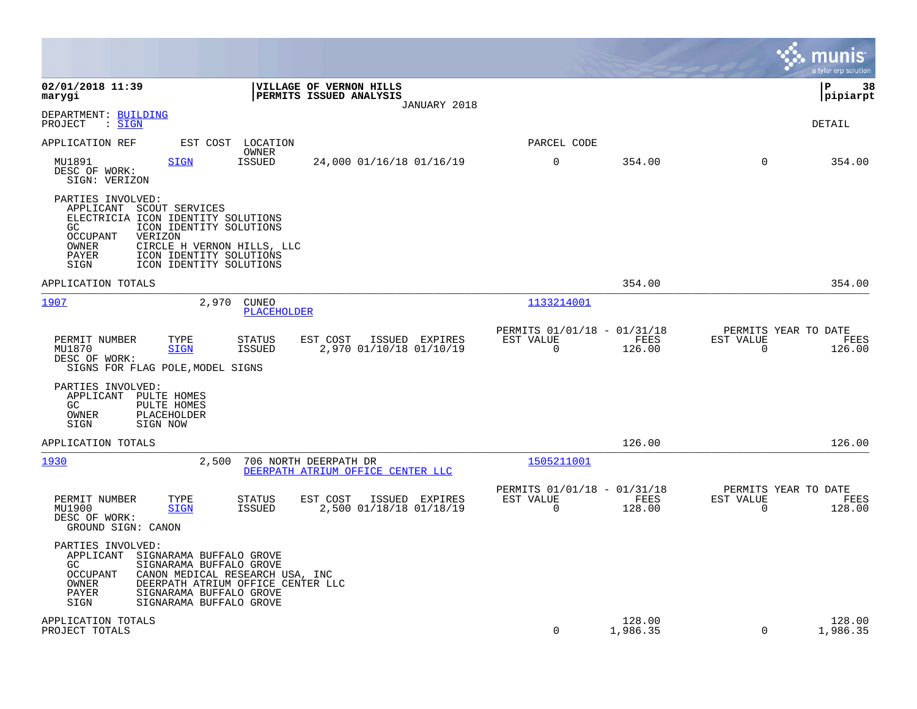|                                                                                                                                                                                                                                                                               |                                                         |                    | munis<br>a tyler erp solution                    |                    |
|-------------------------------------------------------------------------------------------------------------------------------------------------------------------------------------------------------------------------------------------------------------------------------|---------------------------------------------------------|--------------------|--------------------------------------------------|--------------------|
| 02/01/2018 11:39<br>VILLAGE OF VERNON HILLS<br>PERMITS ISSUED ANALYSIS<br>marygi<br>JANUARY 2018                                                                                                                                                                              |                                                         |                    | l P                                              | 38<br> pipiarpt    |
| DEPARTMENT: BUILDING<br>$\mathrel{\mathop:} \mathsf{SIGN}$<br>PROJECT                                                                                                                                                                                                         |                                                         |                    | DETAIL                                           |                    |
| APPLICATION REF<br>EST COST LOCATION<br>OWNER                                                                                                                                                                                                                                 | PARCEL CODE                                             |                    |                                                  |                    |
| MU1891<br><b>ISSUED</b><br>24,000 01/16/18 01/16/19<br><b>SIGN</b><br>DESC OF WORK:<br>SIGN: VERIZON                                                                                                                                                                          | $\mathbf 0$                                             | 354.00             | $\Omega$                                         | 354.00             |
| PARTIES INVOLVED:<br>APPLICANT SCOUT SERVICES<br>ELECTRICIA ICON IDENTITY SOLUTIONS<br>GC<br>ICON IDENTITY SOLUTIONS<br><b>OCCUPANT</b><br>VERIZON<br>OWNER<br>CIRCLE H VERNON HILLS, LLC<br>PAYER<br>ICON IDENTITY SOLUTIONS<br>SIGN<br>ICON IDENTITY SOLUTIONS              |                                                         |                    |                                                  |                    |
| APPLICATION TOTALS                                                                                                                                                                                                                                                            |                                                         | 354.00             |                                                  | 354.00             |
| 1907<br>2,970<br><b>CUNEO</b><br><b>PLACEHOLDER</b>                                                                                                                                                                                                                           | 1133214001                                              |                    |                                                  |                    |
| PERMIT NUMBER<br>TYPE<br><b>STATUS</b><br>EST COST<br>ISSUED EXPIRES<br>MU1870<br><b>SIGN</b><br>ISSUED<br>2,970 01/10/18 01/10/19<br>DESC OF WORK:<br>SIGNS FOR FLAG POLE, MODEL SIGNS                                                                                       | PERMITS 01/01/18 - 01/31/18<br>EST VALUE<br>$\Omega$    | FEES<br>126.00     | PERMITS YEAR TO DATE<br>EST VALUE<br>$\Omega$    | FEES<br>126.00     |
| PARTIES INVOLVED:<br>APPLICANT<br>PULTE HOMES<br>GC<br>PULTE HOMES<br>OWNER<br>PLACEHOLDER<br>SIGN<br>SIGN NOW                                                                                                                                                                |                                                         |                    |                                                  |                    |
| APPLICATION TOTALS                                                                                                                                                                                                                                                            |                                                         | 126.00             |                                                  | 126.00             |
| 1930<br>2,500<br>706 NORTH DEERPATH DR<br>DEERPATH ATRIUM OFFICE CENTER LLC                                                                                                                                                                                                   | 1505211001                                              |                    |                                                  |                    |
| PERMIT NUMBER<br>TYPE<br><b>STATUS</b><br>EST COST<br>ISSUED EXPIRES<br>MU1900<br><b>SIGN</b><br><b>ISSUED</b><br>2,500 01/18/18 01/18/19<br>DESC OF WORK:<br>GROUND SIGN: CANON                                                                                              | PERMITS 01/01/18 - 01/31/18<br>EST VALUE<br>$\mathbf 0$ | FEES<br>128.00     | PERMITS YEAR TO DATE<br>EST VALUE<br>$\mathbf 0$ | FEES<br>128.00     |
| PARTIES INVOLVED:<br>APPLICANT<br>SIGNARAMA BUFFALO GROVE<br>GC.<br>SIGNARAMA BUFFALO GROVE<br>CANON MEDICAL RESEARCH USA, INC<br><b>OCCUPANT</b><br>OWNER<br>DEERPATH ATRIUM OFFICE CENTER LLC<br>SIGNARAMA BUFFALO GROVE<br><b>PAYER</b><br>SIGNARAMA BUFFALO GROVE<br>SIGN |                                                         |                    |                                                  |                    |
| APPLICATION TOTALS<br>PROJECT TOTALS                                                                                                                                                                                                                                          | 0                                                       | 128.00<br>1,986.35 | $\Omega$                                         | 128.00<br>1,986.35 |